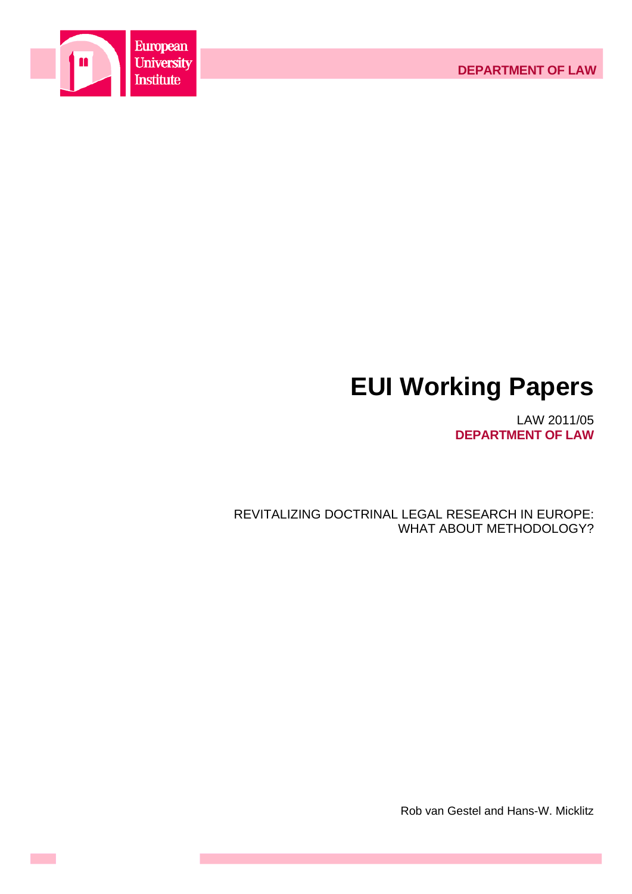



# **EUI Working Papers**

LAW 2011/05 **DEPARTMENT OF LAW**

REVITALIZING DOCTRINAL LEGAL RESEARCH IN EUROPE: WHAT ABOUT METHODOLOGY?

Rob van Gestel and Hans-W. Micklitz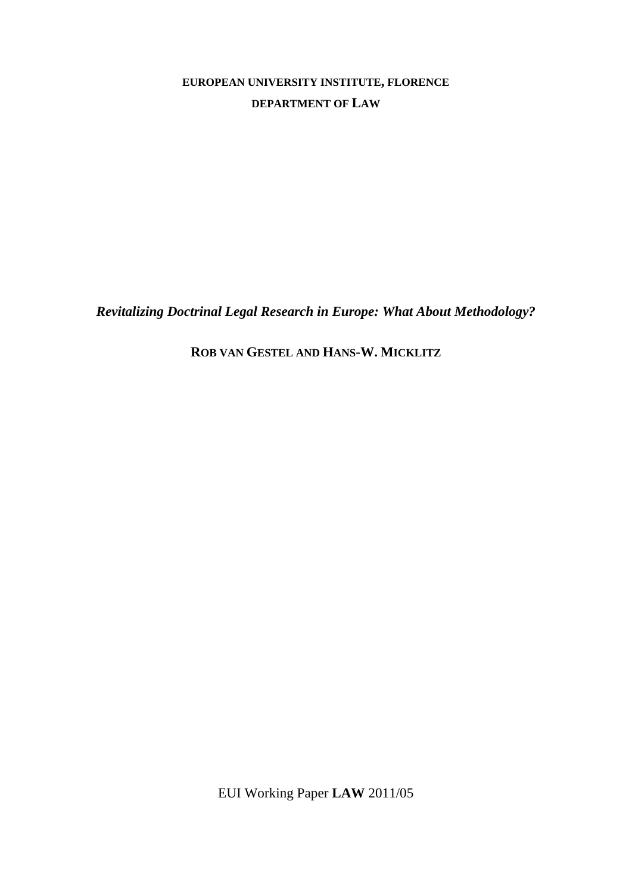## **EUROPEAN UNIVERSITY INSTITUTE, FLORENCE DEPARTMENT OF LAW**

*Revitalizing Doctrinal Legal Research in Europe: What About Methodology?* 

**ROB VAN GESTEL AND HANS-W. MICKLITZ**

EUI Working Paper **LAW** 2011/05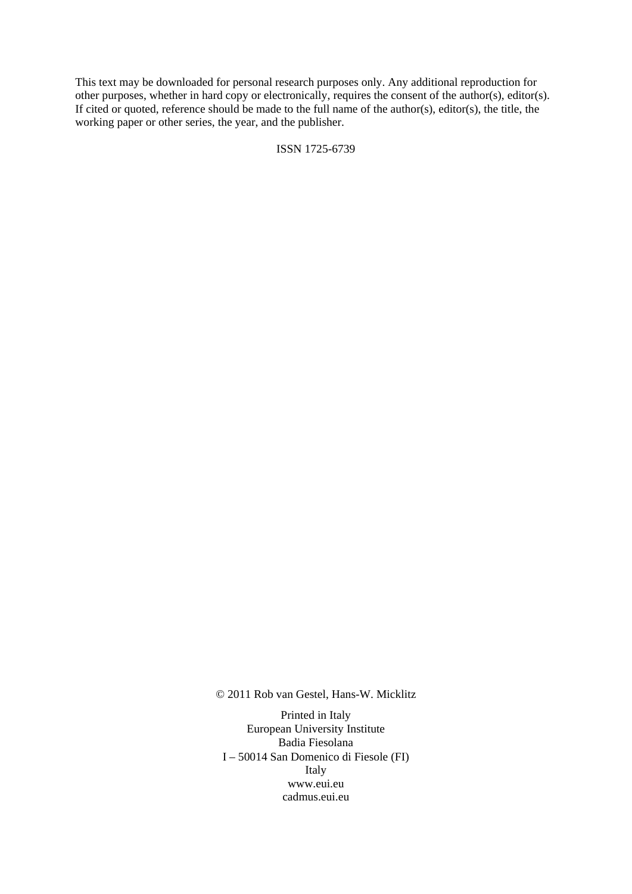This text may be downloaded for personal research purposes only. Any additional reproduction for other purposes, whether in hard copy or electronically, requires the consent of the author(s), editor(s). If cited or quoted, reference should be made to the full name of the author(s), editor(s), the title, the working paper or other series, the year, and the publisher.

ISSN 1725-6739

© 2011 Rob van Gestel, Hans-W. Micklitz

Printed in Italy European University Institute Badia Fiesolana I – 50014 San Domenico di Fiesole (FI) Italy www.eui.eu cadmus.eui.eu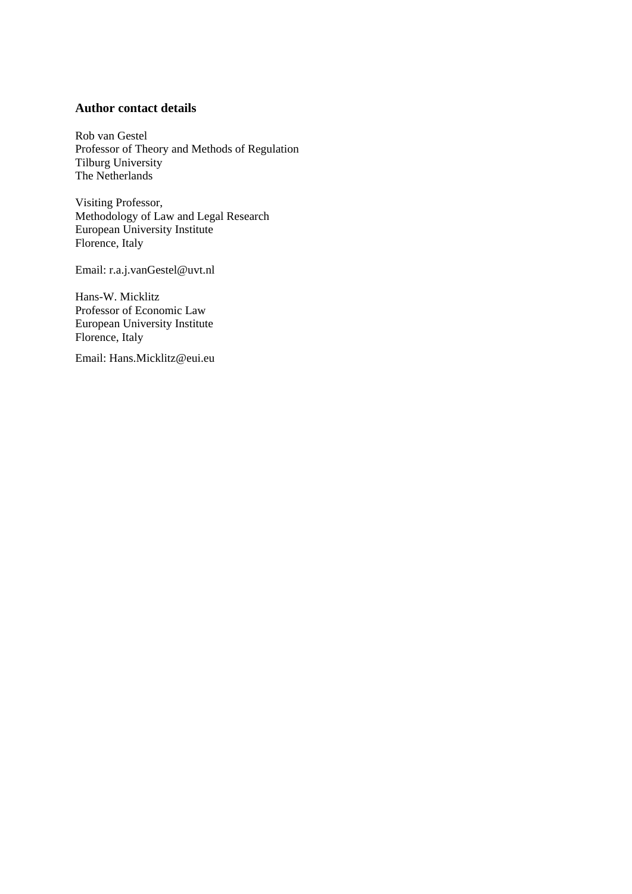#### **Author contact details**

Rob van Gestel Professor of Theory and Methods of Regulation Tilburg University The Netherlands

Visiting Professor, Methodology of Law and Legal Research European University Institute Florence, Italy

Email: r.a.j.vanGestel@uvt.nl

Hans-W. Micklitz Professor of Economic Law European University Institute Florence, Italy

Email: Hans.Micklitz@eui.eu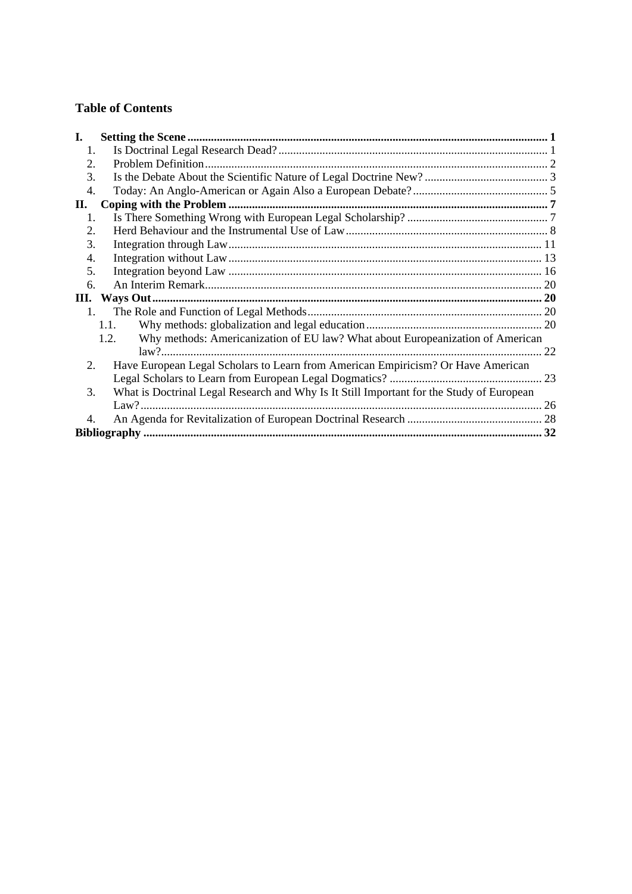## **Table of Contents**

| I.             |                                                                                          |    |
|----------------|------------------------------------------------------------------------------------------|----|
| $\mathbf{1}$ . |                                                                                          |    |
| 2.             |                                                                                          |    |
| 3.             |                                                                                          |    |
| 4.             |                                                                                          |    |
| П.             |                                                                                          |    |
| 1.             |                                                                                          |    |
| 2.             |                                                                                          |    |
| 3.             |                                                                                          |    |
| 4.             |                                                                                          |    |
| 5.             |                                                                                          |    |
| 6.             |                                                                                          |    |
| Ш.             |                                                                                          |    |
| $\mathbf{1}$ . |                                                                                          |    |
|                | 1.1.                                                                                     |    |
|                | Why methods: Americanization of EU law? What about Europeanization of American<br>1.2.   |    |
|                |                                                                                          | 22 |
| 2.             | Have European Legal Scholars to Learn from American Empiricism? Or Have American         |    |
|                |                                                                                          |    |
| 3.             | What is Doctrinal Legal Research and Why Is It Still Important for the Study of European |    |
|                |                                                                                          |    |
| 4.             |                                                                                          |    |
|                |                                                                                          |    |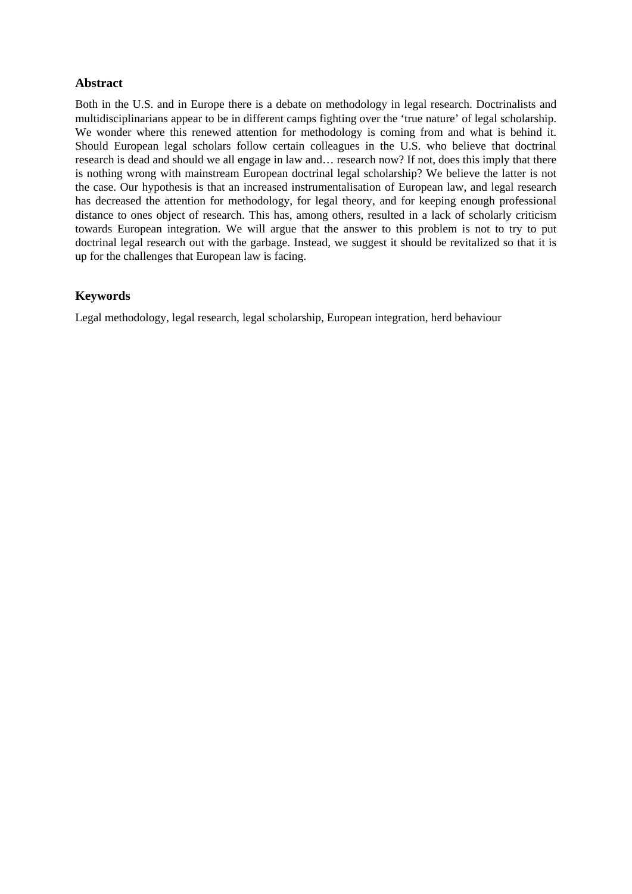#### **Abstract**

Both in the U.S. and in Europe there is a debate on methodology in legal research. Doctrinalists and multidisciplinarians appear to be in different camps fighting over the 'true nature' of legal scholarship. We wonder where this renewed attention for methodology is coming from and what is behind it. Should European legal scholars follow certain colleagues in the U.S. who believe that doctrinal research is dead and should we all engage in law and… research now? If not, does this imply that there is nothing wrong with mainstream European doctrinal legal scholarship? We believe the latter is not the case. Our hypothesis is that an increased instrumentalisation of European law, and legal research has decreased the attention for methodology, for legal theory, and for keeping enough professional distance to ones object of research. This has, among others, resulted in a lack of scholarly criticism towards European integration. We will argue that the answer to this problem is not to try to put doctrinal legal research out with the garbage. Instead, we suggest it should be revitalized so that it is up for the challenges that European law is facing.

### **Keywords**

Legal methodology, legal research, legal scholarship, European integration, herd behaviour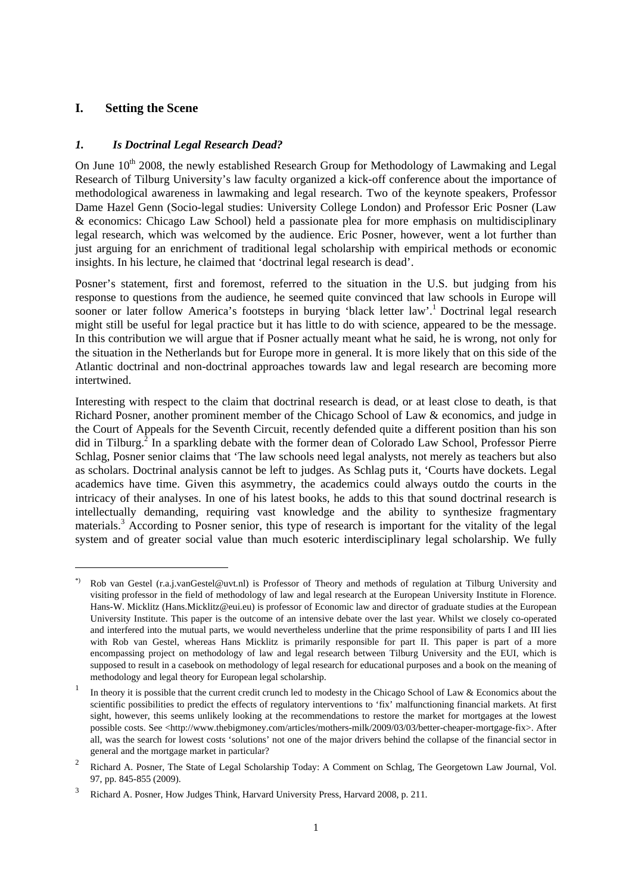#### **I. Setting the Scene**

1

#### *1. Is Doctrinal Legal Research Dead?*

On June 10<sup>th</sup> 2008, the newly established Research Group for Methodology of Lawmaking and Legal Research of Tilburg University's law faculty organized a kick-off conference about the importance of methodological awareness in lawmaking and legal research. Two of the keynote speakers, Professor Dame Hazel Genn (Socio-legal studies: University College London) and Professor Eric Posner (Law & economics: Chicago Law School) held a passionate plea for more emphasis on multidisciplinary legal research, which was welcomed by the audience. Eric Posner, however, went a lot further than just arguing for an enrichment of traditional legal scholarship with empirical methods or economic insights. In his lecture, he claimed that 'doctrinal legal research is dead'.

Posner's statement, first and foremost, referred to the situation in the U.S. but judging from his response to questions from the audience, he seemed quite convinced that law schools in Europe will sooner or later follow America's footsteps in burying 'black letter law'.<sup>1</sup> Doctrinal legal research might still be useful for legal practice but it has little to do with science, appeared to be the message. In this contribution we will argue that if Posner actually meant what he said, he is wrong, not only for the situation in the Netherlands but for Europe more in general. It is more likely that on this side of the Atlantic doctrinal and non-doctrinal approaches towards law and legal research are becoming more intertwined.

Interesting with respect to the claim that doctrinal research is dead, or at least close to death, is that Richard Posner, another prominent member of the Chicago School of Law & economics, and judge in the Court of Appeals for the Seventh Circuit, recently defended quite a different position than his son did in Tilburg.<sup>2</sup> In a sparkling debate with the former dean of Colorado Law School, Professor Pierre Schlag, Posner senior claims that 'The law schools need legal analysts, not merely as teachers but also as scholars. Doctrinal analysis cannot be left to judges. As Schlag puts it, 'Courts have dockets. Legal academics have time. Given this asymmetry, the academics could always outdo the courts in the intricacy of their analyses. In one of his latest books, he adds to this that sound doctrinal research is intellectually demanding, requiring vast knowledge and the ability to synthesize fragmentary materials.<sup>3</sup> According to Posner senior, this type of research is important for the vitality of the legal system and of greater social value than much esoteric interdisciplinary legal scholarship. We fully

<sup>\*)</sup> Rob van Gestel (r.a.j.vanGestel@uvt.nl) is Professor of Theory and methods of regulation at Tilburg University and visiting professor in the field of methodology of law and legal research at the European University Institute in Florence. Hans-W. Micklitz (Hans.Micklitz@eui.eu) is professor of Economic law and director of graduate studies at the European University Institute. This paper is the outcome of an intensive debate over the last year. Whilst we closely co-operated and interfered into the mutual parts, we would nevertheless underline that the prime responsibility of parts I and III lies with Rob van Gestel, whereas Hans Micklitz is primarily responsible for part II. This paper is part of a more encompassing project on methodology of law and legal research between Tilburg University and the EUI, which is supposed to result in a casebook on methodology of legal research for educational purposes and a book on the meaning of methodology and legal theory for European legal scholarship.

<sup>1</sup> In theory it is possible that the current credit crunch led to modesty in the Chicago School of Law & Economics about the scientific possibilities to predict the effects of regulatory interventions to 'fix' malfunctioning financial markets. At first sight, however, this seems unlikely looking at the recommendations to restore the market for mortgages at the lowest possible costs. See <http://www.thebigmoney.com/articles/mothers-milk/2009/03/03/better-cheaper-mortgage-fix>. After all, was the search for lowest costs 'solutions' not one of the major drivers behind the collapse of the financial sector in general and the mortgage market in particular?

<sup>2</sup> Richard A. Posner, The State of Legal Scholarship Today: A Comment on Schlag, The Georgetown Law Journal, Vol. 97, pp. 845-855 (2009).

<sup>3</sup> Richard A. Posner, How Judges Think, Harvard University Press, Harvard 2008, p. 211.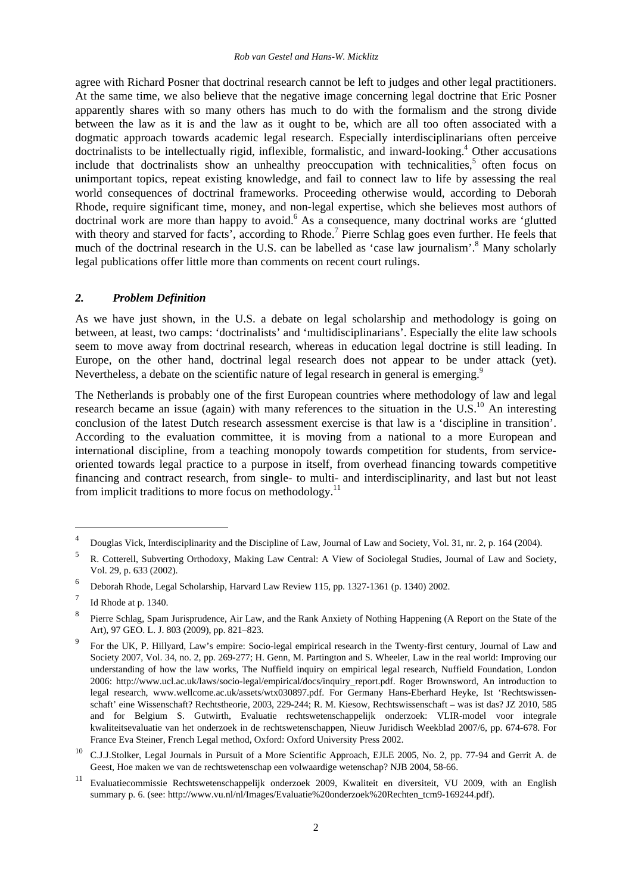agree with Richard Posner that doctrinal research cannot be left to judges and other legal practitioners. At the same time, we also believe that the negative image concerning legal doctrine that Eric Posner apparently shares with so many others has much to do with the formalism and the strong divide between the law as it is and the law as it ought to be, which are all too often associated with a dogmatic approach towards academic legal research. Especially interdisciplinarians often perceive doctrinalists to be intellectually rigid, inflexible, formalistic, and inward-looking.<sup>4</sup> Other accusations include that doctrinalists show an unhealthy preoccupation with technicalities, $<sup>5</sup>$  often focus on</sup> unimportant topics, repeat existing knowledge, and fail to connect law to life by assessing the real world consequences of doctrinal frameworks. Proceeding otherwise would, according to Deborah Rhode, require significant time, money, and non-legal expertise, which she believes most authors of doctrinal work are more than happy to avoid.<sup>6</sup> As a consequence, many doctrinal works are 'glutted with theory and starved for facts', according to Rhode.<sup>7</sup> Pierre Schlag goes even further. He feels that much of the doctrinal research in the U.S. can be labelled as 'case law journalism'.<sup>8</sup> Many scholarly legal publications offer little more than comments on recent court rulings.

#### *2. Problem Definition*

As we have just shown, in the U.S. a debate on legal scholarship and methodology is going on between, at least, two camps: 'doctrinalists' and 'multidisciplinarians'. Especially the elite law schools seem to move away from doctrinal research, whereas in education legal doctrine is still leading. In Europe, on the other hand, doctrinal legal research does not appear to be under attack (yet). Nevertheless, a debate on the scientific nature of legal research in general is emerging.<sup>9</sup>

The Netherlands is probably one of the first European countries where methodology of law and legal research became an issue (again) with many references to the situation in the  $\text{U.S.}^{10}$  An interesting conclusion of the latest Dutch research assessment exercise is that law is a 'discipline in transition'. According to the evaluation committee, it is moving from a national to a more European and international discipline, from a teaching monopoly towards competition for students, from serviceoriented towards legal practice to a purpose in itself, from overhead financing towards competitive financing and contract research, from single- to multi- and interdisciplinarity, and last but not least from implicit traditions to more focus on methodology.<sup>11</sup>

<sup>4</sup> Douglas Vick, Interdisciplinarity and the Discipline of Law, Journal of Law and Society, Vol. 31, nr. 2, p. 164 (2004).

<sup>5</sup> R. Cotterell, Subverting Orthodoxy, Making Law Central: A View of Sociolegal Studies, Journal of Law and Society, Vol. 29, p. 633 (2002).

<sup>6</sup> Deborah Rhode, Legal Scholarship, Harvard Law Review 115, pp. 1327-1361 (p. 1340) 2002.

<sup>7</sup> Id Rhode at p. 1340.

<sup>8</sup> Pierre Schlag, Spam Jurisprudence, Air Law, and the Rank Anxiety of Nothing Happening (A Report on the State of the Art), 97 GEO. L. J. 803 (2009), pp. 821–823.

<sup>9</sup> For the UK, P. Hillyard, Law's empire: Socio-legal empirical research in the Twenty-first century, Journal of Law and Society 2007, Vol. 34, no. 2, pp. 269-277; H. Genn, M. Partington and S. Wheeler, Law in the real world: Improving our understanding of how the law works, The Nuffield inquiry on empirical legal research, Nuffield Foundation, London 2006: http://www.ucl.ac.uk/laws/socio-legal/empirical/docs/inquiry\_report.pdf. Roger Brownsword, An introduction to legal research, www.wellcome.ac.uk/assets/wtx030897.pdf. For Germany Hans-Eberhard Heyke, Ist 'Rechtswissenschaft' eine Wissenschaft? Rechtstheorie, 2003, 229-244; R. M. Kiesow, Rechtswissenschaft – was ist das? JZ 2010, 585 and for Belgium S. Gutwirth, Evaluatie rechtswetenschappelijk onderzoek: VLIR-model voor integrale kwaliteitsevaluatie van het onderzoek in de rechtswetenschappen, Nieuw Juridisch Weekblad 2007/6, pp. 674-678. For France Eva Steiner, French Legal method, Oxford: Oxford University Press 2002.

<sup>&</sup>lt;sup>10</sup> C.J.J.Stolker, Legal Journals in Pursuit of a More Scientific Approach, EJLE 2005, No. 2, pp. 77-94 and Gerrit A. de Geest, Hoe maken we van de rechtswetenschap een volwaardige wetenschap? NJB 2004, 58-66.

<sup>&</sup>lt;sup>11</sup> Evaluatiecommissie Rechtswetenschappelijk onderzoek 2009, Kwaliteit en diversiteit, VU 2009, with an English summary p. 6. (see: http://www.vu.nl/nl/Images/Evaluatie%20onderzoek%20Rechten\_tcm9-169244.pdf).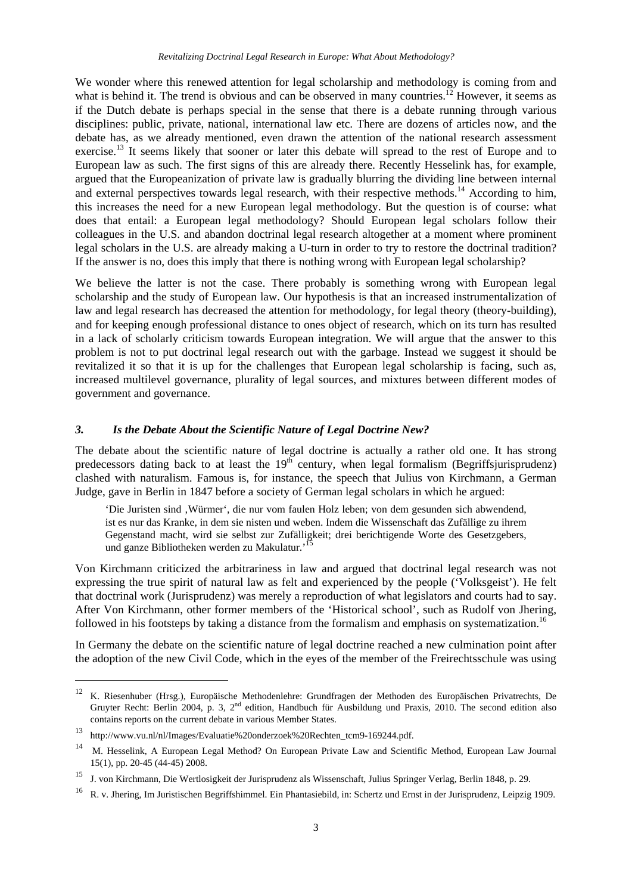We wonder where this renewed attention for legal scholarship and methodology is coming from and what is behind it. The trend is obvious and can be observed in many countries.<sup>12</sup> However, it seems as if the Dutch debate is perhaps special in the sense that there is a debate running through various disciplines: public, private, national, international law etc. There are dozens of articles now, and the debate has, as we already mentioned, even drawn the attention of the national research assessment exercise.<sup>13</sup> It seems likely that sooner or later this debate will spread to the rest of Europe and to European law as such. The first signs of this are already there. Recently Hesselink has, for example, argued that the Europeanization of private law is gradually blurring the dividing line between internal and external perspectives towards legal research, with their respective methods.<sup>14</sup> According to him, this increases the need for a new European legal methodology. But the question is of course: what does that entail: a European legal methodology? Should European legal scholars follow their colleagues in the U.S. and abandon doctrinal legal research altogether at a moment where prominent legal scholars in the U.S. are already making a U-turn in order to try to restore the doctrinal tradition? If the answer is no, does this imply that there is nothing wrong with European legal scholarship?

We believe the latter is not the case. There probably is something wrong with European legal scholarship and the study of European law. Our hypothesis is that an increased instrumentalization of law and legal research has decreased the attention for methodology, for legal theory (theory-building), and for keeping enough professional distance to ones object of research, which on its turn has resulted in a lack of scholarly criticism towards European integration. We will argue that the answer to this problem is not to put doctrinal legal research out with the garbage. Instead we suggest it should be revitalized it so that it is up for the challenges that European legal scholarship is facing, such as, increased multilevel governance, plurality of legal sources, and mixtures between different modes of government and governance.

#### *3. Is the Debate About the Scientific Nature of Legal Doctrine New?*

The debate about the scientific nature of legal doctrine is actually a rather old one. It has strong predecessors dating back to at least the  $19<sup>th</sup>$  century, when legal formalism (Begriffsjurisprudenz) clashed with naturalism. Famous is, for instance, the speech that Julius von Kirchmann, a German Judge, gave in Berlin in 1847 before a society of German legal scholars in which he argued:

'Die Juristen sind , Würmer', die nur vom faulen Holz leben; von dem gesunden sich abwendend, ist es nur das Kranke, in dem sie nisten und weben. Indem die Wissenschaft das Zufällige zu ihrem Gegenstand macht, wird sie selbst zur Zufälligkeit; drei berichtigende Worte des Gesetzgebers, und ganze Bibliotheken werden zu Makulatur.<sup>15</sup>

Von Kirchmann criticized the arbitrariness in law and argued that doctrinal legal research was not expressing the true spirit of natural law as felt and experienced by the people ('Volksgeist'). He felt that doctrinal work (Jurisprudenz) was merely a reproduction of what legislators and courts had to say. After Von Kirchmann, other former members of the 'Historical school', such as Rudolf von Jhering, followed in his footsteps by taking a distance from the formalism and emphasis on systematization.<sup>16</sup>

In Germany the debate on the scientific nature of legal doctrine reached a new culmination point after the adoption of the new Civil Code, which in the eyes of the member of the Freirechtsschule was using

<sup>12</sup> K. Riesenhuber (Hrsg.), Europäische Methodenlehre: Grundfragen der Methoden des Europäischen Privatrechts, De Gruyter Recht: Berlin 2004, p. 3, 2<sup>nd</sup> edition, Handbuch für Ausbildung und Praxis, 2010. The second edition also contains reports on the current debate in various Member States.

<sup>13</sup> http://www.vu.nl/nl/Images/Evaluatie%20onderzoek%20Rechten\_tcm9-169244.pdf.

<sup>14</sup> M. Hesselink, A European Legal Method? On European Private Law and Scientific Method, European Law Journal 15(1), pp. 20-45 (44-45) 2008.

<sup>15</sup> J. von Kirchmann, Die Wertlosigkeit der Jurisprudenz als Wissenschaft, Julius Springer Verlag, Berlin 1848, p. 29.

<sup>16</sup> R. v. Jhering, Im Juristischen Begriffshimmel. Ein Phantasiebild, in: Schertz und Ernst in der Jurisprudenz, Leipzig 1909.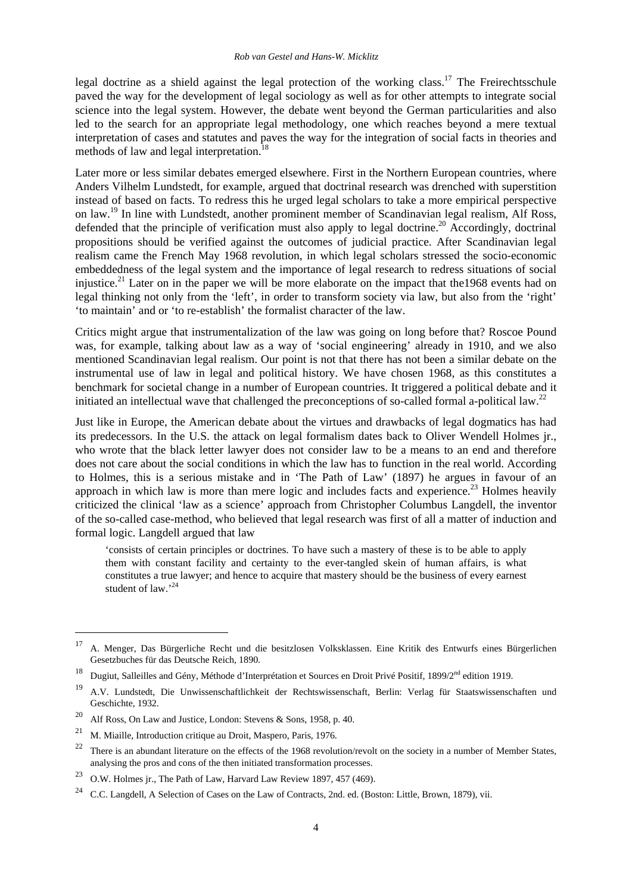legal doctrine as a shield against the legal protection of the working class.<sup>17</sup> The Freirechtsschule paved the way for the development of legal sociology as well as for other attempts to integrate social science into the legal system. However, the debate went beyond the German particularities and also led to the search for an appropriate legal methodology, one which reaches beyond a mere textual interpretation of cases and statutes and paves the way for the integration of social facts in theories and methods of law and legal interpretation.<sup>1</sup>

Later more or less similar debates emerged elsewhere. First in the Northern European countries, where Anders Vilhelm Lundstedt, for example, argued that doctrinal research was drenched with superstition instead of based on facts. To redress this he urged legal scholars to take a more empirical perspective on law.<sup>19</sup> In line with Lundstedt, another prominent member of Scandinavian legal realism, Alf Ross, defended that the principle of verification must also apply to legal doctrine.<sup>20</sup> Accordingly, doctrinal propositions should be verified against the outcomes of judicial practice. After Scandinavian legal realism came the French May 1968 revolution, in which legal scholars stressed the socio-economic embeddedness of the legal system and the importance of legal research to redress situations of social injustice.<sup>21</sup> Later on in the paper we will be more elaborate on the impact that the 1968 events had on legal thinking not only from the 'left', in order to transform society via law, but also from the 'right' 'to maintain' and or 'to re-establish' the formalist character of the law.

Critics might argue that instrumentalization of the law was going on long before that? Roscoe Pound was, for example, talking about law as a way of 'social engineering' already in 1910, and we also mentioned Scandinavian legal realism. Our point is not that there has not been a similar debate on the instrumental use of law in legal and political history. We have chosen 1968, as this constitutes a benchmark for societal change in a number of European countries. It triggered a political debate and it initiated an intellectual wave that challenged the preconceptions of so-called formal a-political law.<sup>22</sup>

Just like in Europe, the American debate about the virtues and drawbacks of legal dogmatics has had its predecessors. In the U.S. the attack on legal formalism dates back to Oliver Wendell Holmes jr., who wrote that the black letter lawyer does not consider law to be a means to an end and therefore does not care about the social conditions in which the law has to function in the real world. According to Holmes, this is a serious mistake and in 'The Path of Law' (1897) he argues in favour of an approach in which law is more than mere logic and includes facts and experience.<sup>23</sup> Holmes heavily criticized the clinical 'law as a science' approach from Christopher Columbus Langdell, the inventor of the so-called case-method, who believed that legal research was first of all a matter of induction and formal logic. Langdell argued that law

'consists of certain principles or doctrines. To have such a mastery of these is to be able to apply them with constant facility and certainty to the ever-tangled skein of human affairs, is what constitutes a true lawyer; and hence to acquire that mastery should be the business of every earnest student of law.'<sup>24</sup>

<sup>17</sup> A. Menger, Das Bürgerliche Recht und die besitzlosen Volksklassen. Eine Kritik des Entwurfs eines Bürgerlichen Gesetzbuches für das Deutsche Reich, 1890.

<sup>&</sup>lt;sup>18</sup> Dugiut, Salleilles and Gény, Méthode d'Interprétation et Sources en Droit Privé Positif, 1899/2<sup>nd</sup> edition 1919.

<sup>19</sup> A.V. Lundstedt, Die Unwissenschaftlichkeit der Rechtswissenschaft, Berlin: Verlag für Staatswissenschaften und Geschichte, 1932.

<sup>20</sup> Alf Ross, On Law and Justice, London: Stevens & Sons, 1958, p. 40.

<sup>21</sup> M. Miaille, Introduction critique au Droit, Maspero, Paris, 1976.

<sup>&</sup>lt;sup>22</sup> There is an abundant literature on the effects of the 1968 revolution/revolt on the society in a number of Member States, analysing the pros and cons of the then initiated transformation processes.

<sup>&</sup>lt;sup>23</sup> O.W. Holmes ir., The Path of Law, Harvard Law Review 1897, 457 (469).

<sup>&</sup>lt;sup>24</sup> C.C. Langdell, A Selection of Cases on the Law of Contracts, 2nd. ed. (Boston: Little, Brown, 1879), vii.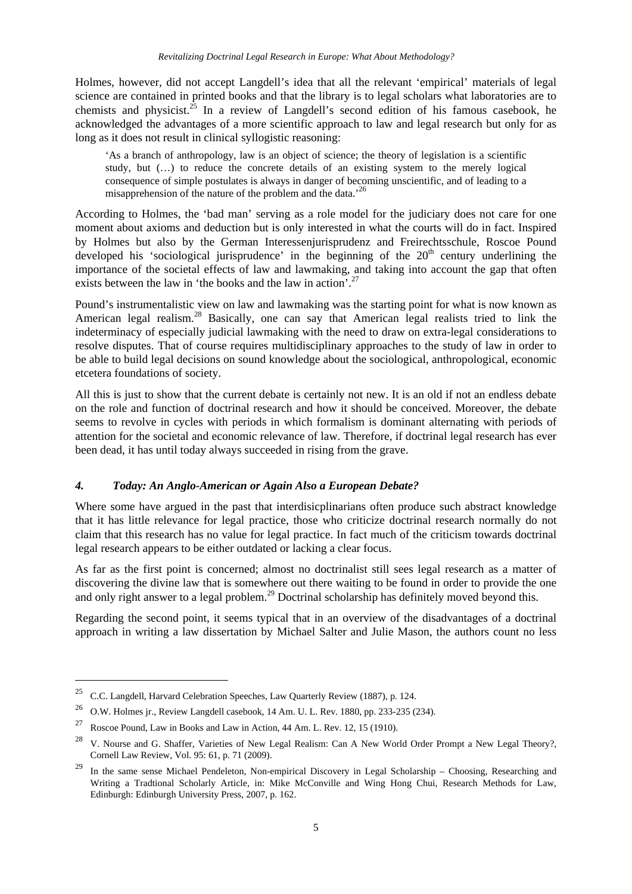Holmes, however, did not accept Langdell's idea that all the relevant 'empirical' materials of legal science are contained in printed books and that the library is to legal scholars what laboratories are to chemists and physicist.<sup>25</sup> In a review of Langdell's second edition of his famous casebook, he acknowledged the advantages of a more scientific approach to law and legal research but only for as long as it does not result in clinical syllogistic reasoning:

'As a branch of anthropology, law is an object of science; the theory of legislation is a scientific study, but (…) to reduce the concrete details of an existing system to the merely logical consequence of simple postulates is always in danger of becoming unscientific, and of leading to a misapprehension of the nature of the problem and the data.'26

According to Holmes, the 'bad man' serving as a role model for the judiciary does not care for one moment about axioms and deduction but is only interested in what the courts will do in fact. Inspired by Holmes but also by the German Interessenjurisprudenz and Freirechtsschule, Roscoe Pound developed his 'sociological jurisprudence' in the beginning of the  $20<sup>th</sup>$  century underlining the importance of the societal effects of law and lawmaking, and taking into account the gap that often exists between the law in 'the books and the law in action'.<sup>27</sup>

Pound's instrumentalistic view on law and lawmaking was the starting point for what is now known as American legal realism.28 Basically, one can say that American legal realists tried to link the indeterminacy of especially judicial lawmaking with the need to draw on extra-legal considerations to resolve disputes. That of course requires multidisciplinary approaches to the study of law in order to be able to build legal decisions on sound knowledge about the sociological, anthropological, economic etcetera foundations of society.

All this is just to show that the current debate is certainly not new. It is an old if not an endless debate on the role and function of doctrinal research and how it should be conceived. Moreover, the debate seems to revolve in cycles with periods in which formalism is dominant alternating with periods of attention for the societal and economic relevance of law. Therefore, if doctrinal legal research has ever been dead, it has until today always succeeded in rising from the grave.

#### *4. Today: An Anglo-American or Again Also a European Debate?*

Where some have argued in the past that interdisicplinarians often produce such abstract knowledge that it has little relevance for legal practice, those who criticize doctrinal research normally do not claim that this research has no value for legal practice. In fact much of the criticism towards doctrinal legal research appears to be either outdated or lacking a clear focus.

As far as the first point is concerned; almost no doctrinalist still sees legal research as a matter of discovering the divine law that is somewhere out there waiting to be found in order to provide the one and only right answer to a legal problem.<sup>29</sup> Doctrinal scholarship has definitely moved beyond this.

Regarding the second point, it seems typical that in an overview of the disadvantages of a doctrinal approach in writing a law dissertation by Michael Salter and Julie Mason, the authors count no less

<sup>25</sup> C.C. Langdell, Harvard Celebration Speeches, Law Quarterly Review (1887), p. 124.

<sup>26</sup> O.W. Holmes jr., Review Langdell casebook, 14 Am. U. L. Rev. 1880, pp. 233-235 (234).

<sup>&</sup>lt;sup>27</sup> Roscoe Pound, Law in Books and Law in Action, 44 Am. L. Rev. 12, 15 (1910).

<sup>&</sup>lt;sup>28</sup> V. Nourse and G. Shaffer, Varieties of New Legal Realism: Can A New World Order Prompt a New Legal Theory?, Cornell Law Review, Vol. 95: 61, p. 71 (2009).

<sup>&</sup>lt;sup>29</sup> In the same sense Michael Pendeleton, Non-empirical Discovery in Legal Scholarship – Choosing, Researching and Writing a Tradtional Scholarly Article, in: Mike McConville and Wing Hong Chui, Research Methods for Law, Edinburgh: Edinburgh University Press, 2007, p. 162.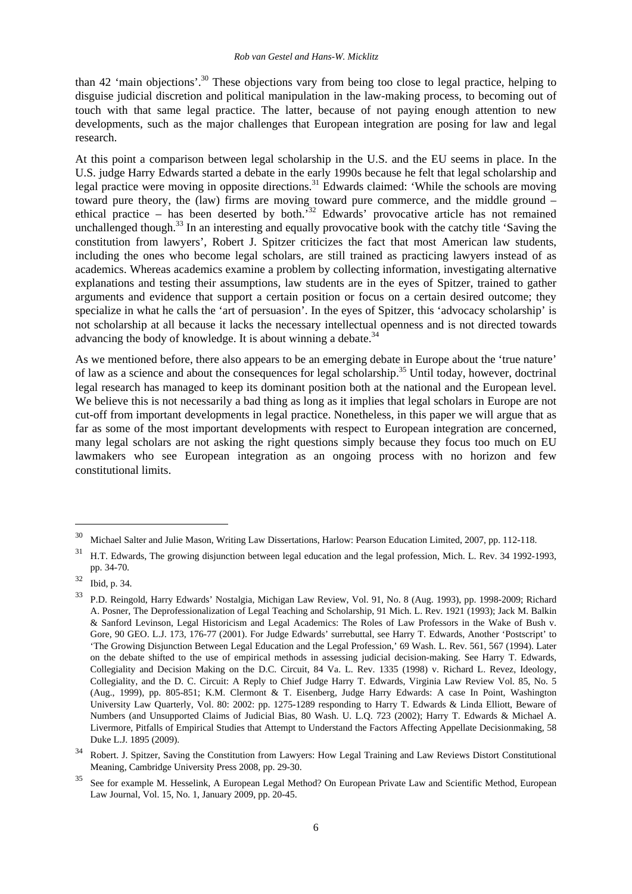than 42 'main objections'.30 These objections vary from being too close to legal practice, helping to disguise judicial discretion and political manipulation in the law-making process, to becoming out of touch with that same legal practice. The latter, because of not paying enough attention to new developments, such as the major challenges that European integration are posing for law and legal research.

At this point a comparison between legal scholarship in the U.S. and the EU seems in place. In the U.S. judge Harry Edwards started a debate in the early 1990s because he felt that legal scholarship and legal practice were moving in opposite directions.31 Edwards claimed: 'While the schools are moving toward pure theory, the (law) firms are moving toward pure commerce, and the middle ground – ethical practice – has been deserted by both.'32 Edwards' provocative article has not remained unchallenged though.<sup>33</sup> In an interesting and equally provocative book with the catchy title 'Saving the constitution from lawyers', Robert J. Spitzer criticizes the fact that most American law students, including the ones who become legal scholars, are still trained as practicing lawyers instead of as academics. Whereas academics examine a problem by collecting information, investigating alternative explanations and testing their assumptions, law students are in the eyes of Spitzer, trained to gather arguments and evidence that support a certain position or focus on a certain desired outcome; they specialize in what he calls the 'art of persuasion'. In the eyes of Spitzer, this 'advocacy scholarship' is not scholarship at all because it lacks the necessary intellectual openness and is not directed towards advancing the body of knowledge. It is about winning a debate.<sup>34</sup>

As we mentioned before, there also appears to be an emerging debate in Europe about the 'true nature' of law as a science and about the consequences for legal scholarship.<sup>35</sup> Until today, however, doctrinal legal research has managed to keep its dominant position both at the national and the European level. We believe this is not necessarily a bad thing as long as it implies that legal scholars in Europe are not cut-off from important developments in legal practice. Nonetheless, in this paper we will argue that as far as some of the most important developments with respect to European integration are concerned, many legal scholars are not asking the right questions simply because they focus too much on EU lawmakers who see European integration as an ongoing process with no horizon and few constitutional limits.

<sup>30</sup> Michael Salter and Julie Mason, Writing Law Dissertations, Harlow: Pearson Education Limited, 2007, pp. 112-118.

 $31$  H.T. Edwards, The growing disjunction between legal education and the legal profession, Mich. L. Rev. 34 1992-1993, pp. 34-70.

<sup>32</sup> Ibid, p. 34.

<sup>33</sup> P.D. Reingold, Harry Edwards' Nostalgia, Michigan Law Review, Vol. 91, No. 8 (Aug. 1993), pp. 1998-2009; Richard A. Posner, The Deprofessionalization of Legal Teaching and Scholarship, 91 Mich. L. Rev. 1921 (1993); Jack M. Balkin & Sanford Levinson, Legal Historicism and Legal Academics: The Roles of Law Professors in the Wake of Bush v. Gore, 90 GEO. L.J. 173, 176-77 (2001). For Judge Edwards' surrebuttal, see Harry T. Edwards, Another 'Postscript' to 'The Growing Disjunction Between Legal Education and the Legal Profession,' 69 Wash. L. Rev. 561, 567 (1994). Later on the debate shifted to the use of empirical methods in assessing judicial decision-making. See Harry T. Edwards, Collegiality and Decision Making on the D.C. Circuit, 84 Va. L. Rev. 1335 (1998) v. Richard L. Revez, Ideology, Collegiality, and the D. C. Circuit: A Reply to Chief Judge Harry T. Edwards, Virginia Law Review Vol. 85, No. 5 (Aug., 1999), pp. 805-851; K.M. Clermont & T. Eisenberg, Judge Harry Edwards: A case In Point, Washington University Law Quarterly, Vol. 80: 2002: pp. 1275-1289 responding to Harry T. Edwards & Linda Elliott, Beware of Numbers (and Unsupported Claims of Judicial Bias, 80 Wash. U. L.Q. 723 (2002); Harry T. Edwards & Michael A. Livermore, Pitfalls of Empirical Studies that Attempt to Understand the Factors Affecting Appellate Decisionmaking, 58 Duke L.J. 1895 (2009).

<sup>34</sup> Robert. J. Spitzer, Saving the Constitution from Lawyers: How Legal Training and Law Reviews Distort Constitutional Meaning, Cambridge University Press 2008, pp. 29-30.

<sup>35</sup> See for example M. Hesselink, A European Legal Method? On European Private Law and Scientific Method, European Law Journal, Vol. 15, No. 1, January 2009, pp. 20-45.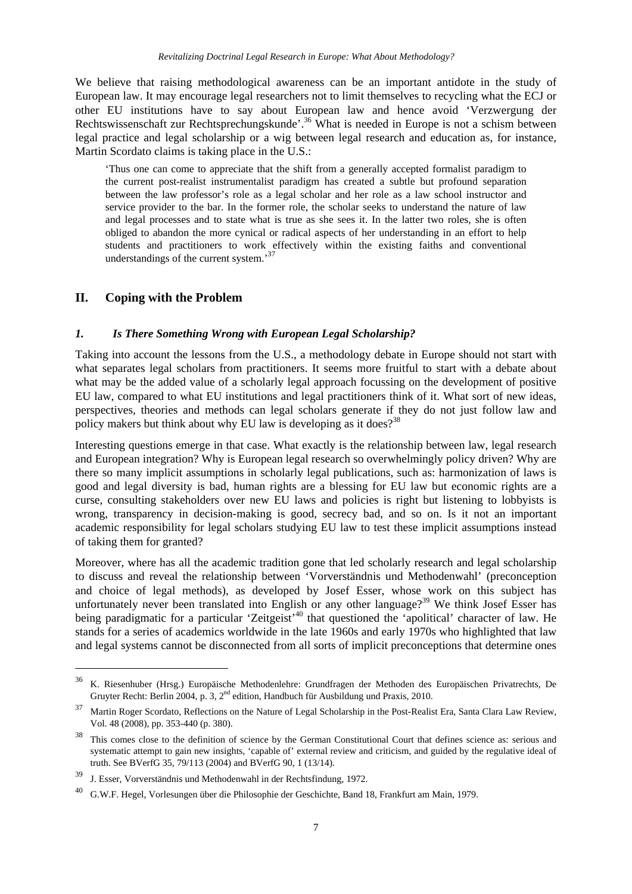We believe that raising methodological awareness can be an important antidote in the study of European law. It may encourage legal researchers not to limit themselves to recycling what the ECJ or other EU institutions have to say about European law and hence avoid 'Verzwergung der Rechtswissenschaft zur Rechtsprechungskunde<sup>'.36</sup> What is needed in Europe is not a schism between legal practice and legal scholarship or a wig between legal research and education as, for instance, Martin Scordato claims is taking place in the U.S.:

'Thus one can come to appreciate that the shift from a generally accepted formalist paradigm to the current post-realist instrumentalist paradigm has created a subtle but profound separation between the law professor's role as a legal scholar and her role as a law school instructor and service provider to the bar. In the former role, the scholar seeks to understand the nature of law and legal processes and to state what is true as she sees it. In the latter two roles, she is often obliged to abandon the more cynical or radical aspects of her understanding in an effort to help students and practitioners to work effectively within the existing faiths and conventional understandings of the current system.'

#### **II. Coping with the Problem**

-

#### *1. Is There Something Wrong with European Legal Scholarship?*

Taking into account the lessons from the U.S., a methodology debate in Europe should not start with what separates legal scholars from practitioners. It seems more fruitful to start with a debate about what may be the added value of a scholarly legal approach focussing on the development of positive EU law, compared to what EU institutions and legal practitioners think of it. What sort of new ideas, perspectives, theories and methods can legal scholars generate if they do not just follow law and policy makers but think about why EU law is developing as it does?<sup>38</sup>

Interesting questions emerge in that case. What exactly is the relationship between law, legal research and European integration? Why is European legal research so overwhelmingly policy driven? Why are there so many implicit assumptions in scholarly legal publications, such as: harmonization of laws is good and legal diversity is bad, human rights are a blessing for EU law but economic rights are a curse, consulting stakeholders over new EU laws and policies is right but listening to lobbyists is wrong, transparency in decision-making is good, secrecy bad, and so on. Is it not an important academic responsibility for legal scholars studying EU law to test these implicit assumptions instead of taking them for granted?

Moreover, where has all the academic tradition gone that led scholarly research and legal scholarship to discuss and reveal the relationship between 'Vorverständnis und Methodenwahl' (preconception and choice of legal methods), as developed by Josef Esser, whose work on this subject has unfortunately never been translated into English or any other language?<sup>39</sup> We think Josef Esser has being paradigmatic for a particular 'Zeitgeist'<sup>40</sup> that questioned the 'apolitical' character of law. He stands for a series of academics worldwide in the late 1960s and early 1970s who highlighted that law and legal systems cannot be disconnected from all sorts of implicit preconceptions that determine ones

<sup>36</sup> K. Riesenhuber (Hrsg.) Europäische Methodenlehre: Grundfragen der Methoden des Europäischen Privatrechts, De Gruyter Recht: Berlin 2004, p. 3, 2<sup>nd</sup> edition, Handbuch für Ausbildung und Praxis, 2010.

<sup>37</sup> Martin Roger Scordato, Reflections on the Nature of Legal Scholarship in the Post-Realist Era, Santa Clara Law Review, Vol. 48 (2008), pp. 353-440 (p. 380).

<sup>&</sup>lt;sup>38</sup> This comes close to the definition of science by the German Constitutional Court that defines science as: serious and systematic attempt to gain new insights, 'capable of' external review and criticism, and guided by the regulative ideal of truth. See BVerfG 35, 79/113 (2004) and BVerfG 90, 1 (13/14).

<sup>39</sup> J. Esser, Vorverständnis und Methodenwahl in der Rechtsfindung, 1972.

<sup>40</sup> G.W.F. Hegel, Vorlesungen über die Philosophie der Geschichte, Band 18, Frankfurt am Main, 1979.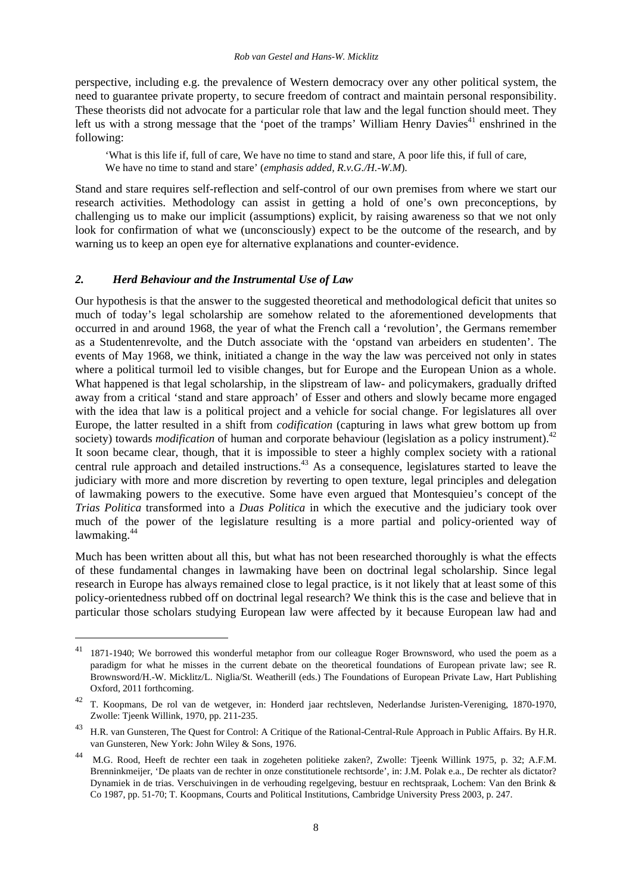perspective, including e.g. the prevalence of Western democracy over any other political system, the need to guarantee private property, to secure freedom of contract and maintain personal responsibility. These theorists did not advocate for a particular role that law and the legal function should meet. They left us with a strong message that the 'poet of the tramps' William Henry Davies<sup>41</sup> enshrined in the following:

'What is this life if, full of care, We have no time to stand and stare, A poor life this, if full of care, We have no time to stand and stare' (*emphasis added, R.v.G./H.-W.M*).

Stand and stare requires self-reflection and self-control of our own premises from where we start our research activities. Methodology can assist in getting a hold of one's own preconceptions, by challenging us to make our implicit (assumptions) explicit, by raising awareness so that we not only look for confirmation of what we (unconsciously) expect to be the outcome of the research, and by warning us to keep an open eye for alternative explanations and counter-evidence.

#### *2. Herd Behaviour and the Instrumental Use of Law*

1

Our hypothesis is that the answer to the suggested theoretical and methodological deficit that unites so much of today's legal scholarship are somehow related to the aforementioned developments that occurred in and around 1968, the year of what the French call a 'revolution', the Germans remember as a Studentenrevolte, and the Dutch associate with the 'opstand van arbeiders en studenten'. The events of May 1968, we think, initiated a change in the way the law was perceived not only in states where a political turmoil led to visible changes, but for Europe and the European Union as a whole. What happened is that legal scholarship, in the slipstream of law- and policymakers, gradually drifted away from a critical 'stand and stare approach' of Esser and others and slowly became more engaged with the idea that law is a political project and a vehicle for social change. For legislatures all over Europe, the latter resulted in a shift from *codification* (capturing in laws what grew bottom up from society) towards *modification* of human and corporate behaviour (legislation as a policy instrument).<sup>42</sup> It soon became clear, though, that it is impossible to steer a highly complex society with a rational central rule approach and detailed instructions.43 As a consequence, legislatures started to leave the judiciary with more and more discretion by reverting to open texture, legal principles and delegation of lawmaking powers to the executive. Some have even argued that Montesquieu's concept of the *Trias Politica* transformed into a *Duas Politica* in which the executive and the judiciary took over much of the power of the legislature resulting is a more partial and policy-oriented way of lawmaking.<sup>44</sup>

Much has been written about all this, but what has not been researched thoroughly is what the effects of these fundamental changes in lawmaking have been on doctrinal legal scholarship. Since legal research in Europe has always remained close to legal practice, is it not likely that at least some of this policy-orientedness rubbed off on doctrinal legal research? We think this is the case and believe that in particular those scholars studying European law were affected by it because European law had and

<sup>41 1871-1940;</sup> We borrowed this wonderful metaphor from our colleague Roger Brownsword, who used the poem as a paradigm for what he misses in the current debate on the theoretical foundations of European private law; see R. Brownsword/H.-W. Micklitz/L. Niglia/St. Weatherill (eds.) The Foundations of European Private Law, Hart Publishing Oxford, 2011 forthcoming.

<sup>42</sup> T. Koopmans, De rol van de wetgever, in: Honderd jaar rechtsleven, Nederlandse Juristen-Vereniging, 1870-1970, Zwolle: Tjeenk Willink, 1970, pp. 211-235.

<sup>43</sup> H.R. van Gunsteren, The Quest for Control: A Critique of the Rational-Central-Rule Approach in Public Affairs. By H.R. van Gunsteren, New York: John Wiley & Sons, 1976.

<sup>44</sup> M.G. Rood, Heeft de rechter een taak in zogeheten politieke zaken?, Zwolle: Tjeenk Willink 1975, p. 32; A.F.M. Brenninkmeijer, 'De plaats van de rechter in onze constitutionele rechtsorde', in: J.M. Polak e.a., De rechter als dictator? Dynamiek in de trias. Verschuivingen in de verhouding regelgeving, bestuur en rechtspraak, Lochem: Van den Brink & Co 1987, pp. 51-70; T. Koopmans, Courts and Political Institutions, Cambridge University Press 2003, p. 247.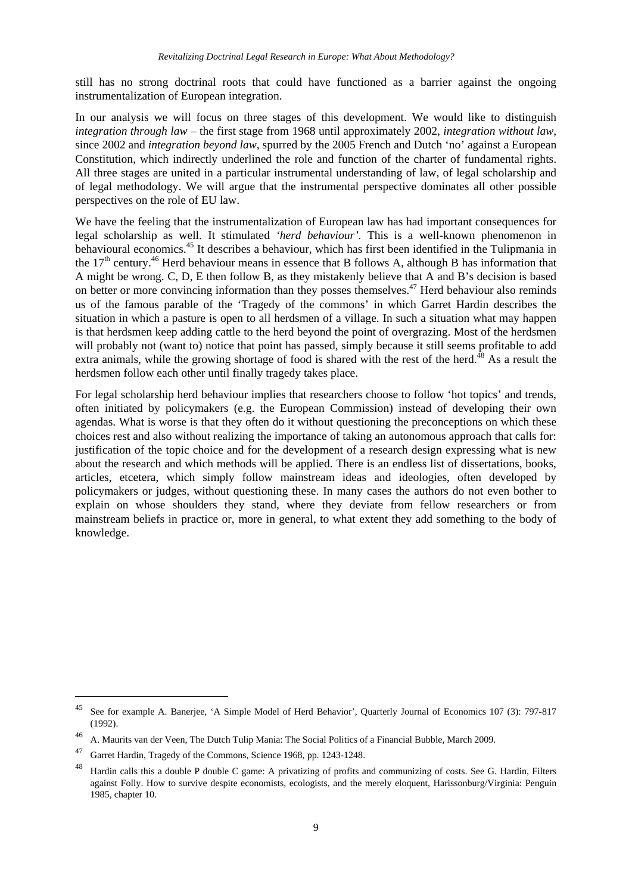still has no strong doctrinal roots that could have functioned as a barrier against the ongoing instrumentalization of European integration.

In our analysis we will focus on three stages of this development. We would like to distinguish *integration through law* – the first stage from 1968 until approximately 2002, *integration without law*, since 2002 and *integration beyond law*, spurred by the 2005 French and Dutch 'no' against a European Constitution, which indirectly underlined the role and function of the charter of fundamental rights. All three stages are united in a particular instrumental understanding of law, of legal scholarship and of legal methodology. We will argue that the instrumental perspective dominates all other possible perspectives on the role of EU law.

We have the feeling that the instrumentalization of European law has had important consequences for legal scholarship as well. It stimulated *'herd behaviour'.* This is a well-known phenomenon in behavioural economics.45 It describes a behaviour, which has first been identified in the Tulipmania in the  $17<sup>th</sup>$  century.<sup>46</sup> Herd behaviour means in essence that B follows A, although B has information that A might be wrong. C, D, E then follow B, as they mistakenly believe that A and B's decision is based on better or more convincing information than they posses themselves.<sup>47</sup> Herd behaviour also reminds us of the famous parable of the 'Tragedy of the commons' in which Garret Hardin describes the situation in which a pasture is open to all herdsmen of a village. In such a situation what may happen is that herdsmen keep adding cattle to the herd beyond the point of overgrazing. Most of the herdsmen will probably not (want to) notice that point has passed, simply because it still seems profitable to add extra animals, while the growing shortage of food is shared with the rest of the herd.<sup>48</sup> As a result the herdsmen follow each other until finally tragedy takes place.

For legal scholarship herd behaviour implies that researchers choose to follow 'hot topics' and trends, often initiated by policymakers (e.g. the European Commission) instead of developing their own agendas. What is worse is that they often do it without questioning the preconceptions on which these choices rest and also without realizing the importance of taking an autonomous approach that calls for: justification of the topic choice and for the development of a research design expressing what is new about the research and which methods will be applied. There is an endless list of dissertations, books, articles, etcetera, which simply follow mainstream ideas and ideologies, often developed by policymakers or judges, without questioning these. In many cases the authors do not even bother to explain on whose shoulders they stand, where they deviate from fellow researchers or from mainstream beliefs in practice or, more in general, to what extent they add something to the body of knowledge.

<sup>45</sup> See for example A. Banerjee, 'A Simple Model of Herd Behavior', Quarterly Journal of Economics 107 (3): 797-817 (1992).

<sup>46</sup> A. Maurits van der Veen, The Dutch Tulip Mania: The Social Politics of a Financial Bubble, March 2009.

<sup>47</sup> Garret Hardin, Tragedy of the Commons, Science 1968, pp. 1243-1248.

<sup>&</sup>lt;sup>48</sup> Hardin calls this a double P double C game: A privatizing of profits and communizing of costs. See G. Hardin, Filters against Folly. How to survive despite economists, ecologists, and the merely eloquent, Harissonburg/Virginia: Penguin 1985, chapter 10.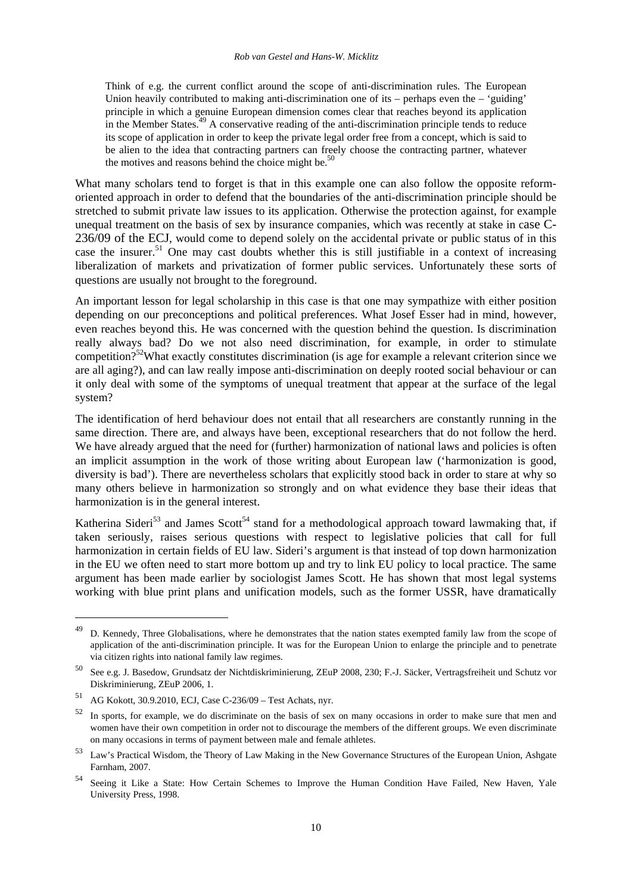Think of e.g. the current conflict around the scope of anti-discrimination rules. The European Union heavily contributed to making anti-discrimination one of its – perhaps even the – 'guiding' principle in which a genuine European dimension comes clear that reaches beyond its application in the Member States.<sup>49</sup> A conservative reading of the anti-discrimination principle tends to reduce its scope of application in order to keep the private legal order free from a concept, which is said to be alien to the idea that contracting partners can freely choose the contracting partner, whatever the motives and reasons behind the choice might be. $5<sup>5</sup>$ 

What many scholars tend to forget is that in this example one can also follow the opposite reformoriented approach in order to defend that the boundaries of the anti-discrimination principle should be stretched to submit private law issues to its application. Otherwise the protection against, for example unequal treatment on the basis of sex by insurance companies, which was recently at stake in case C-236/09 of the ECJ, would come to depend solely on the accidental private or public status of in this case the insurer.<sup>51</sup> One may cast doubts whether this is still justifiable in a context of increasing liberalization of markets and privatization of former public services. Unfortunately these sorts of questions are usually not brought to the foreground.

An important lesson for legal scholarship in this case is that one may sympathize with either position depending on our preconceptions and political preferences. What Josef Esser had in mind, however, even reaches beyond this. He was concerned with the question behind the question. Is discrimination really always bad? Do we not also need discrimination, for example, in order to stimulate competition?52What exactly constitutes discrimination (is age for example a relevant criterion since we are all aging?), and can law really impose anti-discrimination on deeply rooted social behaviour or can it only deal with some of the symptoms of unequal treatment that appear at the surface of the legal system?

The identification of herd behaviour does not entail that all researchers are constantly running in the same direction. There are, and always have been, exceptional researchers that do not follow the herd. We have already argued that the need for (further) harmonization of national laws and policies is often an implicit assumption in the work of those writing about European law ('harmonization is good, diversity is bad'). There are nevertheless scholars that explicitly stood back in order to stare at why so many others believe in harmonization so strongly and on what evidence they base their ideas that harmonization is in the general interest.

Katherina Sideri<sup>53</sup> and James Scott<sup>54</sup> stand for a methodological approach toward lawmaking that, if taken seriously, raises serious questions with respect to legislative policies that call for full harmonization in certain fields of EU law. Sideri's argument is that instead of top down harmonization in the EU we often need to start more bottom up and try to link EU policy to local practice. The same argument has been made earlier by sociologist James Scott. He has shown that most legal systems working with blue print plans and unification models, such as the former USSR, have dramatically

-

<sup>&</sup>lt;sup>49</sup> D. Kennedy, Three Globalisations, where he demonstrates that the nation states exempted family law from the scope of application of the anti-discrimination principle. It was for the European Union to enlarge the principle and to penetrate via citizen rights into national family law regimes.

<sup>50</sup> See e.g. J. Basedow, Grundsatz der Nichtdiskriminierung, ZEuP 2008, 230; F.-J. Säcker, Vertragsfreiheit und Schutz vor Diskriminierung, ZEuP 2006, 1.

<sup>51</sup> AG Kokott, 30.9.2010, ECJ, Case C-236/09 – Test Achats, nyr.

 $52$  In sports, for example, we do discriminate on the basis of sex on many occasions in order to make sure that men and women have their own competition in order not to discourage the members of the different groups. We even discriminate on many occasions in terms of payment between male and female athletes.

<sup>53</sup> Law's Practical Wisdom, the Theory of Law Making in the New Governance Structures of the European Union, Ashgate Farnham, 2007.

<sup>54</sup> Seeing it Like a State: How Certain Schemes to Improve the Human Condition Have Failed, New Haven, Yale University Press, 1998.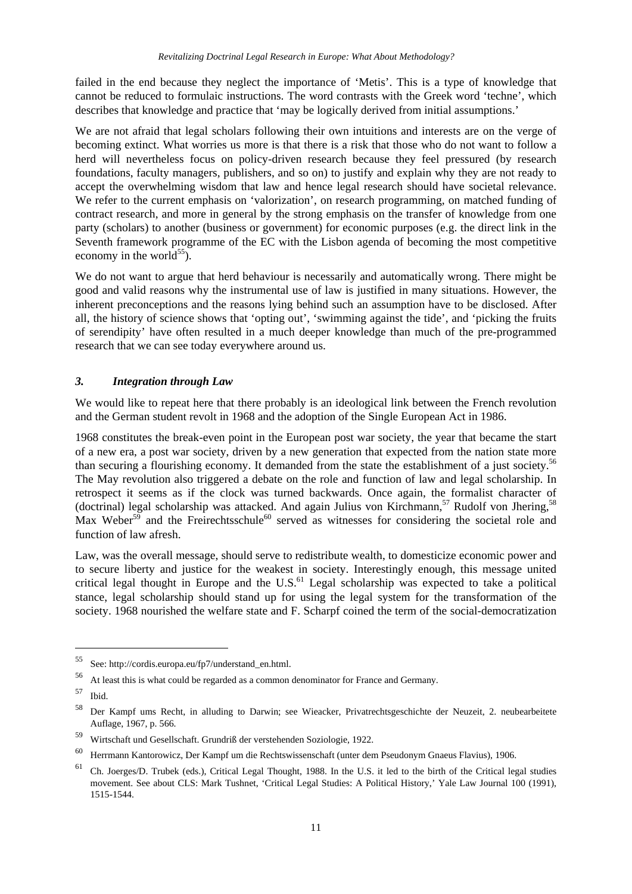failed in the end because they neglect the importance of 'Metis'. This is a type of knowledge that cannot be reduced to formulaic instructions. The word contrasts with the Greek word 'techne', which describes that knowledge and practice that 'may be logically derived from initial assumptions.'

We are not afraid that legal scholars following their own intuitions and interests are on the verge of becoming extinct. What worries us more is that there is a risk that those who do not want to follow a herd will nevertheless focus on policy-driven research because they feel pressured (by research foundations, faculty managers, publishers, and so on) to justify and explain why they are not ready to accept the overwhelming wisdom that law and hence legal research should have societal relevance. We refer to the current emphasis on 'valorization', on research programming, on matched funding of contract research, and more in general by the strong emphasis on the transfer of knowledge from one party (scholars) to another (business or government) for economic purposes (e.g. the direct link in the Seventh framework programme of the EC with the Lisbon agenda of becoming the most competitive economy in the world<sup>55</sup>).

We do not want to argue that herd behaviour is necessarily and automatically wrong. There might be good and valid reasons why the instrumental use of law is justified in many situations. However, the inherent preconceptions and the reasons lying behind such an assumption have to be disclosed. After all, the history of science shows that 'opting out', 'swimming against the tide', and 'picking the fruits of serendipity' have often resulted in a much deeper knowledge than much of the pre-programmed research that we can see today everywhere around us.

#### *3. Integration through Law*

We would like to repeat here that there probably is an ideological link between the French revolution and the German student revolt in 1968 and the adoption of the Single European Act in 1986.

1968 constitutes the break-even point in the European post war society, the year that became the start of a new era, a post war society, driven by a new generation that expected from the nation state more than securing a flourishing economy. It demanded from the state the establishment of a just society.<sup>56</sup> The May revolution also triggered a debate on the role and function of law and legal scholarship. In retrospect it seems as if the clock was turned backwards. Once again, the formalist character of (doctrinal) legal scholarship was attacked. And again Julius von Kirchmann,<sup>57</sup> Rudolf von Jhering,<sup>58</sup> Max Weber<sup>59</sup> and the Freirechtsschule<sup>60</sup> served as witnesses for considering the societal role and function of law afresh.

Law, was the overall message, should serve to redistribute wealth, to domesticize economic power and to secure liberty and justice for the weakest in society. Interestingly enough, this message united critical legal thought in Europe and the U.S. $<sup>61</sup>$  Legal scholarship was expected to take a political</sup> stance, legal scholarship should stand up for using the legal system for the transformation of the society. 1968 nourished the welfare state and F. Scharpf coined the term of the social-democratization

<sup>55</sup> See: http://cordis.europa.eu/fp7/understand\_en.html.

<sup>56</sup> At least this is what could be regarded as a common denominator for France and Germany.

 $57$  Ibid.

<sup>58</sup> Der Kampf ums Recht, in alluding to Darwin; see Wieacker, Privatrechtsgeschichte der Neuzeit, 2. neubearbeitete Auflage, 1967, p. 566.

<sup>59</sup> Wirtschaft und Gesellschaft. Grundriß der verstehenden Soziologie, 1922.

<sup>60</sup> Herrmann Kantorowicz, Der Kampf um die Rechtswissenschaft (unter dem Pseudonym Gnaeus Flavius), 1906.

 $61$  Ch. Joerges/D. Trubek (eds.), Critical Legal Thought, 1988. In the U.S. it led to the birth of the Critical legal studies movement. See about CLS: Mark Tushnet, 'Critical Legal Studies: A Political History,' Yale Law Journal 100 (1991), 1515-1544.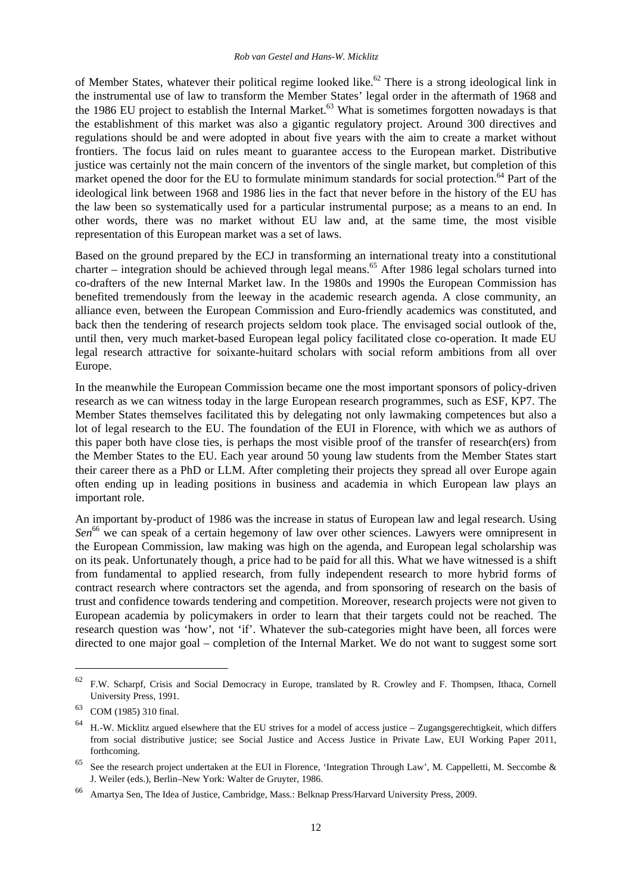of Member States, whatever their political regime looked like.<sup>62</sup> There is a strong ideological link in the instrumental use of law to transform the Member States' legal order in the aftermath of 1968 and the 1986 EU project to establish the Internal Market.<sup>63</sup> What is sometimes forgotten nowadays is that the establishment of this market was also a gigantic regulatory project. Around 300 directives and regulations should be and were adopted in about five years with the aim to create a market without frontiers. The focus laid on rules meant to guarantee access to the European market. Distributive justice was certainly not the main concern of the inventors of the single market, but completion of this market opened the door for the EU to formulate minimum standards for social protection.<sup>64</sup> Part of the ideological link between 1968 and 1986 lies in the fact that never before in the history of the EU has the law been so systematically used for a particular instrumental purpose; as a means to an end. In other words, there was no market without EU law and, at the same time, the most visible representation of this European market was a set of laws.

Based on the ground prepared by the ECJ in transforming an international treaty into a constitutional charter – integration should be achieved through legal means.<sup>65</sup> After 1986 legal scholars turned into co-drafters of the new Internal Market law. In the 1980s and 1990s the European Commission has benefited tremendously from the leeway in the academic research agenda. A close community, an alliance even, between the European Commission and Euro-friendly academics was constituted, and back then the tendering of research projects seldom took place. The envisaged social outlook of the, until then, very much market-based European legal policy facilitated close co-operation. It made EU legal research attractive for soixante-huitard scholars with social reform ambitions from all over Europe.

In the meanwhile the European Commission became one the most important sponsors of policy-driven research as we can witness today in the large European research programmes, such as ESF, KP7. The Member States themselves facilitated this by delegating not only lawmaking competences but also a lot of legal research to the EU. The foundation of the EUI in Florence, with which we as authors of this paper both have close ties, is perhaps the most visible proof of the transfer of research(ers) from the Member States to the EU. Each year around 50 young law students from the Member States start their career there as a PhD or LLM. After completing their projects they spread all over Europe again often ending up in leading positions in business and academia in which European law plays an important role.

An important by-product of 1986 was the increase in status of European law and legal research. Using *Sen*<sup>66</sup> we can speak of a certain hegemony of law over other sciences. Lawyers were omnipresent in the European Commission, law making was high on the agenda, and European legal scholarship was on its peak. Unfortunately though, a price had to be paid for all this. What we have witnessed is a shift from fundamental to applied research, from fully independent research to more hybrid forms of contract research where contractors set the agenda, and from sponsoring of research on the basis of trust and confidence towards tendering and competition. Moreover, research projects were not given to European academia by policymakers in order to learn that their targets could not be reached. The research question was 'how', not 'if'. Whatever the sub-categories might have been, all forces were directed to one major goal – completion of the Internal Market. We do not want to suggest some sort

-

<sup>62</sup> F.W. Scharpf, Crisis and Social Democracy in Europe, translated by R. Crowley and F. Thompsen, Ithaca, Cornell University Press, 1991.

 $63$  COM (1985) 310 final.

<sup>64</sup> H.-W. Micklitz argued elsewhere that the EU strives for a model of access justice – Zugangsgerechtigkeit, which differs from social distributive justice; see Social Justice and Access Justice in Private Law, EUI Working Paper 2011, forthcoming.

<sup>65</sup> See the research project undertaken at the EUI in Florence, 'Integration Through Law', M*.* Cappelletti, M. Seccombe & J. Weiler (eds.), Berlin–New York: Walter de Gruyter, 1986.

<sup>66</sup> Amartya Sen, The Idea of Justice, Cambridge, Mass.: Belknap Press/Harvard University Press, 2009.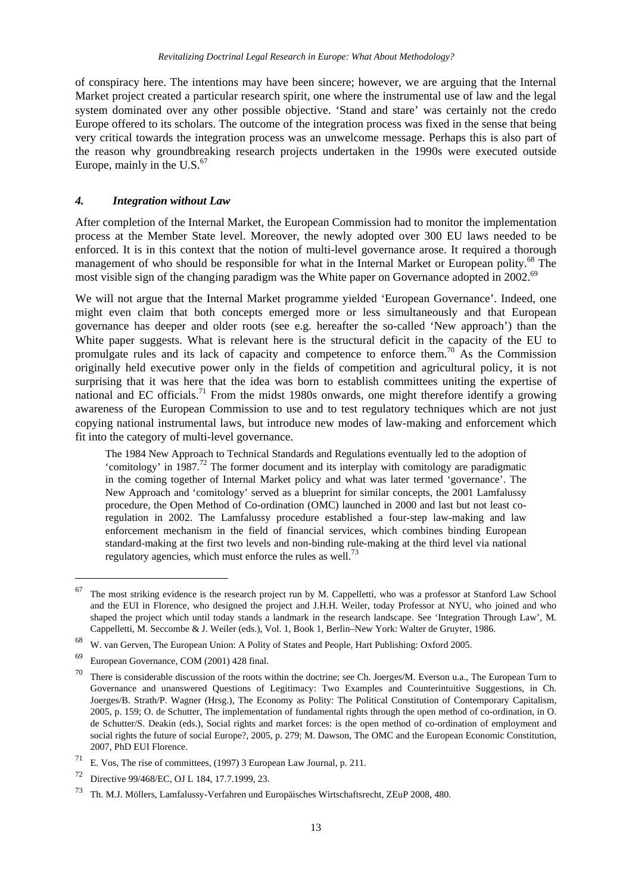of conspiracy here. The intentions may have been sincere; however, we are arguing that the Internal Market project created a particular research spirit, one where the instrumental use of law and the legal system dominated over any other possible objective. 'Stand and stare' was certainly not the credo Europe offered to its scholars. The outcome of the integration process was fixed in the sense that being very critical towards the integration process was an unwelcome message. Perhaps this is also part of the reason why groundbreaking research projects undertaken in the 1990s were executed outside Europe, mainly in the  $U.S.<sup>67</sup>$ 

#### *4. Integration without Law*

After completion of the Internal Market, the European Commission had to monitor the implementation process at the Member State level. Moreover, the newly adopted over 300 EU laws needed to be enforced. It is in this context that the notion of multi-level governance arose. It required a thorough management of who should be responsible for what in the Internal Market or European polity.<sup>68</sup> The most visible sign of the changing paradigm was the White paper on Governance adopted in 2002.<sup>69</sup>

We will not argue that the Internal Market programme yielded 'European Governance'. Indeed, one might even claim that both concepts emerged more or less simultaneously and that European governance has deeper and older roots (see e.g. hereafter the so-called 'New approach') than the White paper suggests. What is relevant here is the structural deficit in the capacity of the EU to promulgate rules and its lack of capacity and competence to enforce them.<sup>70</sup> As the Commission originally held executive power only in the fields of competition and agricultural policy, it is not surprising that it was here that the idea was born to establish committees uniting the expertise of national and EC officials.<sup>71</sup> From the midst 1980s onwards, one might therefore identify a growing awareness of the European Commission to use and to test regulatory techniques which are not just copying national instrumental laws, but introduce new modes of law-making and enforcement which fit into the category of multi-level governance.

The 1984 New Approach to Technical Standards and Regulations eventually led to the adoption of 'comitology' in 1987.<sup>72</sup> The former document and its interplay with comitology are paradigmatic in the coming together of Internal Market policy and what was later termed 'governance'. The New Approach and 'comitology' served as a blueprint for similar concepts, the 2001 Lamfalussy procedure, the Open Method of Co-ordination (OMC) launched in 2000 and last but not least coregulation in 2002. The Lamfalussy procedure established a four-step law-making and law enforcement mechanism in the field of financial services, which combines binding European standard-making at the first two levels and non-binding rule-making at the third level via national regulatory agencies, which must enforce the rules as well.<sup>73</sup>

The most striking evidence is the research project run by M. Cappelletti, who was a professor at Stanford Law School and the EUI in Florence, who designed the project and J.H.H. Weiler, today Professor at NYU, who joined and who shaped the project which until today stands a landmark in the research landscape. See 'Integration Through Law'*,* M*.*  Cappelletti, M. Seccombe & J. Weiler (eds.), Vol. 1, Book 1, Berlin–New York: Walter de Gruyter, 1986.

<sup>68</sup> W. van Gerven, The European Union: A Polity of States and People, Hart Publishing: Oxford 2005.

 $69$  European Governance, COM (2001) 428 final.

There is considerable discussion of the roots within the doctrine; see Ch. Joerges/M. Everson u.a., The European Turn to Governance and unanswered Questions of Legitimacy: Two Examples and Counterintuitive Suggestions, in Ch. Joerges/B. Strath/P. Wagner (Hrsg.), The Economy as Polity: The Political Constitution of Contemporary Capitalism, 2005, p. 159; O. de Schutter, The implementation of fundamental rights through the open method of co-ordination, in O. de Schutter/S. Deakin (eds.), Social rights and market forces: is the open method of co-ordination of employment and social rights the future of social Europe?, 2005, p. 279; M. Dawson, The OMC and the European Economic Constitution, 2007, PhD EUI Florence.

<sup>71</sup> E. Vos, The rise of committees, (1997) 3 European Law Journal, p. 211.

<sup>72</sup> Directive 99/468/EC, OJ L 184, 17.7.1999, 23.

<sup>73</sup> Th. M.J. Möllers, Lamfalussy-Verfahren und Europäisches Wirtschaftsrecht, ZEuP 2008, 480.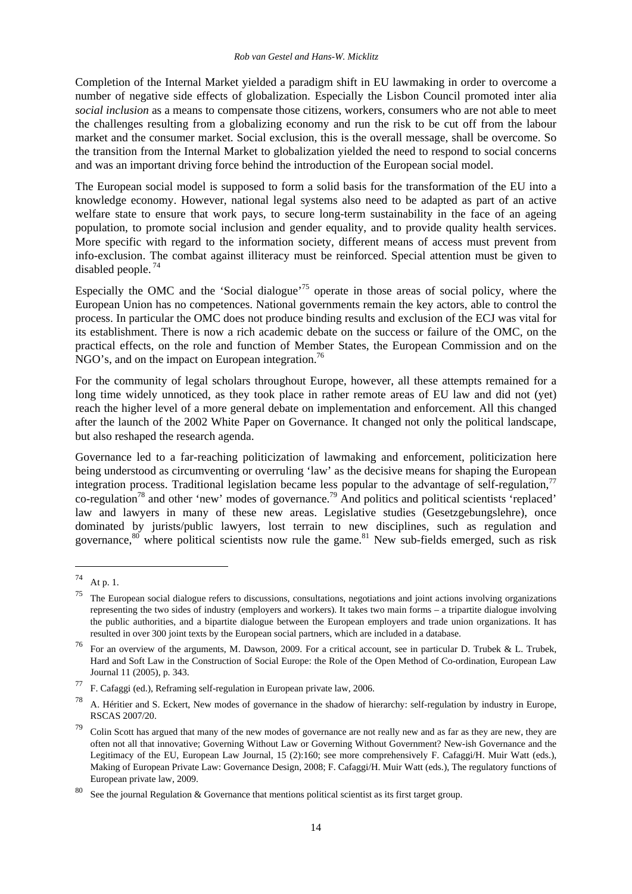Completion of the Internal Market yielded a paradigm shift in EU lawmaking in order to overcome a number of negative side effects of globalization. Especially the Lisbon Council promoted inter alia *social inclusion* as a means to compensate those citizens, workers, consumers who are not able to meet the challenges resulting from a globalizing economy and run the risk to be cut off from the labour market and the consumer market. Social exclusion, this is the overall message, shall be overcome. So the transition from the Internal Market to globalization yielded the need to respond to social concerns and was an important driving force behind the introduction of the European social model.

The European social model is supposed to form a solid basis for the transformation of the EU into a knowledge economy. However, national legal systems also need to be adapted as part of an active welfare state to ensure that work pays, to secure long-term sustainability in the face of an ageing population, to promote social inclusion and gender equality, and to provide quality health services. More specific with regard to the information society, different means of access must prevent from info-exclusion. The combat against illiteracy must be reinforced. Special attention must be given to disabled people. 74

Especially the OMC and the 'Social dialogue'<sup>75</sup> operate in those areas of social policy, where the European Union has no competences. National governments remain the key actors, able to control the process. In particular the OMC does not produce binding results and exclusion of the ECJ was vital for its establishment. There is now a rich academic debate on the success or failure of the OMC, on the practical effects, on the role and function of Member States, the European Commission and on the NGO's, and on the impact on European integration.<sup>76</sup>

For the community of legal scholars throughout Europe, however, all these attempts remained for a long time widely unnoticed, as they took place in rather remote areas of EU law and did not (yet) reach the higher level of a more general debate on implementation and enforcement. All this changed after the launch of the 2002 White Paper on Governance. It changed not only the political landscape, but also reshaped the research agenda.

Governance led to a far-reaching politicization of lawmaking and enforcement, politicization here being understood as circumventing or overruling 'law' as the decisive means for shaping the European integration process. Traditional legislation became less popular to the advantage of self-regulation, $^{77}$ co-regulation78 and other 'new' modes of governance.79 And politics and political scientists 'replaced' law and lawyers in many of these new areas. Legislative studies (Gesetzgebungslehre), once dominated by jurists/public lawyers, lost terrain to new disciplines, such as regulation and governance, $80$  where political scientists now rule the game.<sup>81</sup> New sub-fields emerged, such as risk

-

 $74$  At p. 1.

<sup>75</sup> The European social dialogue refers to discussions, consultations, negotiations and joint actions involving organizations representing the two sides of industry (employers and workers). It takes two main forms – a tripartite dialogue involving the public authorities, and a bipartite dialogue between the European employers and trade union organizations. It has resulted in over 300 joint texts by the European social partners, which are included in a database.

<sup>&</sup>lt;sup>76</sup> For an overview of the arguments, M. Dawson, 2009. For a critical account, see in particular D. Trubek & L. Trubek, Hard and Soft Law in the Construction of Social Europe: the Role of the Open Method of Co-ordination, European Law Journal 11 (2005), p. 343.

<sup>77</sup> F. Cafaggi (ed.), Reframing self-regulation in European private law, 2006.

<sup>&</sup>lt;sup>78</sup> A. Héritier and S. Eckert, New modes of governance in the shadow of hierarchy: self-regulation by industry in Europe, RSCAS 2007/20.

<sup>&</sup>lt;sup>79</sup> Colin Scott has argued that many of the new modes of governance are not really new and as far as they are new, they are often not all that innovative; Governing Without Law or Governing Without Government? New-ish Governance and the Legitimacy of the EU, European Law Journal, 15 (2):160; see more comprehensively F. Cafaggi/H. Muir Watt (eds.), Making of European Private Law: Governance Design, 2008; F. Cafaggi/H. Muir Watt (eds.), The regulatory functions of European private law, 2009.

<sup>80</sup> See the journal Regulation & Governance that mentions political scientist as its first target group.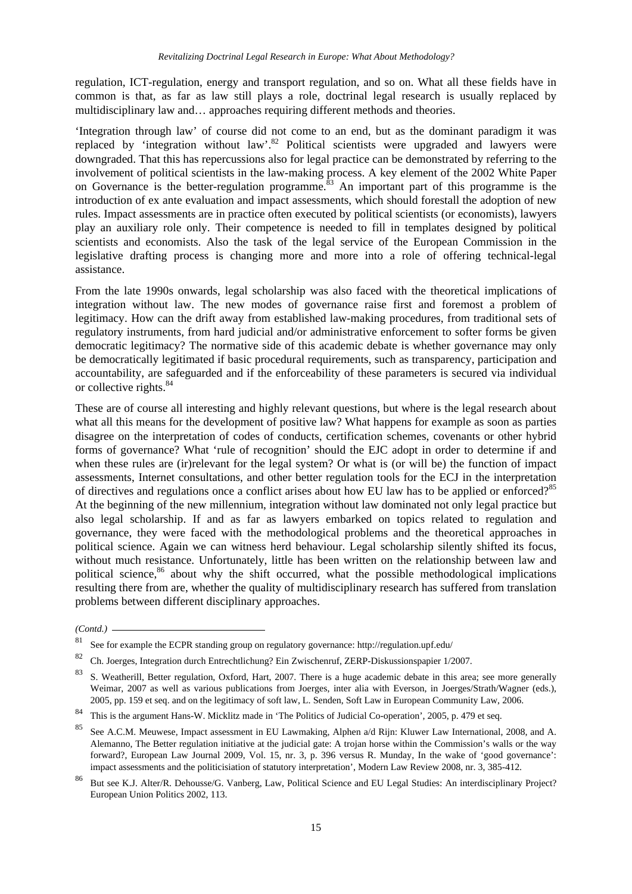regulation, ICT-regulation, energy and transport regulation, and so on. What all these fields have in common is that, as far as law still plays a role, doctrinal legal research is usually replaced by multidisciplinary law and… approaches requiring different methods and theories.

'Integration through law' of course did not come to an end, but as the dominant paradigm it was replaced by 'integration without law'.<sup>82</sup> Political scientists were upgraded and lawyers were downgraded. That this has repercussions also for legal practice can be demonstrated by referring to the involvement of political scientists in the law-making process. A key element of the 2002 White Paper on Governance is the better-regulation programme. $83$  An important part of this programme is the introduction of ex ante evaluation and impact assessments, which should forestall the adoption of new rules. Impact assessments are in practice often executed by political scientists (or economists), lawyers play an auxiliary role only. Their competence is needed to fill in templates designed by political scientists and economists. Also the task of the legal service of the European Commission in the legislative drafting process is changing more and more into a role of offering technical-legal assistance.

From the late 1990s onwards, legal scholarship was also faced with the theoretical implications of integration without law. The new modes of governance raise first and foremost a problem of legitimacy. How can the drift away from established law-making procedures, from traditional sets of regulatory instruments, from hard judicial and/or administrative enforcement to softer forms be given democratic legitimacy? The normative side of this academic debate is whether governance may only be democratically legitimated if basic procedural requirements, such as transparency, participation and accountability, are safeguarded and if the enforceability of these parameters is secured via individual or collective rights. $84$ 

These are of course all interesting and highly relevant questions, but where is the legal research about what all this means for the development of positive law? What happens for example as soon as parties disagree on the interpretation of codes of conducts, certification schemes, covenants or other hybrid forms of governance? What 'rule of recognition' should the EJC adopt in order to determine if and when these rules are (ir)relevant for the legal system? Or what is (or will be) the function of impact assessments, Internet consultations, and other better regulation tools for the ECJ in the interpretation of directives and regulations once a conflict arises about how EU law has to be applied or enforced?<sup>85</sup> At the beginning of the new millennium, integration without law dominated not only legal practice but also legal scholarship. If and as far as lawyers embarked on topics related to regulation and governance, they were faced with the methodological problems and the theoretical approaches in political science. Again we can witness herd behaviour. Legal scholarship silently shifted its focus, without much resistance. Unfortunately, little has been written on the relationship between law and political science, $86$  about why the shift occurred, what the possible methodological implications resulting there from are, whether the quality of multidisciplinary research has suffered from translation problems between different disciplinary approaches.

*<sup>(</sup>Contd.)* 

<sup>81</sup> See for example the ECPR standing group on regulatory governance: http://regulation.upf.edu/

<sup>82</sup> Ch. Joerges, Integration durch Entrechtlichung? Ein Zwischenruf, ZERP-Diskussionspapier 1/2007.

<sup>83</sup> S. Weatherill, Better regulation, Oxford, Hart, 2007. There is a huge academic debate in this area; see more generally Weimar, 2007 as well as various publications from Joerges, inter alia with Everson, in Joerges/Strath/Wagner (eds.), 2005, pp. 159 et seq. and on the legitimacy of soft law, L. Senden, Soft Law in European Community Law, 2006.

<sup>84</sup> This is the argument Hans-W. Micklitz made in 'The Politics of Judicial Co-operation', 2005, p. 479 et seq.

<sup>85</sup> See A.C.M. Meuwese, Impact assessment in EU Lawmaking, Alphen a/d Rijn: Kluwer Law International, 2008, and A. Alemanno, The Better regulation initiative at the judicial gate: A trojan horse within the Commission's walls or the way forward?, European Law Journal 2009, Vol. 15, nr. 3, p. 396 versus R. Munday, In the wake of 'good governance': impact assessments and the politicisiation of statutory interpretation', Modern Law Review 2008, nr. 3, 385-412.

<sup>86</sup> But see K.J. Alter/R. Dehousse/G. Vanberg, Law, Political Science and EU Legal Studies: An interdisciplinary Project? European Union Politics 2002, 113.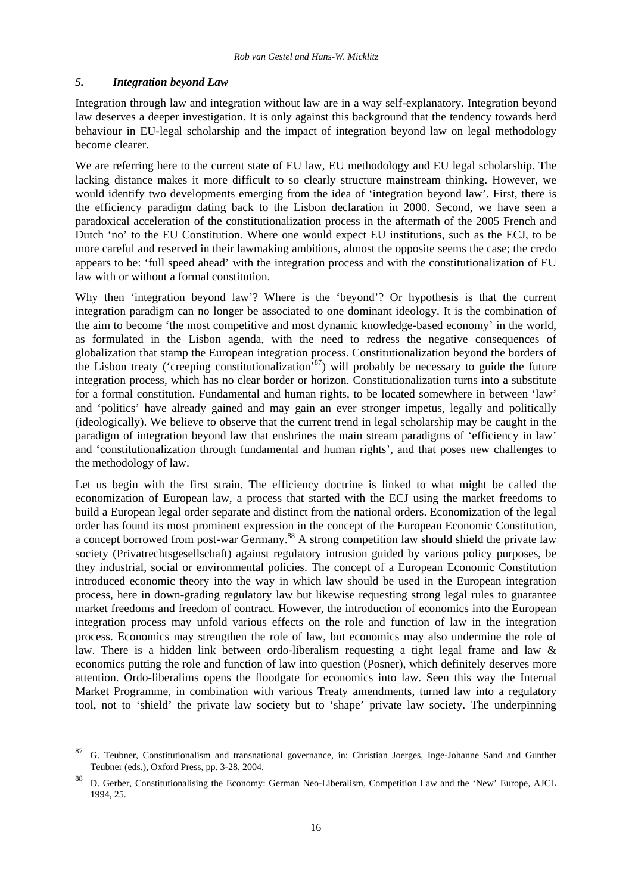#### *5. Integration beyond Law*

1

Integration through law and integration without law are in a way self-explanatory. Integration beyond law deserves a deeper investigation. It is only against this background that the tendency towards herd behaviour in EU-legal scholarship and the impact of integration beyond law on legal methodology become clearer.

We are referring here to the current state of EU law, EU methodology and EU legal scholarship. The lacking distance makes it more difficult to so clearly structure mainstream thinking. However, we would identify two developments emerging from the idea of 'integration beyond law'. First, there is the efficiency paradigm dating back to the Lisbon declaration in 2000. Second, we have seen a paradoxical acceleration of the constitutionalization process in the aftermath of the 2005 French and Dutch 'no' to the EU Constitution. Where one would expect EU institutions, such as the ECJ, to be more careful and reserved in their lawmaking ambitions, almost the opposite seems the case; the credo appears to be: 'full speed ahead' with the integration process and with the constitutionalization of EU law with or without a formal constitution.

Why then 'integration beyond law'? Where is the 'beyond'? Or hypothesis is that the current integration paradigm can no longer be associated to one dominant ideology. It is the combination of the aim to become 'the most competitive and most dynamic knowledge-based economy' in the world, as formulated in the Lisbon agenda, with the need to redress the negative consequences of globalization that stamp the European integration process. Constitutionalization beyond the borders of the Lisbon treaty ('creeping constitutionalization<sup>587</sup>) will probably be necessary to guide the future integration process, which has no clear border or horizon. Constitutionalization turns into a substitute for a formal constitution. Fundamental and human rights, to be located somewhere in between 'law' and 'politics' have already gained and may gain an ever stronger impetus, legally and politically (ideologically). We believe to observe that the current trend in legal scholarship may be caught in the paradigm of integration beyond law that enshrines the main stream paradigms of 'efficiency in law' and 'constitutionalization through fundamental and human rights', and that poses new challenges to the methodology of law.

Let us begin with the first strain. The efficiency doctrine is linked to what might be called the economization of European law, a process that started with the ECJ using the market freedoms to build a European legal order separate and distinct from the national orders. Economization of the legal order has found its most prominent expression in the concept of the European Economic Constitution, a concept borrowed from post-war Germany.<sup>88</sup> A strong competition law should shield the private law society (Privatrechtsgesellschaft) against regulatory intrusion guided by various policy purposes, be they industrial, social or environmental policies. The concept of a European Economic Constitution introduced economic theory into the way in which law should be used in the European integration process, here in down-grading regulatory law but likewise requesting strong legal rules to guarantee market freedoms and freedom of contract. However, the introduction of economics into the European integration process may unfold various effects on the role and function of law in the integration process. Economics may strengthen the role of law, but economics may also undermine the role of law. There is a hidden link between ordo-liberalism requesting a tight legal frame and law & economics putting the role and function of law into question (Posner), which definitely deserves more attention. Ordo-liberalims opens the floodgate for economics into law. Seen this way the Internal Market Programme, in combination with various Treaty amendments, turned law into a regulatory tool, not to 'shield' the private law society but to 'shape' private law society. The underpinning

<sup>87</sup> G. Teubner, Constitutionalism and transnational governance, in: Christian Joerges, Inge-Johanne Sand and Gunther Teubner (eds.), Oxford Press, pp. 3-28, 2004.

<sup>88</sup> D. Gerber, Constitutionalising the Economy: German Neo-Liberalism, Competition Law and the 'New' Europe, AJCL 1994, 25.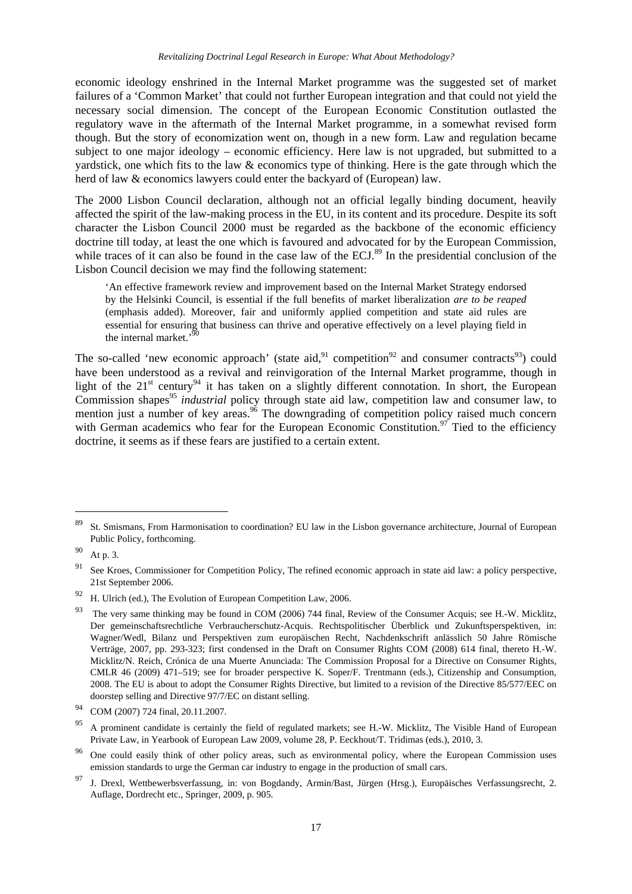economic ideology enshrined in the Internal Market programme was the suggested set of market failures of a 'Common Market' that could not further European integration and that could not yield the necessary social dimension. The concept of the European Economic Constitution outlasted the regulatory wave in the aftermath of the Internal Market programme, in a somewhat revised form though. But the story of economization went on, though in a new form. Law and regulation became subject to one major ideology – economic efficiency. Here law is not upgraded, but submitted to a yardstick, one which fits to the law & economics type of thinking. Here is the gate through which the herd of law & economics lawyers could enter the backyard of (European) law.

The 2000 Lisbon Council declaration, although not an official legally binding document, heavily affected the spirit of the law-making process in the EU, in its content and its procedure. Despite its soft character the Lisbon Council 2000 must be regarded as the backbone of the economic efficiency doctrine till today, at least the one which is favoured and advocated for by the European Commission, while traces of it can also be found in the case law of the ECJ. $89$  In the presidential conclusion of the Lisbon Council decision we may find the following statement:

'An effective framework review and improvement based on the Internal Market Strategy endorsed by the Helsinki Council, is essential if the full benefits of market liberalization *are to be reaped* (emphasis added). Moreover, fair and uniformly applied competition and state aid rules are essential for ensuring that business can thrive and operative effectively on a level playing field in the internal market.'

The so-called 'new economic approach' (state aid, $91$  competition $92$  and consumer contracts $93$ ) could have been understood as a revival and reinvigoration of the Internal Market programme, though in light of the  $21^{st}$  century<sup>94</sup> it has taken on a slightly different connotation. In short, the European Commission shapes<sup>95</sup> *industrial* policy through state aid law, competition law and consumer law, to mention just a number of key areas.<sup>96</sup> The downgrading of competition policy raised much concern with German academics who fear for the European Economic Constitution.<sup>97</sup> Tied to the efficiency doctrine, it seems as if these fears are justified to a certain extent.

<sup>89</sup> St. Smismans, From Harmonisation to coordination? EU law in the Lisbon governance architecture, Journal of European Public Policy, forthcoming.

 $90$  At p. 3.

<sup>&</sup>lt;sup>91</sup> See Kroes, Commissioner for Competition Policy, The refined economic approach in state aid law: a policy perspective, 21st September 2006.

 $92$  H. Ulrich (ed.), The Evolution of European Competition Law, 2006.

<sup>93</sup> The very same thinking may be found in COM (2006) 744 final, Review of the Consumer Acquis; see H.-W. Micklitz, Der gemeinschaftsrechtliche Verbraucherschutz-Acquis. Rechtspolitischer Überblick und Zukunftsperspektiven, in: Wagner/Wedl, Bilanz und Perspektiven zum europäischen Recht, Nachdenkschrift anlässlich 50 Jahre Römische Verträge, 2007, pp. 293-323; first condensed in the Draft on Consumer Rights COM (2008) 614 final, thereto H.-W. Micklitz/N. Reich, Crónica de una Muerte Anunciada: The Commission Proposal for a Directive on Consumer Rights, CMLR 46 (2009) 471–519; see for broader perspective K. Soper/F. Trentmann (eds.), Citizenship and Consumption, 2008. The EU is about to adopt the Consumer Rights Directive, but limited to a revision of the Directive 85/577/EEC on doorstep selling and Directive 97/7/EC on distant selling.

<sup>&</sup>lt;sup>94</sup> COM (2007) 724 final, 20.11.2007.

<sup>95</sup> A prominent candidate is certainly the field of regulated markets; see H.-W. Micklitz, The Visible Hand of European Private Law, in Yearbook of European Law 2009, volume 28, P. Eeckhout/T. Tridimas (eds.), 2010, 3.

<sup>96</sup> One could easily think of other policy areas, such as environmental policy, where the European Commission uses emission standards to urge the German car industry to engage in the production of small cars.

<sup>97</sup> J. Drexl, Wettbewerbsverfassung*,* in: von Bogdandy, Armin/Bast, Jürgen (Hrsg.), Europäisches Verfassungsrecht, 2. Auflage, Dordrecht etc., Springer, 2009, p. 905.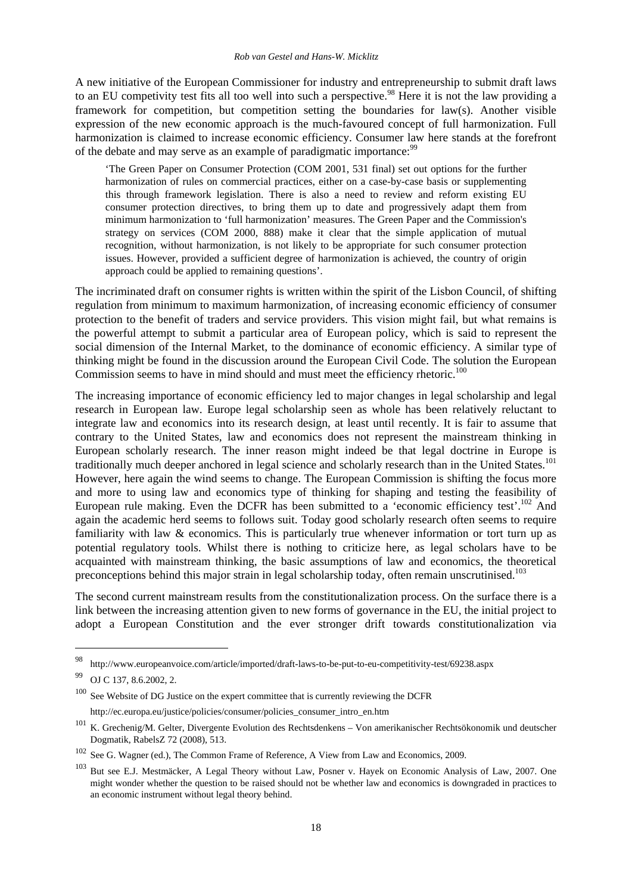A new initiative of the European Commissioner for industry and entrepreneurship to submit draft laws to an EU competivity test fits all too well into such a perspective.<sup>98</sup> Here it is not the law providing a framework for competition, but competition setting the boundaries for law(s). Another visible expression of the new economic approach is the much-favoured concept of full harmonization. Full harmonization is claimed to increase economic efficiency. Consumer law here stands at the forefront of the debate and may serve as an example of paradigmatic importance.<sup>99</sup>

'The Green Paper on Consumer Protection (COM 2001, 531 final) set out options for the further harmonization of rules on commercial practices, either on a case-by-case basis or supplementing this through framework legislation. There is also a need to review and reform existing EU consumer protection directives, to bring them up to date and progressively adapt them from minimum harmonization to 'full harmonization' measures. The Green Paper and the Commission's strategy on services (COM 2000, 888) make it clear that the simple application of mutual recognition, without harmonization, is not likely to be appropriate for such consumer protection issues. However, provided a sufficient degree of harmonization is achieved, the country of origin approach could be applied to remaining questions'.

The incriminated draft on consumer rights is written within the spirit of the Lisbon Council, of shifting regulation from minimum to maximum harmonization, of increasing economic efficiency of consumer protection to the benefit of traders and service providers. This vision might fail, but what remains is the powerful attempt to submit a particular area of European policy, which is said to represent the social dimension of the Internal Market, to the dominance of economic efficiency. A similar type of thinking might be found in the discussion around the European Civil Code. The solution the European Commission seems to have in mind should and must meet the efficiency rhetoric.<sup>100</sup>

The increasing importance of economic efficiency led to major changes in legal scholarship and legal research in European law. Europe legal scholarship seen as whole has been relatively reluctant to integrate law and economics into its research design, at least until recently. It is fair to assume that contrary to the United States, law and economics does not represent the mainstream thinking in European scholarly research. The inner reason might indeed be that legal doctrine in Europe is traditionally much deeper anchored in legal science and scholarly research than in the United States.<sup>101</sup> However, here again the wind seems to change. The European Commission is shifting the focus more and more to using law and economics type of thinking for shaping and testing the feasibility of European rule making. Even the DCFR has been submitted to a 'economic efficiency test'.<sup>102</sup> And again the academic herd seems to follows suit. Today good scholarly research often seems to require familiarity with law & economics. This is particularly true whenever information or tort turn up as potential regulatory tools. Whilst there is nothing to criticize here, as legal scholars have to be acquainted with mainstream thinking, the basic assumptions of law and economics, the theoretical preconceptions behind this major strain in legal scholarship today, often remain unscrutinised.<sup>103</sup>

The second current mainstream results from the constitutionalization process. On the surface there is a link between the increasing attention given to new forms of governance in the EU, the initial project to adopt a European Constitution and the ever stronger drift towards constitutionalization via

<sup>98</sup> http://www.europeanvoice.com/article/imported/draft-laws-to-be-put-to-eu-competitivity-test/69238.aspx

<sup>99</sup> OJ C 137, 8.6.2002, 2.

<sup>&</sup>lt;sup>100</sup> See Website of DG Justice on the expert committee that is currently reviewing the DCFR

http://ec.europa.eu/justice/policies/consumer/policies\_consumer\_intro\_en.htm

 $101$  K. Grechenig/M. Gelter, Divergente Evolution des Rechtsdenkens – Von amerikanischer Rechtsökonomik und deutscher Dogmatik, RabelsZ 72 (2008), 513.

<sup>&</sup>lt;sup>102</sup> See G. Wagner (ed.), The Common Frame of Reference, A View from Law and Economics, 2009.

<sup>103</sup> But see E.J. Mestmäcker, A Legal Theory without Law, Posner v. Hayek on Economic Analysis of Law, 2007. One might wonder whether the question to be raised should not be whether law and economics is downgraded in practices to an economic instrument without legal theory behind.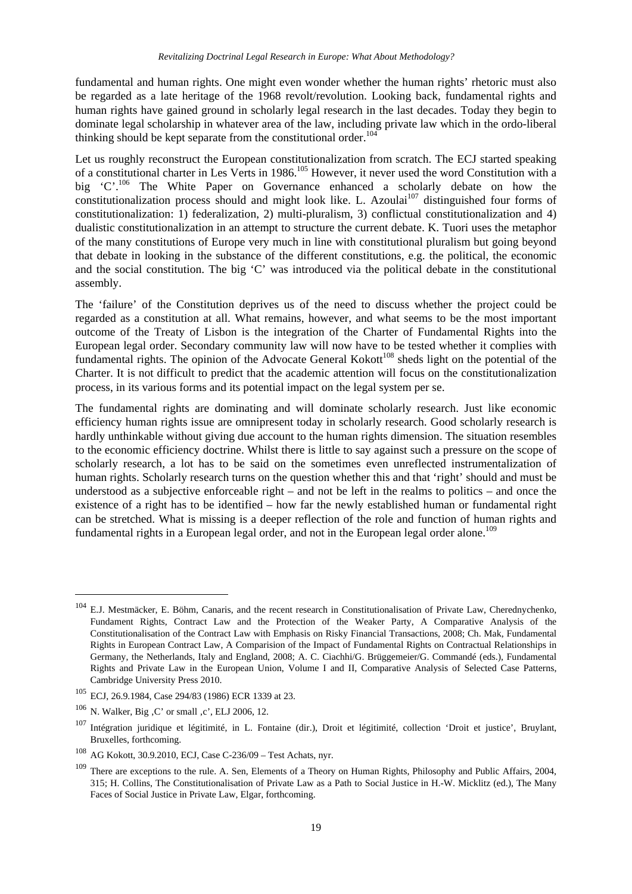fundamental and human rights. One might even wonder whether the human rights' rhetoric must also be regarded as a late heritage of the 1968 revolt/revolution. Looking back, fundamental rights and human rights have gained ground in scholarly legal research in the last decades. Today they begin to dominate legal scholarship in whatever area of the law, including private law which in the ordo-liberal thinking should be kept separate from the constitutional order.<sup>104</sup>

Let us roughly reconstruct the European constitutionalization from scratch. The ECJ started speaking of a constitutional charter in Les Verts in 1986.105 However, it never used the word Constitution with a big 'C'.<sup>106</sup> The White Paper on Governance enhanced a scholarly debate on how the constitutionalization process should and might look like. L. Azoulai<sup>107</sup> distinguished four forms of constitutionalization: 1) federalization, 2) multi-pluralism, 3) conflictual constitutionalization and 4) dualistic constitutionalization in an attempt to structure the current debate. K. Tuori uses the metaphor of the many constitutions of Europe very much in line with constitutional pluralism but going beyond that debate in looking in the substance of the different constitutions, e.g. the political, the economic and the social constitution. The big 'C' was introduced via the political debate in the constitutional assembly.

The 'failure' of the Constitution deprives us of the need to discuss whether the project could be regarded as a constitution at all. What remains, however, and what seems to be the most important outcome of the Treaty of Lisbon is the integration of the Charter of Fundamental Rights into the European legal order. Secondary community law will now have to be tested whether it complies with fundamental rights. The opinion of the Advocate General Kokott<sup>108</sup> sheds light on the potential of the Charter. It is not difficult to predict that the academic attention will focus on the constitutionalization process, in its various forms and its potential impact on the legal system per se.

The fundamental rights are dominating and will dominate scholarly research. Just like economic efficiency human rights issue are omnipresent today in scholarly research. Good scholarly research is hardly unthinkable without giving due account to the human rights dimension. The situation resembles to the economic efficiency doctrine. Whilst there is little to say against such a pressure on the scope of scholarly research, a lot has to be said on the sometimes even unreflected instrumentalization of human rights. Scholarly research turns on the question whether this and that 'right' should and must be understood as a subjective enforceable right – and not be left in the realms to politics – and once the existence of a right has to be identified – how far the newly established human or fundamental right can be stretched. What is missing is a deeper reflection of the role and function of human rights and fundamental rights in a European legal order, and not in the European legal order alone.<sup>109</sup>

<sup>&</sup>lt;sup>104</sup> E.J. Mestmäcker, E. Böhm, Canaris, and the recent research in Constitutionalisation of Private Law, Cherednychenko, Fundament Rights, Contract Law and the Protection of the Weaker Party, A Comparative Analysis of the Constitutionalisation of the Contract Law with Emphasis on Risky Financial Transactions, 2008; Ch. Mak, Fundamental Rights in European Contract Law, A Comparision of the Impact of Fundamental Rights on Contractual Relationships in Germany, the Netherlands, Italy and England, 2008; A. C. Ciachhi/G. Brüggemeier/G. Commandé (eds.), Fundamental Rights and Private Law in the European Union, Volume I and II, Comparative Analysis of Selected Case Patterns, Cambridge University Press 2010.

<sup>105</sup> ECJ, 26.9.1984, Case 294/83 (1986) ECR 1339 at 23.

 $106$  N. Walker, Big (C' or small (c', ELJ 2006, 12.

<sup>&</sup>lt;sup>107</sup> Intégration iuridique et légitimité, in L. Fontaine (dir.), Droit et légitimité, collection 'Droit et justice', Bruylant, Bruxelles, forthcoming.

<sup>108</sup> AG Kokott, 30.9.2010, ECJ, Case C-236/09 – Test Achats, nyr.

<sup>&</sup>lt;sup>109</sup> There are exceptions to the rule. A. Sen, Elements of a Theory on Human Rights, Philosophy and Public Affairs, 2004, 315; H. Collins, The Constitutionalisation of Private Law as a Path to Social Justice in H.-W. Micklitz (ed.), The Many Faces of Social Justice in Private Law, Elgar, forthcoming.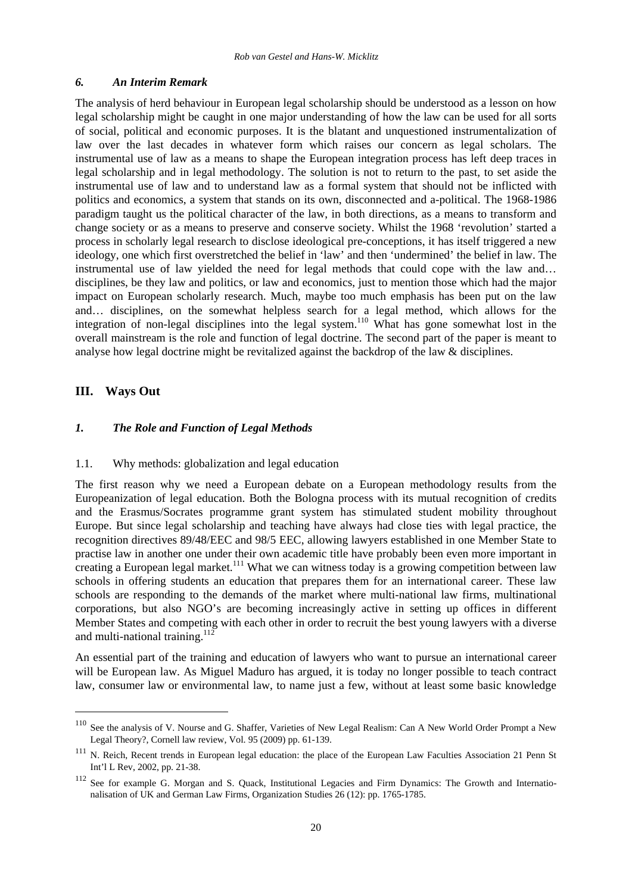#### *6. An Interim Remark*

The analysis of herd behaviour in European legal scholarship should be understood as a lesson on how legal scholarship might be caught in one major understanding of how the law can be used for all sorts of social, political and economic purposes. It is the blatant and unquestioned instrumentalization of law over the last decades in whatever form which raises our concern as legal scholars. The instrumental use of law as a means to shape the European integration process has left deep traces in legal scholarship and in legal methodology. The solution is not to return to the past, to set aside the instrumental use of law and to understand law as a formal system that should not be inflicted with politics and economics, a system that stands on its own, disconnected and a-political. The 1968-1986 paradigm taught us the political character of the law, in both directions, as a means to transform and change society or as a means to preserve and conserve society. Whilst the 1968 'revolution' started a process in scholarly legal research to disclose ideological pre-conceptions, it has itself triggered a new ideology, one which first overstretched the belief in 'law' and then 'undermined' the belief in law. The instrumental use of law yielded the need for legal methods that could cope with the law and… disciplines, be they law and politics, or law and economics, just to mention those which had the major impact on European scholarly research. Much, maybe too much emphasis has been put on the law and… disciplines, on the somewhat helpless search for a legal method, which allows for the integration of non-legal disciplines into the legal system.110 What has gone somewhat lost in the overall mainstream is the role and function of legal doctrine. The second part of the paper is meant to analyse how legal doctrine might be revitalized against the backdrop of the law & disciplines.

#### **III. Ways Out**

1

#### *1. The Role and Function of Legal Methods*

#### 1.1. Why methods: globalization and legal education

The first reason why we need a European debate on a European methodology results from the Europeanization of legal education. Both the Bologna process with its mutual recognition of credits and the Erasmus/Socrates programme grant system has stimulated student mobility throughout Europe. But since legal scholarship and teaching have always had close ties with legal practice, the recognition directives 89/48/EEC and 98/5 EEC, allowing lawyers established in one Member State to practise law in another one under their own academic title have probably been even more important in creating a European legal market.<sup>111</sup> What we can witness today is a growing competition between law schools in offering students an education that prepares them for an international career. These law schools are responding to the demands of the market where multi-national law firms, multinational corporations, but also NGO's are becoming increasingly active in setting up offices in different Member States and competing with each other in order to recruit the best young lawyers with a diverse and multi-national training. $112$ 

An essential part of the training and education of lawyers who want to pursue an international career will be European law. As Miguel Maduro has argued, it is today no longer possible to teach contract law, consumer law or environmental law, to name just a few, without at least some basic knowledge

<sup>110</sup> See the analysis of V. Nourse and G. Shaffer, Varieties of New Legal Realism: Can A New World Order Prompt a New Legal Theory?, Cornell law review, Vol. 95 (2009) pp. 61-139.

<sup>&</sup>lt;sup>111</sup> N. Reich, Recent trends in European legal education: the place of the European Law Faculties Association 21 Penn St Int'l L Rev, 2002, pp. 21-38.

<sup>&</sup>lt;sup>112</sup> See for example G. Morgan and S. Quack, Institutional Legacies and Firm Dynamics: The Growth and Internationalisation of UK and German Law Firms, Organization Studies 26 (12): pp. 1765-1785.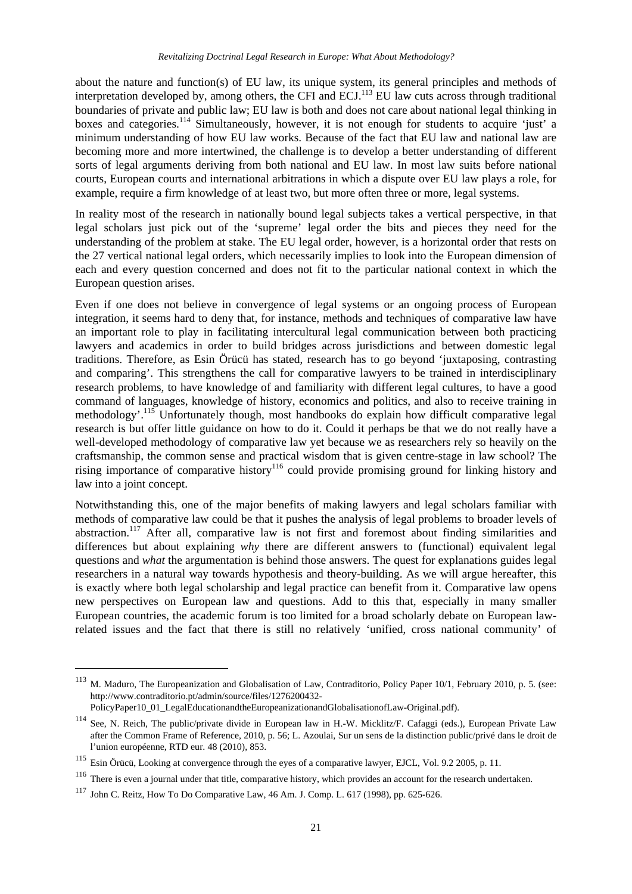about the nature and function(s) of EU law, its unique system, its general principles and methods of interpretation developed by, among others, the CFI and ECJ.<sup>113</sup> EU law cuts across through traditional boundaries of private and public law; EU law is both and does not care about national legal thinking in boxes and categories.<sup>114</sup> Simultaneously, however, it is not enough for students to acquire 'just' a minimum understanding of how EU law works. Because of the fact that EU law and national law are becoming more and more intertwined, the challenge is to develop a better understanding of different sorts of legal arguments deriving from both national and EU law. In most law suits before national courts, European courts and international arbitrations in which a dispute over EU law plays a role, for example, require a firm knowledge of at least two, but more often three or more, legal systems.

In reality most of the research in nationally bound legal subjects takes a vertical perspective, in that legal scholars just pick out of the 'supreme' legal order the bits and pieces they need for the understanding of the problem at stake. The EU legal order, however, is a horizontal order that rests on the 27 vertical national legal orders, which necessarily implies to look into the European dimension of each and every question concerned and does not fit to the particular national context in which the European question arises.

Even if one does not believe in convergence of legal systems or an ongoing process of European integration, it seems hard to deny that, for instance, methods and techniques of comparative law have an important role to play in facilitating intercultural legal communication between both practicing lawyers and academics in order to build bridges across jurisdictions and between domestic legal traditions. Therefore, as Esin Örücü has stated, research has to go beyond 'juxtaposing, contrasting and comparing'. This strengthens the call for comparative lawyers to be trained in interdisciplinary research problems, to have knowledge of and familiarity with different legal cultures, to have a good command of languages, knowledge of history, economics and politics, and also to receive training in methodology'.<sup>115</sup> Unfortunately though, most handbooks do explain how difficult comparative legal research is but offer little guidance on how to do it. Could it perhaps be that we do not really have a well-developed methodology of comparative law yet because we as researchers rely so heavily on the craftsmanship, the common sense and practical wisdom that is given centre-stage in law school? The rising importance of comparative history<sup>116</sup> could provide promising ground for linking history and law into a joint concept.

Notwithstanding this, one of the major benefits of making lawyers and legal scholars familiar with methods of comparative law could be that it pushes the analysis of legal problems to broader levels of abstraction.117 After all, comparative law is not first and foremost about finding similarities and differences but about explaining *why* there are different answers to (functional) equivalent legal questions and *what* the argumentation is behind those answers. The quest for explanations guides legal researchers in a natural way towards hypothesis and theory-building. As we will argue hereafter, this is exactly where both legal scholarship and legal practice can benefit from it. Comparative law opens new perspectives on European law and questions. Add to this that, especially in many smaller European countries, the academic forum is too limited for a broad scholarly debate on European lawrelated issues and the fact that there is still no relatively 'unified, cross national community' of

-

<sup>113</sup> M. Maduro, The Europeanization and Globalisation of Law, Contraditorio, Policy Paper 10/1, February 2010, p. 5. (see: http://www.contraditorio.pt/admin/source/files/1276200432-

PolicyPaper10\_01\_LegalEducationandtheEuropeanizationandGlobalisationofLaw-Original.pdf).

<sup>114</sup> See, N. Reich, The public/private divide in European law in H.-W. Micklitz/F. Cafaggi (eds.), European Private Law after the Common Frame of Reference, 2010, p. 56; L. Azoulai, Sur un sens de la distinction public/privé dans le droit de l'union européenne, RTD eur. 48 (2010), 853.

<sup>&</sup>lt;sup>115</sup> Esin Örücü, Looking at convergence through the eyes of a comparative lawyer, EJCL, Vol. 9.2 2005, p. 11.

<sup>&</sup>lt;sup>116</sup> There is even a journal under that title, comparative history, which provides an account for the research undertaken.

<sup>117</sup> John C. Reitz, How To Do Comparative Law, 46 Am. J. Comp. L. 617 (1998), pp. 625-626.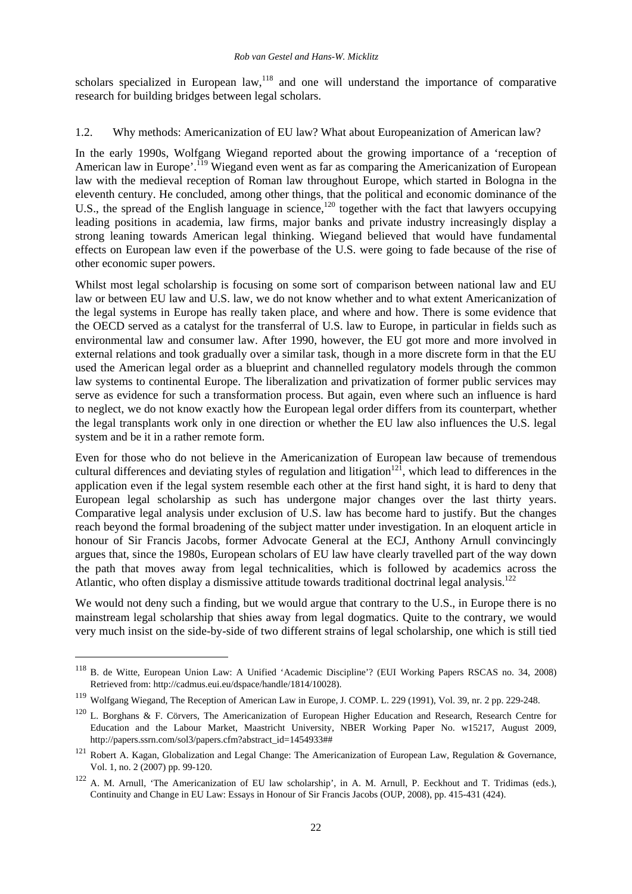scholars specialized in European law,  $118$  and one will understand the importance of comparative research for building bridges between legal scholars.

#### 1.2. Why methods: Americanization of EU law? What about Europeanization of American law?

In the early 1990s, Wolfgang Wiegand reported about the growing importance of a 'reception of American law in Europe'.<sup>119</sup> Wiegand even went as far as comparing the Americanization of European law with the medieval reception of Roman law throughout Europe, which started in Bologna in the eleventh century. He concluded, among other things, that the political and economic dominance of the U.S., the spread of the English language in science,<sup>120</sup> together with the fact that lawyers occupying leading positions in academia, law firms, major banks and private industry increasingly display a strong leaning towards American legal thinking. Wiegand believed that would have fundamental effects on European law even if the powerbase of the U.S. were going to fade because of the rise of other economic super powers.

Whilst most legal scholarship is focusing on some sort of comparison between national law and EU law or between EU law and U.S. law, we do not know whether and to what extent Americanization of the legal systems in Europe has really taken place, and where and how. There is some evidence that the OECD served as a catalyst for the transferral of U.S. law to Europe, in particular in fields such as environmental law and consumer law. After 1990, however, the EU got more and more involved in external relations and took gradually over a similar task, though in a more discrete form in that the EU used the American legal order as a blueprint and channelled regulatory models through the common law systems to continental Europe. The liberalization and privatization of former public services may serve as evidence for such a transformation process. But again, even where such an influence is hard to neglect, we do not know exactly how the European legal order differs from its counterpart, whether the legal transplants work only in one direction or whether the EU law also influences the U.S. legal system and be it in a rather remote form.

Even for those who do not believe in the Americanization of European law because of tremendous cultural differences and deviating styles of regulation and litigation<sup>121</sup>, which lead to differences in the application even if the legal system resemble each other at the first hand sight, it is hard to deny that European legal scholarship as such has undergone major changes over the last thirty years. Comparative legal analysis under exclusion of U.S. law has become hard to justify. But the changes reach beyond the formal broadening of the subject matter under investigation. In an eloquent article in honour of Sir Francis Jacobs, former Advocate General at the ECJ, Anthony Arnull convincingly argues that, since the 1980s, European scholars of EU law have clearly travelled part of the way down the path that moves away from legal technicalities, which is followed by academics across the Atlantic, who often display a dismissive attitude towards traditional doctrinal legal analysis.<sup>122</sup>

We would not deny such a finding, but we would argue that contrary to the U.S., in Europe there is no mainstream legal scholarship that shies away from legal dogmatics. Quite to the contrary, we would very much insist on the side-by-side of two different strains of legal scholarship, one which is still tied

<sup>118</sup> B. de Witte, European Union Law: A Unified 'Academic Discipline'? (EUI Working Papers RSCAS no. 34, 2008) Retrieved from: http://cadmus.eui.eu/dspace/handle/1814/10028).

<sup>119</sup> Wolfgang Wiegand, The Reception of American Law in Europe, J. COMP. L. 229 (1991), Vol. 39, nr. 2 pp. 229-248.

<sup>&</sup>lt;sup>120</sup> L. Borghans & F. Cörvers, The Americanization of European Higher Education and Research, Research Centre for Education and the Labour Market, Maastricht University, NBER Working Paper No. w15217, August 2009, http://papers.ssrn.com/sol3/papers.cfm?abstract\_id=1454933##

<sup>121</sup> Robert A. Kagan, Globalization and Legal Change: The Americanization of European Law, Regulation & Governance, Vol. 1, no. 2 (2007) pp. 99-120.

<sup>&</sup>lt;sup>122</sup> A. M. Arnull, 'The Americanization of EU law scholarship', in A. M. Arnull, P. Eeckhout and T. Tridimas (eds.), Continuity and Change in EU Law: Essays in Honour of Sir Francis Jacobs (OUP, 2008), pp. 415-431 (424).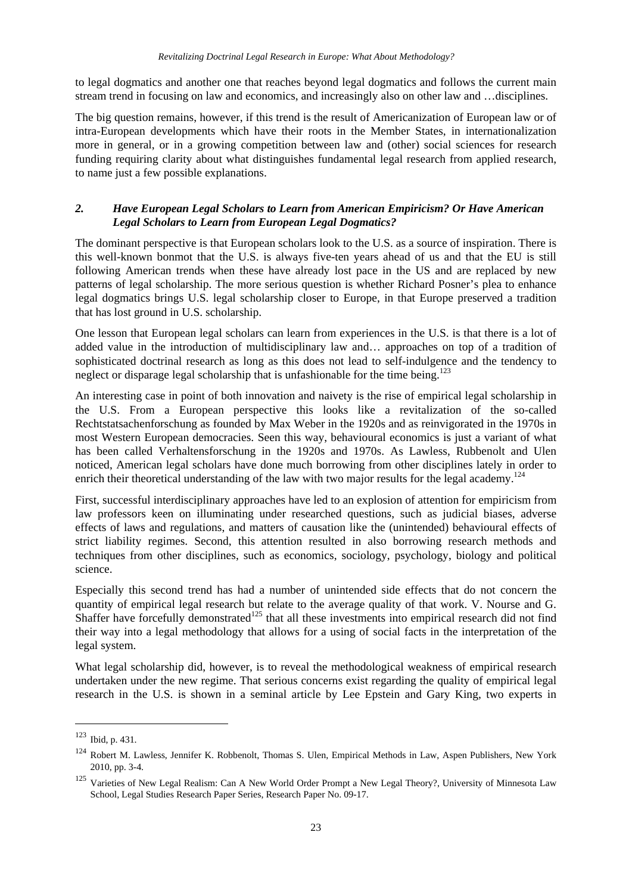to legal dogmatics and another one that reaches beyond legal dogmatics and follows the current main stream trend in focusing on law and economics, and increasingly also on other law and …disciplines.

The big question remains, however, if this trend is the result of Americanization of European law or of intra-European developments which have their roots in the Member States, in internationalization more in general, or in a growing competition between law and (other) social sciences for research funding requiring clarity about what distinguishes fundamental legal research from applied research, to name just a few possible explanations.

#### *2. Have European Legal Scholars to Learn from American Empiricism? Or Have American Legal Scholars to Learn from European Legal Dogmatics?*

The dominant perspective is that European scholars look to the U.S. as a source of inspiration. There is this well-known bonmot that the U.S. is always five-ten years ahead of us and that the EU is still following American trends when these have already lost pace in the US and are replaced by new patterns of legal scholarship. The more serious question is whether Richard Posner's plea to enhance legal dogmatics brings U.S. legal scholarship closer to Europe, in that Europe preserved a tradition that has lost ground in U.S. scholarship.

One lesson that European legal scholars can learn from experiences in the U.S. is that there is a lot of added value in the introduction of multidisciplinary law and… approaches on top of a tradition of sophisticated doctrinal research as long as this does not lead to self-indulgence and the tendency to neglect or disparage legal scholarship that is unfashionable for the time being.<sup>123</sup>

An interesting case in point of both innovation and naivety is the rise of empirical legal scholarship in the U.S. From a European perspective this looks like a revitalization of the so-called Rechtstatsachenforschung as founded by Max Weber in the 1920s and as reinvigorated in the 1970s in most Western European democracies. Seen this way, behavioural economics is just a variant of what has been called Verhaltensforschung in the 1920s and 1970s. As Lawless, Rubbenolt and Ulen noticed, American legal scholars have done much borrowing from other disciplines lately in order to enrich their theoretical understanding of the law with two major results for the legal academy.<sup>124</sup>

First, successful interdisciplinary approaches have led to an explosion of attention for empiricism from law professors keen on illuminating under researched questions, such as judicial biases, adverse effects of laws and regulations, and matters of causation like the (unintended) behavioural effects of strict liability regimes. Second, this attention resulted in also borrowing research methods and techniques from other disciplines, such as economics, sociology, psychology, biology and political science.

Especially this second trend has had a number of unintended side effects that do not concern the quantity of empirical legal research but relate to the average quality of that work. V. Nourse and G. Shaffer have forcefully demonstrated<sup>125</sup> that all these investments into empirical research did not find their way into a legal methodology that allows for a using of social facts in the interpretation of the legal system.

What legal scholarship did, however, is to reveal the methodological weakness of empirical research undertaken under the new regime. That serious concerns exist regarding the quality of empirical legal research in the U.S. is shown in a seminal article by Lee Epstein and Gary King, two experts in

<sup>123</sup> Ibid, p. 431.

<sup>&</sup>lt;sup>124</sup> Robert M. Lawless, Jennifer K. Robbenolt, Thomas S. Ulen, Empirical Methods in Law, Aspen Publishers, New York 2010, pp. 3-4.

<sup>&</sup>lt;sup>125</sup> Varieties of New Legal Realism: Can A New World Order Prompt a New Legal Theory?, University of Minnesota Law School, Legal Studies Research Paper Series, Research Paper No. 09-17.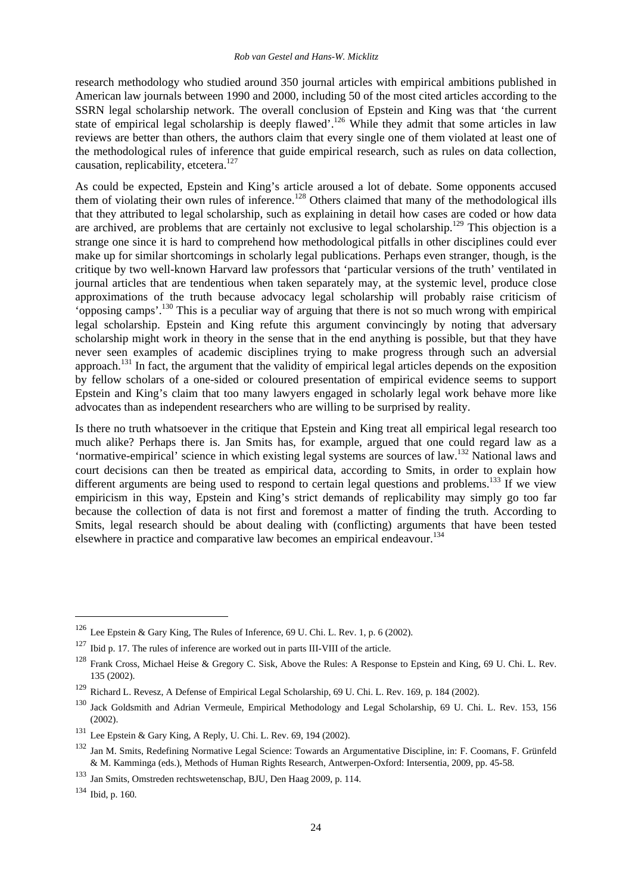research methodology who studied around 350 journal articles with empirical ambitions published in American law journals between 1990 and 2000, including 50 of the most cited articles according to the SSRN legal scholarship network. The overall conclusion of Epstein and King was that 'the current state of empirical legal scholarship is deeply flawed'.<sup>126</sup> While they admit that some articles in law reviews are better than others, the authors claim that every single one of them violated at least one of the methodological rules of inference that guide empirical research, such as rules on data collection, causation, replicability, etcetera. $127$ 

As could be expected, Epstein and King's article aroused a lot of debate. Some opponents accused them of violating their own rules of inference.<sup>128</sup> Others claimed that many of the methodological ills that they attributed to legal scholarship, such as explaining in detail how cases are coded or how data are archived, are problems that are certainly not exclusive to legal scholarship.129 This objection is a strange one since it is hard to comprehend how methodological pitfalls in other disciplines could ever make up for similar shortcomings in scholarly legal publications. Perhaps even stranger, though, is the critique by two well-known Harvard law professors that 'particular versions of the truth' ventilated in journal articles that are tendentious when taken separately may, at the systemic level, produce close approximations of the truth because advocacy legal scholarship will probably raise criticism of 'opposing camps'.130 This is a peculiar way of arguing that there is not so much wrong with empirical legal scholarship. Epstein and King refute this argument convincingly by noting that adversary scholarship might work in theory in the sense that in the end anything is possible, but that they have never seen examples of academic disciplines trying to make progress through such an adversial approach.<sup>131</sup> In fact, the argument that the validity of empirical legal articles depends on the exposition by fellow scholars of a one-sided or coloured presentation of empirical evidence seems to support Epstein and King's claim that too many lawyers engaged in scholarly legal work behave more like advocates than as independent researchers who are willing to be surprised by reality.

Is there no truth whatsoever in the critique that Epstein and King treat all empirical legal research too much alike? Perhaps there is. Jan Smits has, for example, argued that one could regard law as a 'normative-empirical' science in which existing legal systems are sources of law.132 National laws and court decisions can then be treated as empirical data, according to Smits, in order to explain how different arguments are being used to respond to certain legal questions and problems.<sup>133</sup> If we view empiricism in this way, Epstein and King's strict demands of replicability may simply go too far because the collection of data is not first and foremost a matter of finding the truth. According to Smits, legal research should be about dealing with (conflicting) arguments that have been tested elsewhere in practice and comparative law becomes an empirical endeavour.<sup>134</sup>

<sup>126</sup> Lee Epstein & Gary King, The Rules of Inference, 69 U. Chi. L. Rev. 1, p. 6 (2002).

<sup>127</sup> Ibid p. 17. The rules of inference are worked out in parts III-VIII of the article.

 $128$  Frank Cross, Michael Heise & Gregory C. Sisk, Above the Rules: A Response to Epstein and King, 69 U. Chi. L. Rev. 135 (2002).

<sup>129</sup> Richard L. Revesz, A Defense of Empirical Legal Scholarship, 69 U. Chi. L. Rev. 169, p. 184 (2002).

<sup>130</sup> Jack Goldsmith and Adrian Vermeule, Empirical Methodology and Legal Scholarship, 69 U. Chi. L. Rev. 153, 156 (2002).

<sup>131</sup> Lee Epstein & Gary King, A Reply, U. Chi. L. Rev. 69, 194 (2002).

<sup>132</sup> Jan M. Smits, Redefining Normative Legal Science: Towards an Argumentative Discipline, in: F. Coomans, F. Grünfeld & M. Kamminga (eds.), Methods of Human Rights Research, Antwerpen-Oxford: Intersentia, 2009, pp. 45-58.

<sup>133</sup> Jan Smits, Omstreden rechtswetenschap, BJU, Den Haag 2009, p. 114.

 $134$  Ibid, p. 160.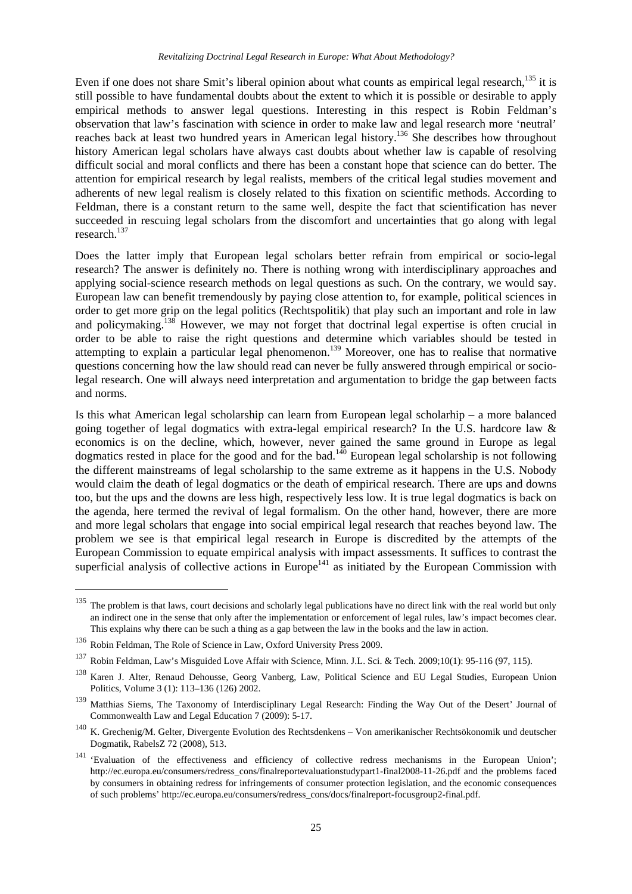Even if one does not share Smit's liberal opinion about what counts as empirical legal research,<sup>135</sup> it is still possible to have fundamental doubts about the extent to which it is possible or desirable to apply empirical methods to answer legal questions. Interesting in this respect is Robin Feldman's observation that law's fascination with science in order to make law and legal research more 'neutral' reaches back at least two hundred years in American legal history.<sup>136</sup> She describes how throughout history American legal scholars have always cast doubts about whether law is capable of resolving difficult social and moral conflicts and there has been a constant hope that science can do better. The attention for empirical research by legal realists, members of the critical legal studies movement and adherents of new legal realism is closely related to this fixation on scientific methods. According to Feldman, there is a constant return to the same well, despite the fact that scientification has never succeeded in rescuing legal scholars from the discomfort and uncertainties that go along with legal research.<sup>137</sup>

Does the latter imply that European legal scholars better refrain from empirical or socio-legal research? The answer is definitely no. There is nothing wrong with interdisciplinary approaches and applying social-science research methods on legal questions as such. On the contrary, we would say. European law can benefit tremendously by paying close attention to, for example, political sciences in order to get more grip on the legal politics (Rechtspolitik) that play such an important and role in law and policymaking.<sup>138</sup> However, we may not forget that doctrinal legal expertise is often crucial in order to be able to raise the right questions and determine which variables should be tested in attempting to explain a particular legal phenomenon.<sup>139</sup> Moreover, one has to realise that normative questions concerning how the law should read can never be fully answered through empirical or sociolegal research. One will always need interpretation and argumentation to bridge the gap between facts and norms.

Is this what American legal scholarship can learn from European legal scholarhip – a more balanced going together of legal dogmatics with extra-legal empirical research? In the U.S. hardcore law & economics is on the decline, which, however, never gained the same ground in Europe as legal dogmatics rested in place for the good and for the bad.<sup>140</sup> European legal scholarship is not following the different mainstreams of legal scholarship to the same extreme as it happens in the U.S. Nobody would claim the death of legal dogmatics or the death of empirical research. There are ups and downs too, but the ups and the downs are less high, respectively less low. It is true legal dogmatics is back on the agenda, here termed the revival of legal formalism. On the other hand, however, there are more and more legal scholars that engage into social empirical legal research that reaches beyond law. The problem we see is that empirical legal research in Europe is discredited by the attempts of the European Commission to equate empirical analysis with impact assessments. It suffices to contrast the superficial analysis of collective actions in Europe<sup>141</sup> as initiated by the European Commission with

<sup>&</sup>lt;sup>135</sup> The problem is that laws, court decisions and scholarly legal publications have no direct link with the real world but only an indirect one in the sense that only after the implementation or enforcement of legal rules, law's impact becomes clear. This explains why there can be such a thing as a gap between the law in the books and the law in action.

<sup>136</sup> Robin Feldman, The Role of Science in Law, Oxford University Press 2009.

<sup>137</sup> Robin Feldman, Law's Misguided Love Affair with Science, Minn. J.L. Sci. & Tech. 2009;10(1): 95-116 (97, 115).

<sup>&</sup>lt;sup>138</sup> Karen J. Alter, Renaud Dehousse, Georg Vanberg, Law, Political Science and EU Legal Studies, European Union Politics, Volume 3 (1): 113–136 (126) 2002.

<sup>139</sup> Matthias Siems, The Taxonomy of Interdisciplinary Legal Research: Finding the Way Out of the Desert' Journal of Commonwealth Law and Legal Education 7 (2009): 5-17.

<sup>140</sup> K. Grechenig/M. Gelter, Divergente Evolution des Rechtsdenkens – Von amerikanischer Rechtsökonomik und deutscher Dogmatik, RabelsZ 72 (2008), 513.

<sup>&</sup>lt;sup>141</sup> 'Evaluation of the effectiveness and efficiency of collective redress mechanisms in the European Union'; http://ec.europa.eu/consumers/redress\_cons/finalreportevaluationstudypart1-final2008-11-26.pdf and the problems faced by consumers in obtaining redress for infringements of consumer protection legislation, and the economic consequences of such problems' http://ec.europa.eu/consumers/redress\_cons/docs/finalreport-focusgroup2-final.pdf.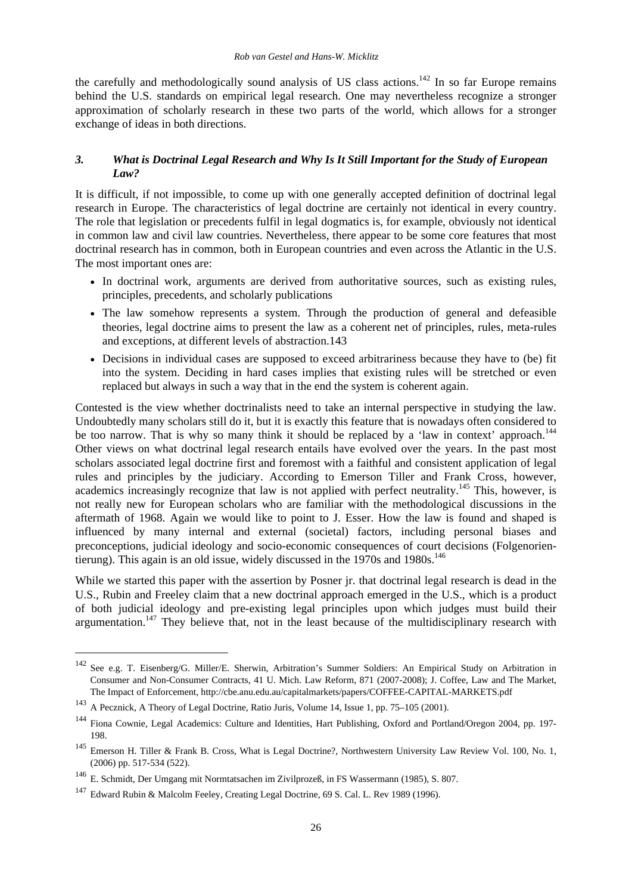the carefully and methodologically sound analysis of US class actions.<sup>142</sup> In so far Europe remains behind the U.S. standards on empirical legal research. One may nevertheless recognize a stronger approximation of scholarly research in these two parts of the world, which allows for a stronger exchange of ideas in both directions.

#### *3. What is Doctrinal Legal Research and Why Is It Still Important for the Study of European Law?*

It is difficult, if not impossible, to come up with one generally accepted definition of doctrinal legal research in Europe. The characteristics of legal doctrine are certainly not identical in every country. The role that legislation or precedents fulfil in legal dogmatics is, for example, obviously not identical in common law and civil law countries. Nevertheless, there appear to be some core features that most doctrinal research has in common, both in European countries and even across the Atlantic in the U.S. The most important ones are:

- In doctrinal work, arguments are derived from authoritative sources, such as existing rules, principles, precedents, and scholarly publications
- The law somehow represents a system. Through the production of general and defeasible theories, legal doctrine aims to present the law as a coherent net of principles, rules, meta-rules and exceptions, at different levels of abstraction.143
- Decisions in individual cases are supposed to exceed arbitrariness because they have to (be) fit into the system. Deciding in hard cases implies that existing rules will be stretched or even replaced but always in such a way that in the end the system is coherent again.

Contested is the view whether doctrinalists need to take an internal perspective in studying the law. Undoubtedly many scholars still do it, but it is exactly this feature that is nowadays often considered to be too narrow. That is why so many think it should be replaced by a 'law in context' approach.<sup>144</sup> Other views on what doctrinal legal research entails have evolved over the years. In the past most scholars associated legal doctrine first and foremost with a faithful and consistent application of legal rules and principles by the judiciary. According to Emerson Tiller and Frank Cross, however, academics increasingly recognize that law is not applied with perfect neutrality.<sup>145</sup> This, however, is not really new for European scholars who are familiar with the methodological discussions in the aftermath of 1968. Again we would like to point to J. Esser. How the law is found and shaped is influenced by many internal and external (societal) factors, including personal biases and preconceptions, judicial ideology and socio-economic consequences of court decisions (Folgenorientierung). This again is an old issue, widely discussed in the  $1970s$  and  $1980s$ .<sup>146</sup>

While we started this paper with the assertion by Posner ir, that doctrinal legal research is dead in the U.S., Rubin and Freeley claim that a new doctrinal approach emerged in the U.S., which is a product of both judicial ideology and pre-existing legal principles upon which judges must build their argumentation.<sup>147</sup> They believe that, not in the least because of the multidisciplinary research with

-

<sup>142</sup> See e.g. T. Eisenberg/G. Miller/E. Sherwin, Arbitration's Summer Soldiers: An Empirical Study on Arbitration in Consumer and Non-Consumer Contracts, 41 U. Mich. Law Reform, 871 (2007-2008); J. Coffee, Law and The Market, The Impact of Enforcement, http://cbe.anu.edu.au/capitalmarkets/papers/COFFEE-CAPITAL-MARKETS.pdf

<sup>143</sup> A Pecznick, A Theory of Legal Doctrine, Ratio Juris, Volume 14, Issue 1, pp. 75–105 (2001).

<sup>144</sup> Fiona Cownie*,* Legal Academics: Culture and Identities, Hart Publishing, Oxford and Portland/Oregon 2004, pp. 197- 198.

<sup>&</sup>lt;sup>145</sup> Emerson H. Tiller & Frank B. Cross, What is Legal Doctrine?, Northwestern University Law Review Vol. 100, No. 1, (2006) pp. 517-534 (522).

<sup>146</sup> E. Schmidt, Der Umgang mit Normtatsachen im Zivilprozeß, in FS Wassermann (1985), S. 807.

<sup>147</sup> Edward Rubin & Malcolm Feeley, Creating Legal Doctrine, 69 S. Cal. L. Rev 1989 (1996).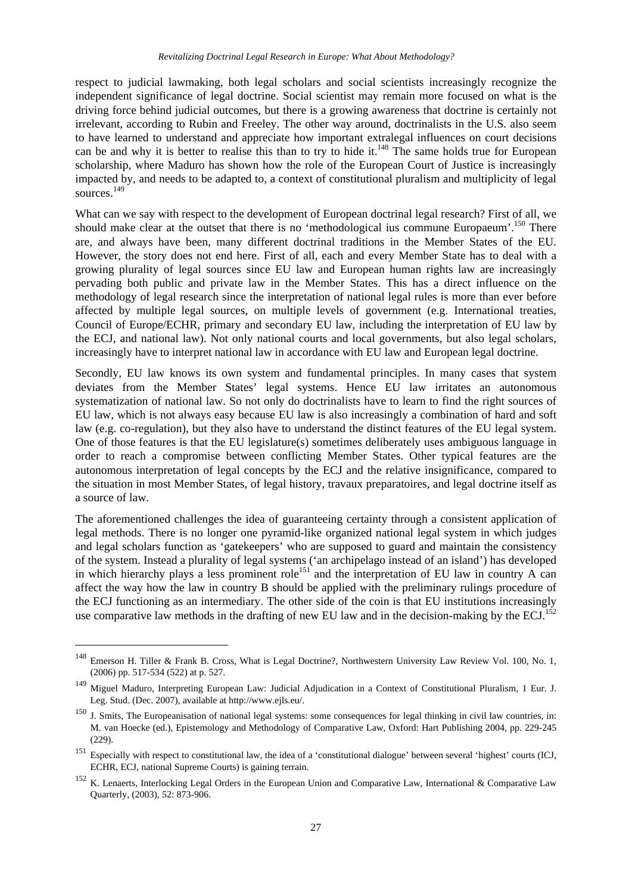respect to judicial lawmaking, both legal scholars and social scientists increasingly recognize the independent significance of legal doctrine. Social scientist may remain more focused on what is the driving force behind judicial outcomes, but there is a growing awareness that doctrine is certainly not irrelevant, according to Rubin and Freeley. The other way around, doctrinalists in the U.S. also seem to have learned to understand and appreciate how important extralegal influences on court decisions can be and why it is better to realise this than to try to hide it.<sup>148</sup> The same holds true for European scholarship, where Maduro has shown how the role of the European Court of Justice is increasingly impacted by, and needs to be adapted to, a context of constitutional pluralism and multiplicity of legal sources.<sup>149</sup>

What can we say with respect to the development of European doctrinal legal research? First of all, we should make clear at the outset that there is no 'methodological ius commune Europaeum'.150 There are, and always have been, many different doctrinal traditions in the Member States of the EU. However, the story does not end here. First of all, each and every Member State has to deal with a growing plurality of legal sources since EU law and European human rights law are increasingly pervading both public and private law in the Member States. This has a direct influence on the methodology of legal research since the interpretation of national legal rules is more than ever before affected by multiple legal sources, on multiple levels of government (e.g. International treaties, Council of Europe/ECHR, primary and secondary EU law, including the interpretation of EU law by the ECJ, and national law). Not only national courts and local governments, but also legal scholars, increasingly have to interpret national law in accordance with EU law and European legal doctrine.

Secondly, EU law knows its own system and fundamental principles. In many cases that system deviates from the Member States' legal systems. Hence EU law irritates an autonomous systematization of national law. So not only do doctrinalists have to learn to find the right sources of EU law, which is not always easy because EU law is also increasingly a combination of hard and soft law (e.g. co-regulation), but they also have to understand the distinct features of the EU legal system. One of those features is that the EU legislature(s) sometimes deliberately uses ambiguous language in order to reach a compromise between conflicting Member States. Other typical features are the autonomous interpretation of legal concepts by the ECJ and the relative insignificance, compared to the situation in most Member States, of legal history, travaux preparatoires, and legal doctrine itself as a source of law.

The aforementioned challenges the idea of guaranteeing certainty through a consistent application of legal methods. There is no longer one pyramid-like organized national legal system in which judges and legal scholars function as 'gatekeepers' who are supposed to guard and maintain the consistency of the system. Instead a plurality of legal systems ('an archipelago instead of an island') has developed in which hierarchy plays a less prominent role<sup>151</sup> and the interpretation of EU law in country A can affect the way how the law in country B should be applied with the preliminary rulings procedure of the ECJ functioning as an intermediary. The other side of the coin is that EU institutions increasingly the ECJ functioning as an intermediary. The other side of the coin is that EU institutions increasingly use comparative law methods in the drafting of new EU law and in the decision-making by the ECJ.<sup>1</sup>

<sup>&</sup>lt;sup>148</sup> Emerson H. Tiller & Frank B. Cross, What is Legal Doctrine?, Northwestern University Law Review Vol. 100, No. 1, (2006) pp. 517-534 (522) at p. 527.

<sup>149</sup> Miguel Maduro, Interpreting European Law: Judicial Adjudication in a Context of Constitutional Pluralism, 1 Eur. J. Leg. Stud. (Dec. 2007), available at http://www.ejls.eu/.

<sup>&</sup>lt;sup>150</sup> J. Smits, The Europeanisation of national legal systems: some consequences for legal thinking in civil law countries, in: M. van Hoecke (ed.), Epistemology and Methodology of Comparative Law, Oxford: Hart Publishing 2004, pp. 229-245 (229).

<sup>151</sup> Especially with respect to constitutional law, the idea of a 'constitutional dialogue' between several 'highest' courts (ICJ, ECHR, ECJ, national Supreme Courts) is gaining terrain.

<sup>&</sup>lt;sup>152</sup> K. Lenaerts, Interlocking Legal Orders in the European Union and Comparative Law, International & Comparative Law Quarterly, (2003), 52: 873-906.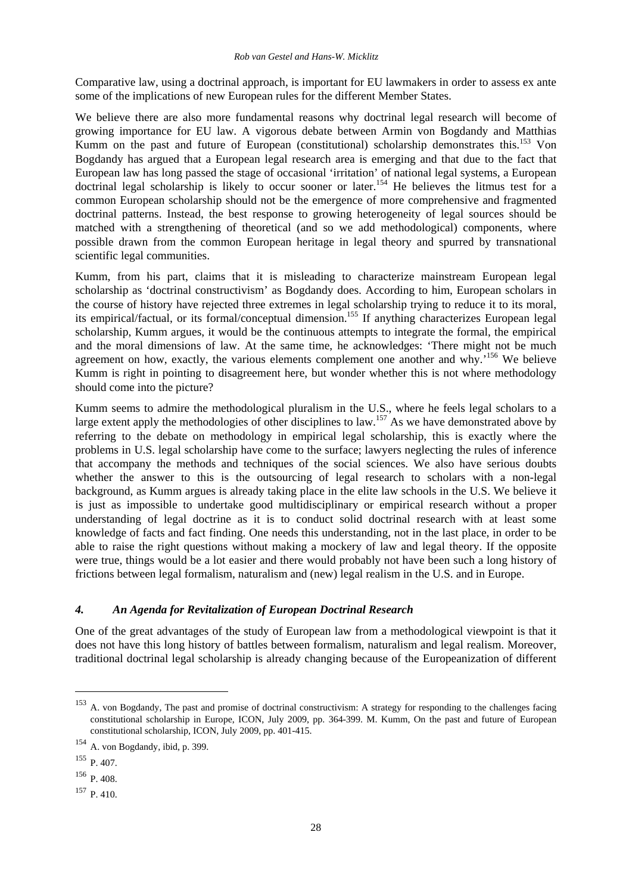Comparative law, using a doctrinal approach, is important for EU lawmakers in order to assess ex ante some of the implications of new European rules for the different Member States.

We believe there are also more fundamental reasons why doctrinal legal research will become of growing importance for EU law. A vigorous debate between Armin von Bogdandy and Matthias Kumm on the past and future of European (constitutional) scholarship demonstrates this.<sup>153</sup> Von Bogdandy has argued that a European legal research area is emerging and that due to the fact that European law has long passed the stage of occasional 'irritation' of national legal systems, a European doctrinal legal scholarship is likely to occur sooner or later.<sup>154</sup> He believes the litmus test for a common European scholarship should not be the emergence of more comprehensive and fragmented doctrinal patterns. Instead, the best response to growing heterogeneity of legal sources should be matched with a strengthening of theoretical (and so we add methodological) components, where possible drawn from the common European heritage in legal theory and spurred by transnational scientific legal communities.

Kumm, from his part, claims that it is misleading to characterize mainstream European legal scholarship as 'doctrinal constructivism' as Bogdandy does. According to him, European scholars in the course of history have rejected three extremes in legal scholarship trying to reduce it to its moral, its empirical/factual, or its formal/conceptual dimension.<sup>155</sup> If anything characterizes European legal scholarship, Kumm argues, it would be the continuous attempts to integrate the formal, the empirical and the moral dimensions of law. At the same time, he acknowledges: 'There might not be much agreement on how, exactly, the various elements complement one another and why.<sup>156</sup> We believe Kumm is right in pointing to disagreement here, but wonder whether this is not where methodology should come into the picture?

Kumm seems to admire the methodological pluralism in the U.S., where he feels legal scholars to a large extent apply the methodologies of other disciplines to law.<sup>157</sup> As we have demonstrated above by referring to the debate on methodology in empirical legal scholarship, this is exactly where the problems in U.S. legal scholarship have come to the surface; lawyers neglecting the rules of inference that accompany the methods and techniques of the social sciences. We also have serious doubts whether the answer to this is the outsourcing of legal research to scholars with a non-legal background, as Kumm argues is already taking place in the elite law schools in the U.S. We believe it is just as impossible to undertake good multidisciplinary or empirical research without a proper understanding of legal doctrine as it is to conduct solid doctrinal research with at least some knowledge of facts and fact finding. One needs this understanding, not in the last place, in order to be able to raise the right questions without making a mockery of law and legal theory. If the opposite were true, things would be a lot easier and there would probably not have been such a long history of frictions between legal formalism, naturalism and (new) legal realism in the U.S. and in Europe.

#### *4. An Agenda for Revitalization of European Doctrinal Research*

One of the great advantages of the study of European law from a methodological viewpoint is that it does not have this long history of battles between formalism, naturalism and legal realism. Moreover, traditional doctrinal legal scholarship is already changing because of the Europeanization of different

<sup>&</sup>lt;sup>153</sup> A. von Bogdandy, The past and promise of doctrinal constructivism: A strategy for responding to the challenges facing constitutional scholarship in Europe, ICON, July 2009, pp. 364-399. M. Kumm, On the past and future of European constitutional scholarship, ICON, July 2009, pp. 401-415.

<sup>154</sup> A. von Bogdandy, ibid, p. 399.

<sup>155</sup> P. 407.

<sup>156</sup> P. 408.

 $^{157}$  P. 410.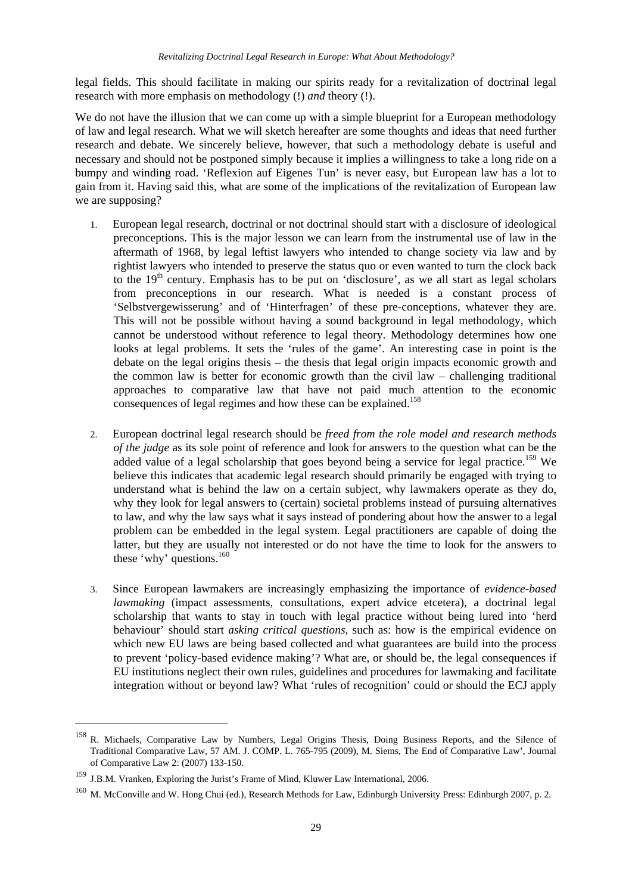legal fields. This should facilitate in making our spirits ready for a revitalization of doctrinal legal research with more emphasis on methodology (!) *and* theory (!).

We do not have the illusion that we can come up with a simple blueprint for a European methodology of law and legal research. What we will sketch hereafter are some thoughts and ideas that need further research and debate. We sincerely believe, however, that such a methodology debate is useful and necessary and should not be postponed simply because it implies a willingness to take a long ride on a bumpy and winding road. 'Reflexion auf Eigenes Tun' is never easy, but European law has a lot to gain from it. Having said this, what are some of the implications of the revitalization of European law we are supposing?

- 1. European legal research, doctrinal or not doctrinal should start with a disclosure of ideological preconceptions. This is the major lesson we can learn from the instrumental use of law in the aftermath of 1968, by legal leftist lawyers who intended to change society via law and by rightist lawyers who intended to preserve the status quo or even wanted to turn the clock back to the  $19<sup>th</sup>$  century. Emphasis has to be put on 'disclosure', as we all start as legal scholars from preconceptions in our research. What is needed is a constant process of 'Selbstvergewisserung' and of 'Hinterfragen' of these pre-conceptions, whatever they are. This will not be possible without having a sound background in legal methodology, which cannot be understood without reference to legal theory. Methodology determines how one looks at legal problems. It sets the 'rules of the game'. An interesting case in point is the debate on the legal origins thesis – the thesis that legal origin impacts economic growth and the common law is better for economic growth than the civil law – challenging traditional approaches to comparative law that have not paid much attention to the economic consequences of legal regimes and how these can be explained.<sup>158</sup>
- 2. European doctrinal legal research should be *freed from the role model and research methods of the judge* as its sole point of reference and look for answers to the question what can be the added value of a legal scholarship that goes beyond being a service for legal practice.<sup>159</sup> We believe this indicates that academic legal research should primarily be engaged with trying to understand what is behind the law on a certain subject, why lawmakers operate as they do, why they look for legal answers to (certain) societal problems instead of pursuing alternatives to law, and why the law says what it says instead of pondering about how the answer to a legal problem can be embedded in the legal system. Legal practitioners are capable of doing the latter, but they are usually not interested or do not have the time to look for the answers to these 'why' questions. $160$
- 3. Since European lawmakers are increasingly emphasizing the importance of *evidence-based lawmaking* (impact assessments, consultations, expert advice etcetera), a doctrinal legal scholarship that wants to stay in touch with legal practice without being lured into 'herd behaviour' should start *asking critical questions*, such as: how is the empirical evidence on which new EU laws are being based collected and what guarantees are build into the process to prevent 'policy-based evidence making'? What are, or should be, the legal consequences if EU institutions neglect their own rules, guidelines and procedures for lawmaking and facilitate integration without or beyond law? What 'rules of recognition' could or should the ECJ apply

<sup>&</sup>lt;sup>158</sup> R. Michaels, Comparative Law by Numbers, Legal Origins Thesis, Doing Business Reports, and the Silence of Traditional Comparative Law, 57 AM. J. COMP. L. 765-795 (2009), M. Siems, The End of Comparative Law', Journal of Comparative Law 2: (2007) 133-150.

<sup>159</sup> J.B.M. Vranken, Exploring the Jurist's Frame of Mind, Kluwer Law International, 2006.

<sup>&</sup>lt;sup>160</sup> M. McConville and W. Hong Chui (ed.), Research Methods for Law, Edinburgh University Press: Edinburgh 2007, p. 2.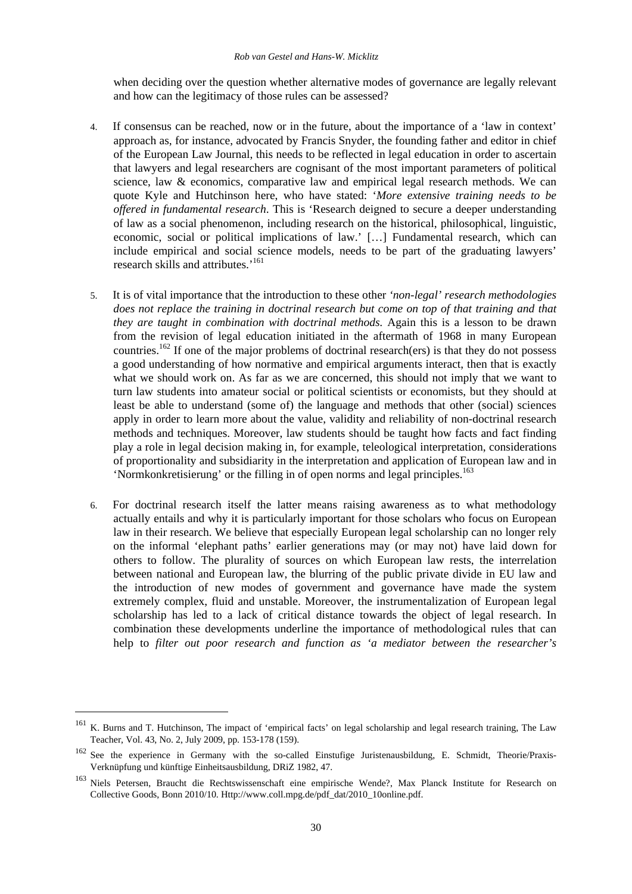when deciding over the question whether alternative modes of governance are legally relevant and how can the legitimacy of those rules can be assessed?

- 4. If consensus can be reached, now or in the future, about the importance of a 'law in context' approach as, for instance, advocated by Francis Snyder, the founding father and editor in chief of the European Law Journal, this needs to be reflected in legal education in order to ascertain that lawyers and legal researchers are cognisant of the most important parameters of political science, law & economics, comparative law and empirical legal research methods. We can quote Kyle and Hutchinson here, who have stated: '*More extensive training needs to be offered in fundamental research*. This is 'Research deigned to secure a deeper understanding of law as a social phenomenon, including research on the historical, philosophical, linguistic, economic, social or political implications of law.' […] Fundamental research, which can include empirical and social science models, needs to be part of the graduating lawyers' research skills and attributes.'<sup>161</sup>
- 5. It is of vital importance that the introduction to these other *'non-legal' research methodologies does not replace the training in doctrinal research but come on top of that training and that they are taught in combination with doctrinal methods.* Again this is a lesson to be drawn from the revision of legal education initiated in the aftermath of 1968 in many European countries.<sup>162</sup> If one of the major problems of doctrinal research(ers) is that they do not possess a good understanding of how normative and empirical arguments interact, then that is exactly what we should work on. As far as we are concerned, this should not imply that we want to turn law students into amateur social or political scientists or economists, but they should at least be able to understand (some of) the language and methods that other (social) sciences apply in order to learn more about the value, validity and reliability of non-doctrinal research methods and techniques. Moreover, law students should be taught how facts and fact finding play a role in legal decision making in, for example, teleological interpretation, considerations of proportionality and subsidiarity in the interpretation and application of European law and in 'Normkonkretisierung' or the filling in of open norms and legal principles.<sup>163</sup>
- 6. For doctrinal research itself the latter means raising awareness as to what methodology actually entails and why it is particularly important for those scholars who focus on European law in their research. We believe that especially European legal scholarship can no longer rely on the informal 'elephant paths' earlier generations may (or may not) have laid down for others to follow. The plurality of sources on which European law rests, the interrelation between national and European law, the blurring of the public private divide in EU law and the introduction of new modes of government and governance have made the system extremely complex, fluid and unstable. Moreover, the instrumentalization of European legal scholarship has led to a lack of critical distance towards the object of legal research. In combination these developments underline the importance of methodological rules that can help to *filter out poor research and function as 'a mediator between the researcher's*

<sup>&</sup>lt;sup>161</sup> K. Burns and T. Hutchinson, The impact of 'empirical facts' on legal scholarship and legal research training, The Law Teacher, Vol. 43, No. 2, July 2009, pp. 153-178 (159).

<sup>&</sup>lt;sup>162</sup> See the experience in Germany with the so-called Einstufige Juristenausbildung, E. Schmidt, Theorie/Praxis-Verknüpfung und künftige Einheitsausbildung, DRiZ 1982, 47.

<sup>&</sup>lt;sup>163</sup> Niels Petersen, Braucht die Rechtswissenschaft eine empirische Wende?, Max Planck Institute for Research on Collective Goods, Bonn 2010/10. Http://www.coll.mpg.de/pdf\_dat/2010\_10online.pdf.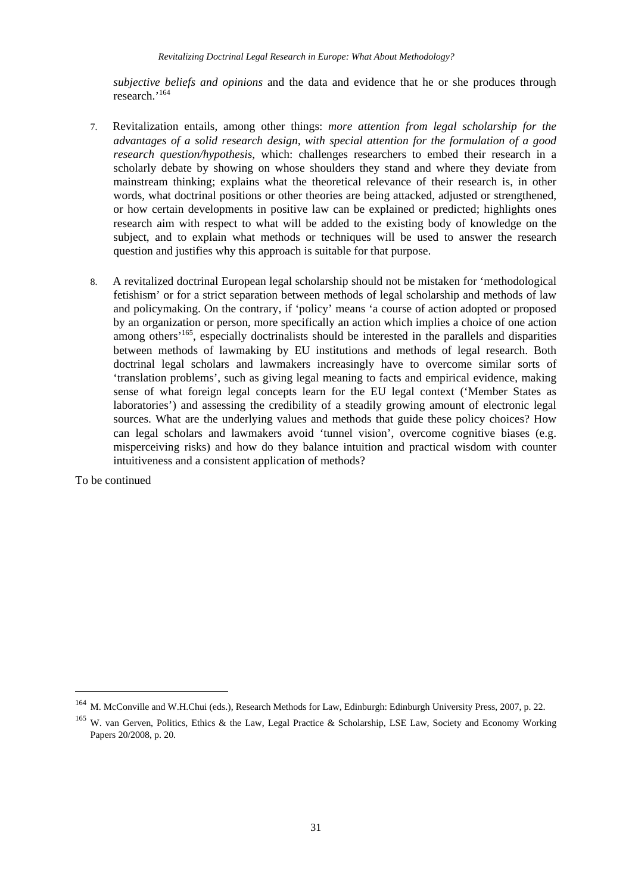*subjective beliefs and opinions* and the data and evidence that he or she produces through research.'164

- 7. Revitalization entails, among other things: *more attention from legal scholarship for the advantages of a solid research design, with special attention for the formulation of a good research question/hypothesis*, which: challenges researchers to embed their research in a scholarly debate by showing on whose shoulders they stand and where they deviate from mainstream thinking; explains what the theoretical relevance of their research is, in other words, what doctrinal positions or other theories are being attacked, adjusted or strengthened, or how certain developments in positive law can be explained or predicted; highlights ones research aim with respect to what will be added to the existing body of knowledge on the subject, and to explain what methods or techniques will be used to answer the research question and justifies why this approach is suitable for that purpose.
- 8. A revitalized doctrinal European legal scholarship should not be mistaken for 'methodological fetishism' or for a strict separation between methods of legal scholarship and methods of law and policymaking. On the contrary, if 'policy' means 'a course of action adopted or proposed by an organization or person, more specifically an action which implies a choice of one action among others<sup>165</sup>, especially doctrinalists should be interested in the parallels and disparities between methods of lawmaking by EU institutions and methods of legal research. Both doctrinal legal scholars and lawmakers increasingly have to overcome similar sorts of 'translation problems', such as giving legal meaning to facts and empirical evidence, making sense of what foreign legal concepts learn for the EU legal context ('Member States as laboratories') and assessing the credibility of a steadily growing amount of electronic legal sources. What are the underlying values and methods that guide these policy choices? How can legal scholars and lawmakers avoid 'tunnel vision', overcome cognitive biases (e.g. misperceiving risks) and how do they balance intuition and practical wisdom with counter intuitiveness and a consistent application of methods?

To be continued

<sup>164</sup> M. McConville and W.H.Chui (eds.), Research Methods for Law, Edinburgh: Edinburgh University Press, 2007, p. 22.

<sup>&</sup>lt;sup>165</sup> W. van Gerven, Politics, Ethics & the Law, Legal Practice & Scholarship, LSE Law, Society and Economy Working Papers 20/2008, p. 20.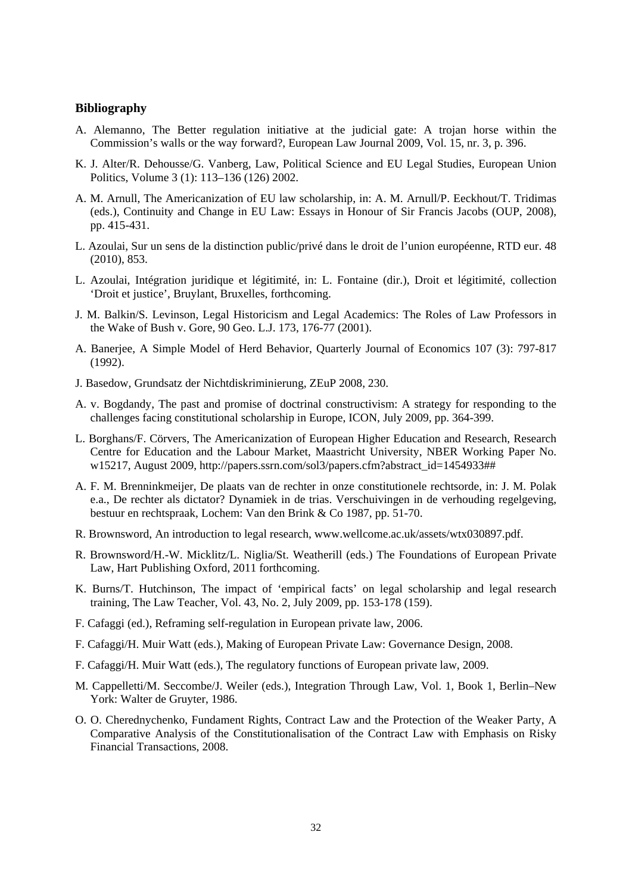#### **Bibliography**

- A. Alemanno, The Better regulation initiative at the judicial gate: A trojan horse within the Commission's walls or the way forward?, European Law Journal 2009, Vol. 15, nr. 3, p. 396.
- K. J. Alter/R. Dehousse/G. Vanberg, Law, Political Science and EU Legal Studies, European Union Politics, Volume 3 (1): 113–136 (126) 2002.
- A. M. Arnull, The Americanization of EU law scholarship, in: A. M. Arnull/P. Eeckhout/T. Tridimas (eds.), Continuity and Change in EU Law: Essays in Honour of Sir Francis Jacobs (OUP, 2008), pp. 415-431.
- L. Azoulai, Sur un sens de la distinction public/privé dans le droit de l'union européenne, RTD eur. 48 (2010), 853.
- L. Azoulai, Intégration juridique et légitimité, in: L. Fontaine (dir.), Droit et légitimité, collection 'Droit et justice', Bruylant, Bruxelles, forthcoming.
- J. M. Balkin/S. Levinson, Legal Historicism and Legal Academics: The Roles of Law Professors in the Wake of Bush v. Gore, 90 Geo. L.J. 173, 176-77 (2001).
- A. Banerjee, A Simple Model of Herd Behavior, Quarterly Journal of Economics 107 (3): 797-817 (1992).
- J. Basedow, Grundsatz der Nichtdiskriminierung, ZEuP 2008, 230.
- A. v. Bogdandy, The past and promise of doctrinal constructivism: A strategy for responding to the challenges facing constitutional scholarship in Europe, ICON, July 2009, pp. 364-399.
- L. Borghans/F. Cörvers, The Americanization of European Higher Education and Research, Research Centre for Education and the Labour Market, Maastricht University, NBER Working Paper No. w15217, August 2009, http://papers.ssrn.com/sol3/papers.cfm?abstract\_id=1454933##
- A. F. M. Brenninkmeijer, De plaats van de rechter in onze constitutionele rechtsorde, in: J. M. Polak e.a., De rechter als dictator? Dynamiek in de trias. Verschuivingen in de verhouding regelgeving, bestuur en rechtspraak, Lochem: Van den Brink & Co 1987, pp. 51-70.
- R. Brownsword, An introduction to legal research, www.wellcome.ac.uk/assets/wtx030897.pdf.
- R. Brownsword/H.-W. Micklitz/L. Niglia/St. Weatherill (eds.) The Foundations of European Private Law, Hart Publishing Oxford, 2011 forthcoming.
- K. Burns/T. Hutchinson, The impact of 'empirical facts' on legal scholarship and legal research training, The Law Teacher, Vol. 43, No. 2, July 2009, pp. 153-178 (159).
- F. Cafaggi (ed.), Reframing self-regulation in European private law, 2006.
- F. Cafaggi/H. Muir Watt (eds.), Making of European Private Law: Governance Design, 2008.
- F. Cafaggi/H. Muir Watt (eds.), The regulatory functions of European private law, 2009.
- M*.* Cappelletti/M. Seccombe/J. Weiler (eds.), Integration Through Law, Vol. 1, Book 1, Berlin–New York: Walter de Gruyter, 1986.
- O. O. Cherednychenko, Fundament Rights, Contract Law and the Protection of the Weaker Party, A Comparative Analysis of the Constitutionalisation of the Contract Law with Emphasis on Risky Financial Transactions, 2008.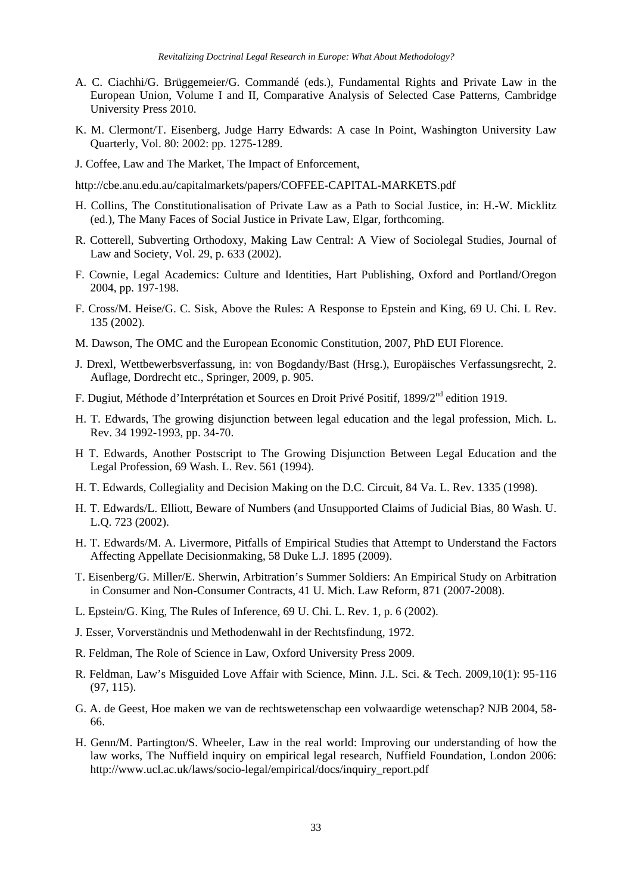- A. C. Ciachhi/G. Brüggemeier/G. Commandé (eds.), Fundamental Rights and Private Law in the European Union, Volume I and II, Comparative Analysis of Selected Case Patterns, Cambridge University Press 2010.
- K. M. Clermont/T. Eisenberg, Judge Harry Edwards: A case In Point, Washington University Law Quarterly, Vol. 80: 2002: pp. 1275-1289.
- J. Coffee, Law and The Market, The Impact of Enforcement,

http://cbe.anu.edu.au/capitalmarkets/papers/COFFEE-CAPITAL-MARKETS.pdf

- H. Collins, The Constitutionalisation of Private Law as a Path to Social Justice, in: H.-W. Micklitz (ed.), The Many Faces of Social Justice in Private Law, Elgar, forthcoming.
- R. Cotterell, Subverting Orthodoxy, Making Law Central: A View of Sociolegal Studies, Journal of Law and Society, Vol. 29, p. 633 (2002).
- F. Cownie, Legal Academics: Culture and Identities, Hart Publishing, Oxford and Portland/Oregon 2004, pp. 197-198.
- F. Cross/M. Heise/G. C. Sisk, Above the Rules: A Response to Epstein and King, 69 U. Chi. L Rev. 135 (2002).
- M. Dawson, The OMC and the European Economic Constitution, 2007, PhD EUI Florence.
- J. Drexl, Wettbewerbsverfassung*,* in: von Bogdandy/Bast (Hrsg.), Europäisches Verfassungsrecht, 2. Auflage, Dordrecht etc., Springer, 2009, p. 905.
- F. Dugiut, Méthode d'Interprétation et Sources en Droit Privé Positif, 1899/2nd edition 1919.
- H. T. Edwards, The growing disjunction between legal education and the legal profession, Mich. L. Rev. 34 1992-1993, pp. 34-70.
- H T. Edwards, Another Postscript to The Growing Disjunction Between Legal Education and the Legal Profession, 69 Wash. L. Rev. 561 (1994).
- H. T. Edwards, Collegiality and Decision Making on the D.C. Circuit, 84 Va. L. Rev. 1335 (1998).
- H. T. Edwards/L. Elliott, Beware of Numbers (and Unsupported Claims of Judicial Bias, 80 Wash. U. L.Q. 723 (2002).
- H. T. Edwards/M. A. Livermore, Pitfalls of Empirical Studies that Attempt to Understand the Factors Affecting Appellate Decisionmaking, 58 Duke L.J. 1895 (2009).
- T. Eisenberg/G. Miller/E. Sherwin, Arbitration's Summer Soldiers: An Empirical Study on Arbitration in Consumer and Non-Consumer Contracts, 41 U. Mich. Law Reform, 871 (2007-2008).
- L. Epstein/G. King, The Rules of Inference, 69 U. Chi. L. Rev. 1, p. 6 (2002).
- J. Esser, Vorverständnis und Methodenwahl in der Rechtsfindung, 1972.
- R. Feldman, The Role of Science in Law, Oxford University Press 2009.
- R. Feldman, Law's Misguided Love Affair with Science, Minn. J.L. Sci. & Tech. 2009,10(1): 95-116 (97, 115).
- G. A. de Geest, Hoe maken we van de rechtswetenschap een volwaardige wetenschap? NJB 2004, 58- 66.
- H. Genn/M. Partington/S. Wheeler, Law in the real world: Improving our understanding of how the law works, The Nuffield inquiry on empirical legal research, Nuffield Foundation, London 2006: http://www.ucl.ac.uk/laws/socio-legal/empirical/docs/inquiry\_report.pdf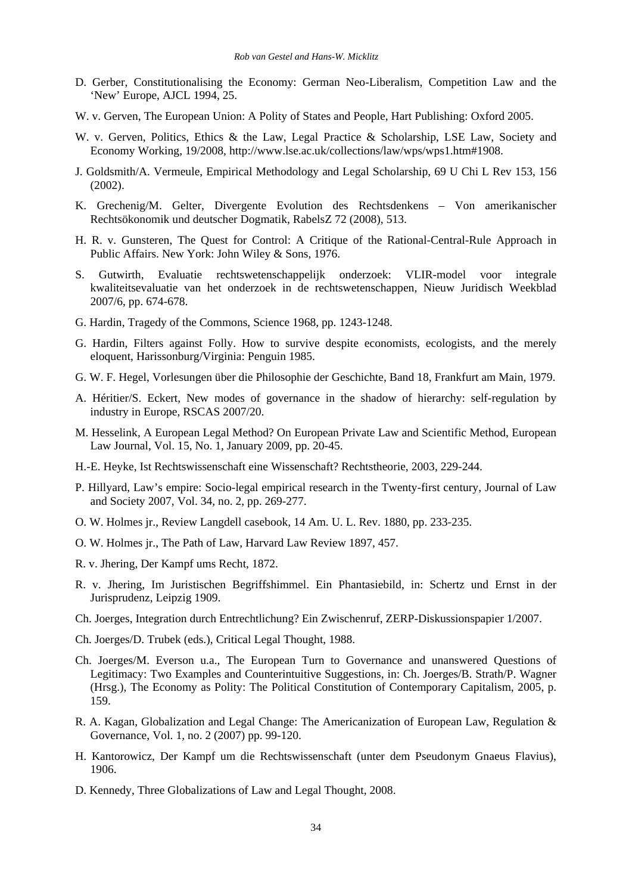- D. Gerber, Constitutionalising the Economy: German Neo-Liberalism, Competition Law and the 'New' Europe, AJCL 1994, 25.
- W. v. Gerven, The European Union: A Polity of States and People, Hart Publishing: Oxford 2005.
- W. v. Gerven, Politics, Ethics & the Law, Legal Practice & Scholarship, LSE Law, Society and Economy Working, 19/2008, http://www.lse.ac.uk/collections/law/wps/wps1.htm#1908.
- J. Goldsmith/A. Vermeule, Empirical Methodology and Legal Scholarship, 69 U Chi L Rev 153, 156 (2002).
- K. Grechenig/M. Gelter, Divergente Evolution des Rechtsdenkens Von amerikanischer Rechtsökonomik und deutscher Dogmatik, RabelsZ 72 (2008), 513.
- H. R. v. Gunsteren, The Quest for Control: A Critique of the Rational-Central-Rule Approach in Public Affairs. New York: John Wiley & Sons, 1976.
- S. Gutwirth, Evaluatie rechtswetenschappelijk onderzoek: VLIR-model voor integrale kwaliteitsevaluatie van het onderzoek in de rechtswetenschappen, Nieuw Juridisch Weekblad 2007/6, pp. 674-678.
- G. Hardin, Tragedy of the Commons, Science 1968, pp. 1243-1248.
- G. Hardin, Filters against Folly. How to survive despite economists, ecologists, and the merely eloquent, Harissonburg/Virginia: Penguin 1985.
- G. W. F. Hegel, Vorlesungen über die Philosophie der Geschichte, Band 18, Frankfurt am Main, 1979.
- A. Héritier/S. Eckert, New modes of governance in the shadow of hierarchy: self-regulation by industry in Europe, RSCAS 2007/20.
- M. Hesselink, A European Legal Method? On European Private Law and Scientific Method, European Law Journal, Vol. 15, No. 1, January 2009, pp. 20-45.
- H.-E. Heyke, Ist Rechtswissenschaft eine Wissenschaft? Rechtstheorie, 2003, 229-244.
- P. Hillyard, Law's empire: Socio-legal empirical research in the Twenty-first century, Journal of Law and Society 2007, Vol. 34, no. 2, pp. 269-277.
- O. W. Holmes jr., Review Langdell casebook, 14 Am. U. L. Rev. 1880, pp. 233-235.
- O. W. Holmes jr., The Path of Law, Harvard Law Review 1897, 457.
- R. v. Jhering, Der Kampf ums Recht, 1872.
- R. v. Jhering, Im Juristischen Begriffshimmel. Ein Phantasiebild, in: Schertz und Ernst in der Jurisprudenz, Leipzig 1909.
- Ch. Joerges, Integration durch Entrechtlichung? Ein Zwischenruf, ZERP-Diskussionspapier 1/2007.
- Ch. Joerges/D. Trubek (eds.), Critical Legal Thought, 1988.
- Ch. Joerges/M. Everson u.a., The European Turn to Governance and unanswered Questions of Legitimacy: Two Examples and Counterintuitive Suggestions, in: Ch. Joerges/B. Strath/P. Wagner (Hrsg.), The Economy as Polity: The Political Constitution of Contemporary Capitalism, 2005, p. 159.
- R. A. Kagan, Globalization and Legal Change: The Americanization of European Law, Regulation & Governance, Vol. 1, no. 2 (2007) pp. 99-120.
- H. Kantorowicz, Der Kampf um die Rechtswissenschaft (unter dem Pseudonym Gnaeus Flavius), 1906.
- D. Kennedy, Three Globalizations of Law and Legal Thought, 2008.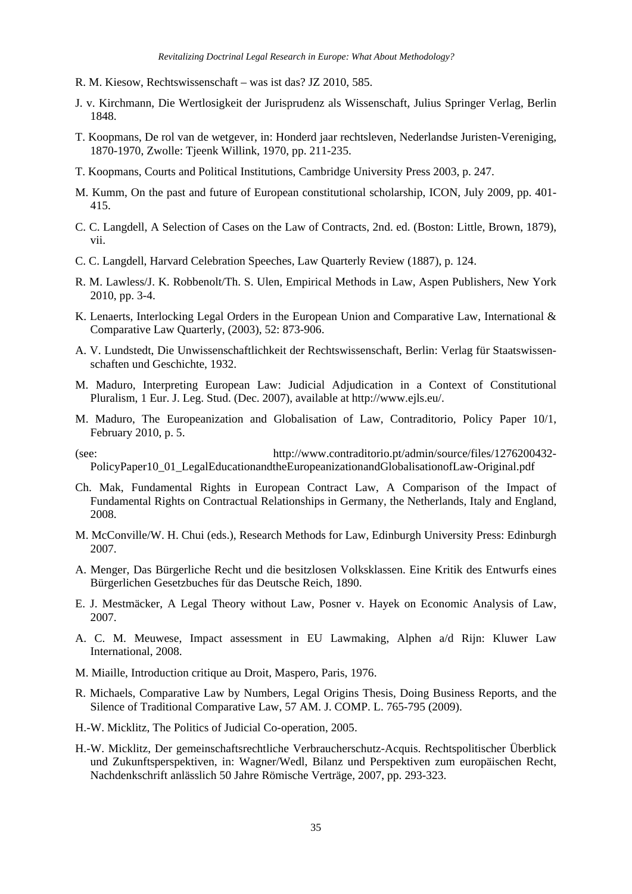- R. M. Kiesow, Rechtswissenschaft was ist das? JZ 2010, 585.
- J. v. Kirchmann, Die Wertlosigkeit der Jurisprudenz als Wissenschaft, Julius Springer Verlag, Berlin 1848.
- T. Koopmans, De rol van de wetgever, in: Honderd jaar rechtsleven, Nederlandse Juristen-Vereniging, 1870-1970, Zwolle: Tjeenk Willink, 1970, pp. 211-235.
- T. Koopmans, Courts and Political Institutions, Cambridge University Press 2003, p. 247.
- M. Kumm, On the past and future of European constitutional scholarship, ICON, July 2009, pp. 401- 415.
- C. C. Langdell, A Selection of Cases on the Law of Contracts, 2nd. ed. (Boston: Little, Brown, 1879), vii.
- C. C. Langdell, Harvard Celebration Speeches, Law Quarterly Review (1887), p. 124.
- R. M. Lawless/J. K. Robbenolt/Th. S. Ulen, Empirical Methods in Law, Aspen Publishers, New York 2010, pp. 3-4.
- K. Lenaerts, Interlocking Legal Orders in the European Union and Comparative Law, International & Comparative Law Quarterly, (2003), 52: 873-906.
- A. V. Lundstedt, Die Unwissenschaftlichkeit der Rechtswissenschaft, Berlin: Verlag für Staatswissenschaften und Geschichte, 1932.
- M. Maduro, Interpreting European Law: Judicial Adjudication in a Context of Constitutional Pluralism, 1 Eur. J. Leg. Stud. (Dec. 2007), available at http://www.ejls.eu/.
- M. Maduro, The Europeanization and Globalisation of Law, Contraditorio, Policy Paper 10/1, February 2010, p. 5.
- (see: http://www.contraditorio.pt/admin/source/files/1276200432- PolicyPaper10\_01\_LegalEducationandtheEuropeanizationandGlobalisationofLaw-Original.pdf
- Ch. Mak, Fundamental Rights in European Contract Law, A Comparison of the Impact of Fundamental Rights on Contractual Relationships in Germany, the Netherlands, Italy and England, 2008.
- M. McConville/W. H. Chui (eds.), Research Methods for Law, Edinburgh University Press: Edinburgh 2007.
- A. Menger, Das Bürgerliche Recht und die besitzlosen Volksklassen. Eine Kritik des Entwurfs eines Bürgerlichen Gesetzbuches für das Deutsche Reich, 1890.
- E. J. Mestmäcker, A Legal Theory without Law, Posner v. Hayek on Economic Analysis of Law, 2007.
- A. C. M. Meuwese, Impact assessment in EU Lawmaking, Alphen a/d Rijn: Kluwer Law International, 2008.
- M. Miaille, Introduction critique au Droit, Maspero, Paris, 1976.
- R. Michaels, Comparative Law by Numbers, Legal Origins Thesis, Doing Business Reports, and the Silence of Traditional Comparative Law, 57 AM. J. COMP. L. 765-795 (2009).
- H.-W. Micklitz, The Politics of Judicial Co-operation, 2005.
- H.-W. Micklitz, Der gemeinschaftsrechtliche Verbraucherschutz-Acquis. Rechtspolitischer Überblick und Zukunftsperspektiven, in: Wagner/Wedl, Bilanz und Perspektiven zum europäischen Recht, Nachdenkschrift anlässlich 50 Jahre Römische Verträge, 2007, pp. 293-323.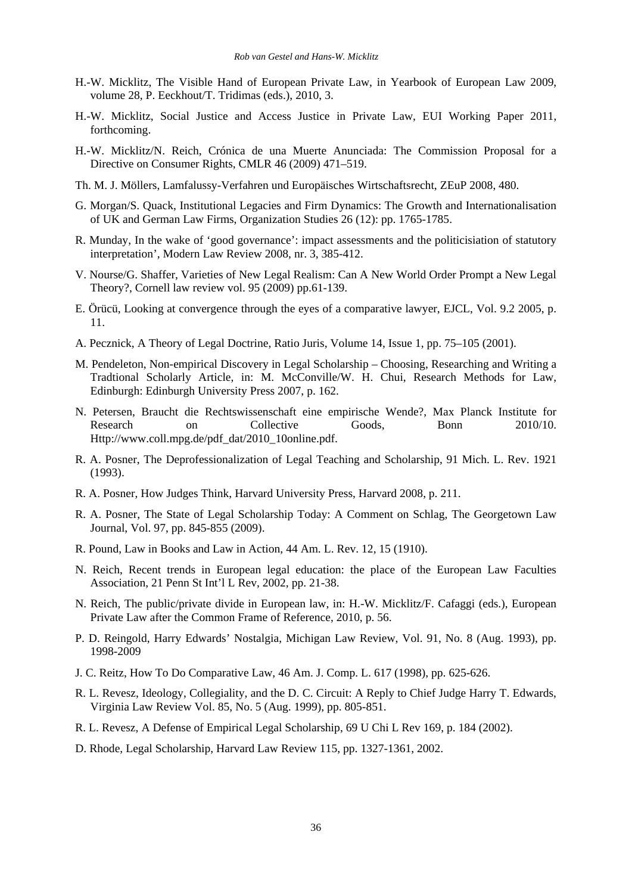- H.-W. Micklitz, The Visible Hand of European Private Law, in Yearbook of European Law 2009, volume 28, P. Eeckhout/T. Tridimas (eds.), 2010, 3.
- H.-W. Micklitz, Social Justice and Access Justice in Private Law, EUI Working Paper 2011, forthcoming.
- H.-W. Micklitz/N. Reich, Crónica de una Muerte Anunciada: The Commission Proposal for a Directive on Consumer Rights, CMLR 46 (2009) 471–519.
- Th. M. J. Möllers, Lamfalussy-Verfahren und Europäisches Wirtschaftsrecht, ZEuP 2008, 480.
- G. Morgan/S. Quack, Institutional Legacies and Firm Dynamics: The Growth and Internationalisation of UK and German Law Firms, Organization Studies 26 (12): pp. 1765-1785.
- R. Munday, In the wake of 'good governance': impact assessments and the politicisiation of statutory interpretation', Modern Law Review 2008, nr. 3, 385-412.
- V. Nourse/G. Shaffer, Varieties of New Legal Realism: Can A New World Order Prompt a New Legal Theory?, Cornell law review vol. 95 (2009) pp.61-139.
- E. Örücü, Looking at convergence through the eyes of a comparative lawyer, EJCL, Vol. 9.2 2005, p. 11.
- A. Pecznick, A Theory of Legal Doctrine, Ratio Juris, Volume 14, Issue 1, pp. 75–105 (2001).
- M. Pendeleton, Non-empirical Discovery in Legal Scholarship Choosing, Researching and Writing a Tradtional Scholarly Article, in: M. McConville/W. H. Chui, Research Methods for Law, Edinburgh: Edinburgh University Press 2007, p. 162.
- N. Petersen, Braucht die Rechtswissenschaft eine empirische Wende?, Max Planck Institute for Research on Collective Goods, Bonn 2010/10. Http://www.coll.mpg.de/pdf\_dat/2010\_10online.pdf.
- R. A. Posner, The Deprofessionalization of Legal Teaching and Scholarship, 91 Mich. L. Rev. 1921 (1993).
- R. A. Posner, How Judges Think, Harvard University Press, Harvard 2008, p. 211.
- R. A. Posner, The State of Legal Scholarship Today: A Comment on Schlag, The Georgetown Law Journal, Vol. 97, pp. 845-855 (2009).
- R. Pound, Law in Books and Law in Action, 44 Am. L. Rev. 12, 15 (1910).
- N. Reich, Recent trends in European legal education: the place of the European Law Faculties Association, 21 Penn St Int'l L Rev, 2002, pp. 21-38.
- N. Reich, The public/private divide in European law, in: H.-W. Micklitz/F. Cafaggi (eds.), European Private Law after the Common Frame of Reference, 2010, p. 56.
- P. D. Reingold, Harry Edwards' Nostalgia, Michigan Law Review, Vol. 91, No. 8 (Aug. 1993), pp. 1998-2009
- J. C. Reitz, How To Do Comparative Law, 46 Am. J. Comp. L. 617 (1998), pp. 625-626.
- R. L. Revesz, Ideology, Collegiality, and the D. C. Circuit: A Reply to Chief Judge Harry T. Edwards, Virginia Law Review Vol. 85, No. 5 (Aug. 1999), pp. 805-851.
- R. L. Revesz, A Defense of Empirical Legal Scholarship, 69 U Chi L Rev 169, p. 184 (2002).
- D. Rhode, Legal Scholarship, Harvard Law Review 115, pp. 1327-1361, 2002.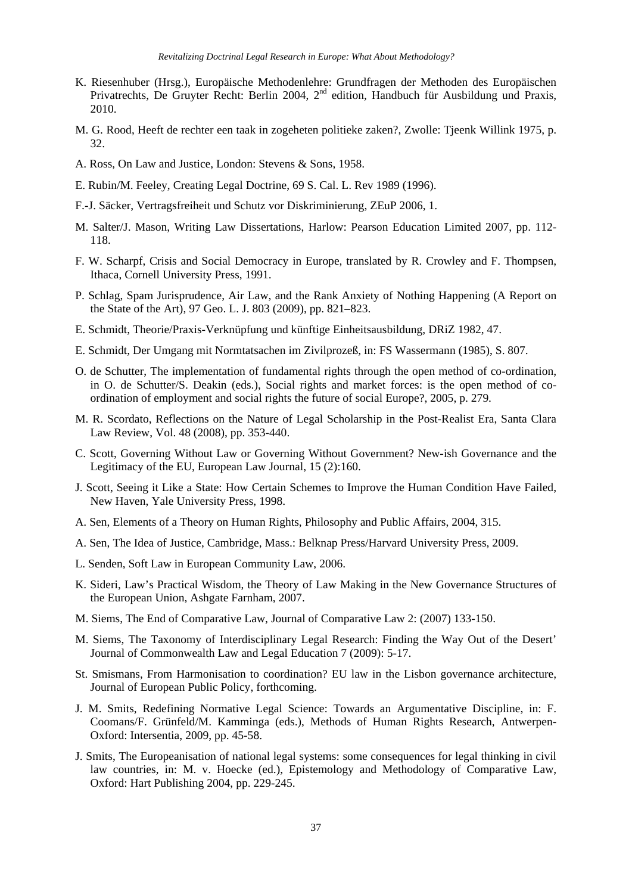- K. Riesenhuber (Hrsg.), Europäische Methodenlehre: Grundfragen der Methoden des Europäischen Privatrechts, De Gruyter Recht: Berlin 2004, 2<sup>nd</sup> edition, Handbuch für Ausbildung und Praxis, 2010.
- M. G. Rood, Heeft de rechter een taak in zogeheten politieke zaken?, Zwolle: Tjeenk Willink 1975, p. 32.
- A. Ross, On Law and Justice, London: Stevens & Sons, 1958.
- E. Rubin/M. Feeley, Creating Legal Doctrine, 69 S. Cal. L. Rev 1989 (1996).
- F.-J. Säcker, Vertragsfreiheit und Schutz vor Diskriminierung, ZEuP 2006, 1.
- M. Salter/J. Mason, Writing Law Dissertations, Harlow: Pearson Education Limited 2007, pp. 112- 118.
- F. W. Scharpf, Crisis and Social Democracy in Europe, translated by R. Crowley and F. Thompsen, Ithaca, Cornell University Press, 1991.
- P. Schlag, Spam Jurisprudence, Air Law, and the Rank Anxiety of Nothing Happening (A Report on the State of the Art), 97 Geo. L. J. 803 (2009), pp. 821–823.
- E. Schmidt, Theorie/Praxis-Verknüpfung und künftige Einheitsausbildung, DRiZ 1982, 47.
- E. Schmidt, Der Umgang mit Normtatsachen im Zivilprozeß, in: FS Wassermann (1985), S. 807.
- O. de Schutter, The implementation of fundamental rights through the open method of co-ordination, in O. de Schutter/S. Deakin (eds.), Social rights and market forces: is the open method of coordination of employment and social rights the future of social Europe?, 2005, p. 279.
- M. R. Scordato, Reflections on the Nature of Legal Scholarship in the Post-Realist Era, Santa Clara Law Review, Vol. 48 (2008), pp. 353-440.
- C. Scott, Governing Without Law or Governing Without Government? New-ish Governance and the Legitimacy of the EU, European Law Journal, 15 (2):160.
- J. Scott, Seeing it Like a State: How Certain Schemes to Improve the Human Condition Have Failed, New Haven, Yale University Press, 1998.
- A. Sen, Elements of a Theory on Human Rights, Philosophy and Public Affairs, 2004, 315.
- A. Sen, The Idea of Justice, Cambridge, Mass.: Belknap Press/Harvard University Press, 2009.
- L. Senden, Soft Law in European Community Law, 2006.
- K. Sideri, Law's Practical Wisdom, the Theory of Law Making in the New Governance Structures of the European Union, Ashgate Farnham, 2007.
- M. Siems, The End of Comparative Law, Journal of Comparative Law 2: (2007) 133-150.
- M. Siems, The Taxonomy of Interdisciplinary Legal Research: Finding the Way Out of the Desert' Journal of Commonwealth Law and Legal Education 7 (2009): 5-17.
- St. Smismans, From Harmonisation to coordination? EU law in the Lisbon governance architecture, Journal of European Public Policy, forthcoming.
- J. M. Smits, Redefining Normative Legal Science: Towards an Argumentative Discipline, in: F. Coomans/F. Grünfeld/M. Kamminga (eds.), Methods of Human Rights Research, Antwerpen-Oxford: Intersentia, 2009, pp. 45-58.
- J. Smits, The Europeanisation of national legal systems: some consequences for legal thinking in civil law countries, in: M. v. Hoecke (ed.), Epistemology and Methodology of Comparative Law, Oxford: Hart Publishing 2004, pp. 229-245.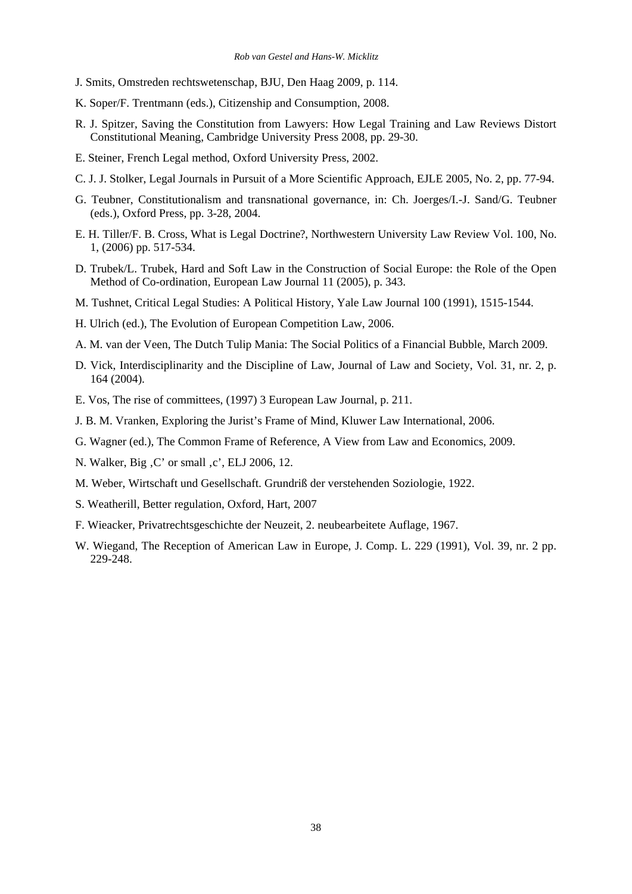- J. Smits, Omstreden rechtswetenschap, BJU, Den Haag 2009, p. 114.
- K. Soper/F. Trentmann (eds.), Citizenship and Consumption, 2008.
- R. J. Spitzer, Saving the Constitution from Lawyers: How Legal Training and Law Reviews Distort Constitutional Meaning, Cambridge University Press 2008, pp. 29-30.
- E. Steiner, French Legal method, Oxford University Press, 2002.
- C. J. J. Stolker, Legal Journals in Pursuit of a More Scientific Approach, EJLE 2005, No. 2, pp. 77-94.
- G. Teubner, Constitutionalism and transnational governance, in: Ch. Joerges/I.-J. Sand/G. Teubner (eds.), Oxford Press, pp. 3-28, 2004.
- E. H. Tiller/F. B. Cross, What is Legal Doctrine?, Northwestern University Law Review Vol. 100, No. 1, (2006) pp. 517-534.
- D. Trubek/L. Trubek, Hard and Soft Law in the Construction of Social Europe: the Role of the Open Method of Co-ordination, European Law Journal 11 (2005), p. 343.
- M. Tushnet, Critical Legal Studies: A Political History, Yale Law Journal 100 (1991), 1515-1544.
- H. Ulrich (ed.), The Evolution of European Competition Law, 2006.
- A. M. van der Veen, The Dutch Tulip Mania: The Social Politics of a Financial Bubble, March 2009.
- D. Vick, Interdisciplinarity and the Discipline of Law, Journal of Law and Society, Vol. 31, nr. 2, p. 164 (2004).
- E. Vos, The rise of committees, (1997) 3 European Law Journal, p. 211.
- J. B. M. Vranken, Exploring the Jurist's Frame of Mind, Kluwer Law International, 2006.
- G. Wagner (ed.), The Common Frame of Reference, A View from Law and Economics, 2009.
- N. Walker, Big , C' or small , c', ELJ 2006, 12.
- M. Weber, Wirtschaft und Gesellschaft. Grundriß der verstehenden Soziologie, 1922.
- S. Weatherill, Better regulation, Oxford, Hart, 2007
- F. Wieacker, Privatrechtsgeschichte der Neuzeit, 2. neubearbeitete Auflage, 1967.
- W. Wiegand, The Reception of American Law in Europe, J. Comp. L. 229 (1991), Vol. 39, nr. 2 pp. 229-248.